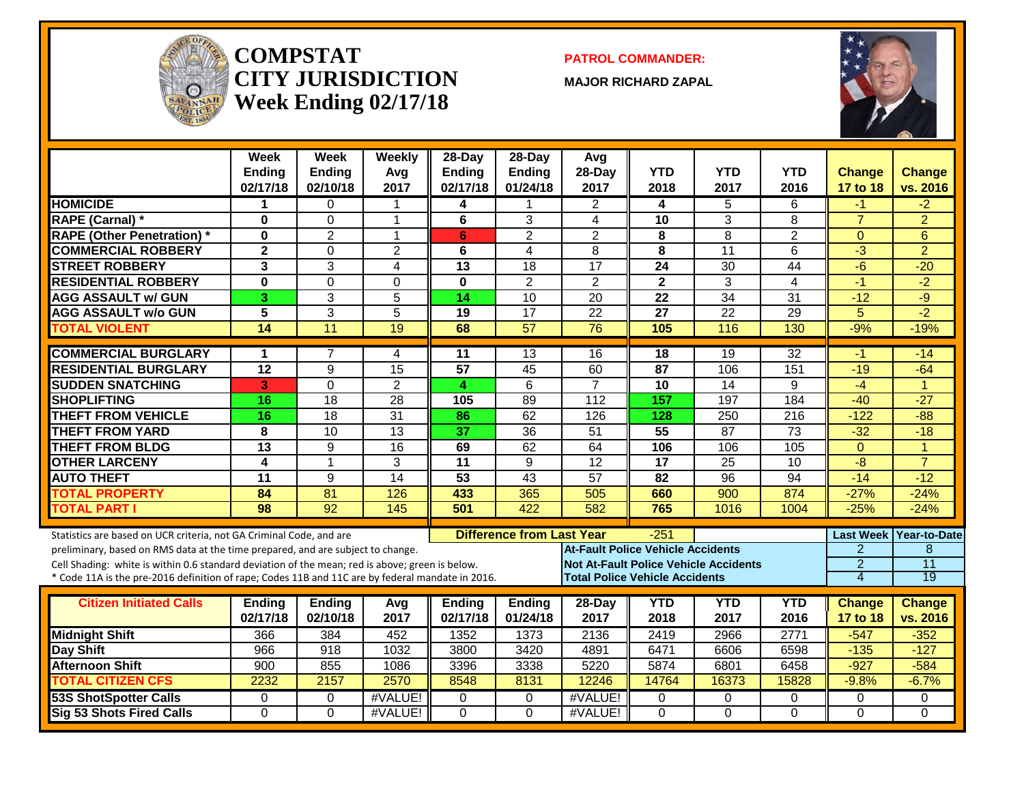

#### **COMPSTATCITY JURISDICTIONWeek Ending 02/17/18**

**PATROL COMMANDER:**

**MAJOR RICHARD ZAPAL**



|                                                                                                  | Week<br><b>Ending</b><br>02/17/18 | Week<br><b>Ending</b><br>02/10/18 | Weekly<br>Avg<br>2017 | 28-Day<br><b>Ending</b><br>02/17/18 | $28-Dav$<br><b>Ending</b><br>01/24/18 | Avg<br>28-Day<br>2017                    | <b>YTD</b><br>2018 | <b>YTD</b><br>2017                           | <b>YTD</b><br>2016 | <b>Change</b><br>17 to 18 | Change<br>vs. 2016 |
|--------------------------------------------------------------------------------------------------|-----------------------------------|-----------------------------------|-----------------------|-------------------------------------|---------------------------------------|------------------------------------------|--------------------|----------------------------------------------|--------------------|---------------------------|--------------------|
| <b>HOMICIDE</b>                                                                                  | 1                                 | 0                                 | 1                     | 4                                   |                                       | $\overline{2}$                           | 4                  | 5                                            | 6                  | -1                        | $-2$               |
| <b>RAPE (Carnal) *</b>                                                                           | 0                                 | 0                                 | 1                     | 6                                   | 3                                     | 4                                        | 10                 | 3                                            | 8                  | $\overline{7}$            | $\overline{2}$     |
| <b>RAPE (Other Penetration)</b> *                                                                | 0                                 | $\overline{2}$                    | 1                     | 6                                   | $\overline{2}$                        | $\overline{2}$                           | 8                  | 8                                            | $\overline{2}$     | $\Omega$                  | 6                  |
| <b>COMMERCIAL ROBBERY</b>                                                                        | $\overline{\mathbf{2}}$           | $\Omega$                          | $\overline{2}$        | 6                                   | $\overline{4}$                        | 8                                        | 8                  | 11                                           | 6                  | $-3$                      | $\overline{2}$     |
| <b>STREET ROBBERY</b>                                                                            | 3                                 | 3                                 | 4                     | 13                                  | 18                                    | $\overline{17}$                          | 24                 | 30                                           | 44                 | $-6$                      | $-20$              |
| <b>RESIDENTIAL ROBBERY</b>                                                                       | 0                                 | 0                                 | 0                     | $\bf{0}$                            | $\overline{2}$                        | $\overline{2}$                           | $\mathbf{2}$       | 3                                            | 4                  | $-1$                      | $-2$               |
| <b>AGG ASSAULT w/ GUN</b>                                                                        | 3                                 | 3                                 | 5                     | 14                                  | 10                                    | 20                                       | 22                 | 34                                           | 31                 | $-12$                     | $-9$               |
| <b>AGG ASSAULT w/o GUN</b>                                                                       | 5                                 | 3                                 | 5                     | 19                                  | $\overline{17}$                       | 22                                       | 27                 | 22                                           | 29                 | 5                         | $-2$               |
| <b>TOTAL VIOLENT</b>                                                                             | 14                                | 11                                | 19                    | 68                                  | $\overline{57}$                       | $\overline{76}$                          | 105                | 116                                          | 130                | $-9%$                     | $-19%$             |
| <b>COMMERCIAL BURGLARY</b>                                                                       | 1                                 | 7                                 | 4                     | 11                                  | 13                                    | 16                                       | 18                 | 19                                           | 32                 | -1                        | $-14$              |
| <b>RESIDENTIAL BURGLARY</b>                                                                      | 12                                | 9                                 | 15                    | 57                                  | 45                                    | 60                                       | 87                 | 106                                          | 151                | $-19$                     | $-64$              |
| <b>SUDDEN SNATCHING</b>                                                                          | 3                                 | $\mathbf 0$                       | $\overline{2}$        | 4                                   | $6\phantom{1}$                        | $\overline{7}$                           | 10                 | 14                                           | 9                  | $-4$                      | $\overline{1}$     |
| <b>SHOPLIFTING</b>                                                                               | 16                                | 18                                | $\overline{28}$       | 105                                 | 89                                    | 112                                      | 157                | 197                                          | 184                | $-40$                     | $-27$              |
| <b>THEFT FROM VEHICLE</b>                                                                        | 16                                | 18                                | $\overline{31}$       | 86                                  | 62                                    | 126                                      | 128                | 250                                          | 216                | $-122$                    | $-88$              |
| <b>THEFT FROM YARD</b>                                                                           | 8                                 | 10                                | 13                    | $\overline{37}$                     | 36                                    | 51                                       | 55                 | 87                                           | 73                 | $-32$                     | $-18$              |
| <b>THEFT FROM BLDG</b>                                                                           | 13                                | 9                                 | 16                    | 69                                  | 62                                    | 64                                       | 106                | 106                                          | 105                | $\overline{0}$            | $\overline{1}$     |
| <b>OTHER LARCENY</b>                                                                             | 4                                 | $\mathbf{1}$                      | 3                     | 11                                  | 9                                     | $\overline{12}$                          | 17                 | 25                                           | 10                 | $-8$                      | $\overline{7}$     |
| <b>AUTO THEFT</b>                                                                                | 11                                | 9                                 | $\overline{14}$       | 53                                  | 43                                    | 57                                       | 82                 | $\overline{96}$                              | 94                 | $-14$                     | $-12$              |
| <b>TOTAL PROPERTY</b>                                                                            | 84                                | $\overline{81}$                   | 126                   | 433                                 | 365                                   | 505                                      | 660                | 900                                          | 874                | $-27%$                    | $-24%$             |
| <b>TOTAL PART I</b>                                                                              | 98                                | $\overline{92}$                   | 145                   | 501                                 | 422                                   | 582                                      | 765                | 1016                                         | 1004               | $-25%$                    | $-24%$             |
| Statistics are based on UCR criteria, not GA Criminal Code, and are                              |                                   |                                   |                       |                                     | <b>Difference from Last Year</b>      |                                          | $-251$             |                                              |                    | <b>Last Week</b>          | Year-to-Date       |
| preliminary, based on RMS data at the time prepared, and are subject to change.                  |                                   |                                   |                       |                                     |                                       | <b>At-Fault Police Vehicle Accidents</b> |                    |                                              |                    | $\overline{2}$            | 8                  |
| Cell Shading: white is within 0.6 standard deviation of the mean; red is above; green is below.  |                                   |                                   |                       |                                     |                                       |                                          |                    | <b>Not At-Fault Police Vehicle Accidents</b> |                    | $\overline{2}$            | $\overline{11}$    |
| * Code 11A is the pre-2016 definition of rape; Codes 11B and 11C are by federal mandate in 2016. |                                   |                                   |                       |                                     |                                       | <b>Total Police Vehicle Accidents</b>    |                    |                                              |                    | $\overline{4}$            | $\overline{19}$    |
| <b>Citizen Initiated Calls</b>                                                                   | <b>Ending</b>                     | <b>Ending</b>                     | Avg                   | <b>Ending</b>                       | <b>Ending</b>                         | 28-Day                                   | <b>YTD</b>         | <b>YTD</b>                                   | <b>YTD</b>         | <b>Change</b>             | Change             |
|                                                                                                  | 02/17/18                          | 02/10/18                          | 2017                  | 02/17/18                            | 01/24/18                              | 2017                                     | 2018               | 2017                                         | 2016               | 17 to 18                  | vs. 2016           |
| <b>Midnight Shift</b>                                                                            | 366                               | 384                               | 452                   | 1352                                | 1373                                  | 2136                                     | 2419               | 2966                                         | 2771               | $-547$                    | $-352$             |
| Day Shift                                                                                        | 966                               | 918                               | 1032                  | 3800                                | 3420                                  | 4891                                     | 6471               | 6606                                         | 6598               | $-135$                    | $-127$             |
| <b>Afternoon Shift</b>                                                                           | 900                               | 855                               | 1086                  | 3396                                | 3338                                  | 5220                                     | 5874               | 6801                                         | 6458               | $-927$                    | $-584$             |
| <b>TOTAL CITIZEN CFS</b>                                                                         | 2232                              | 2157                              | 2570                  | 8548                                | 8131                                  | 12246                                    | 14764              | 16373                                        | 15828              | $-9.8%$                   | $-6.7%$            |
| <b>53S ShotSpotter Calls</b>                                                                     | 0                                 | $\mathbf 0$                       | #VALUE!               | 0                                   | 0                                     | #VALUE!                                  | 0                  | 0                                            | 0                  | $\mathbf 0$               | 0                  |
| <b>Sig 53 Shots Fired Calls</b>                                                                  | $\Omega$                          | $\Omega$                          | #VALUE!               | $\Omega$                            | $\Omega$                              | #VALUE!                                  | $\Omega$           | $\Omega$                                     | $\Omega$           | $\Omega$                  | $\Omega$           |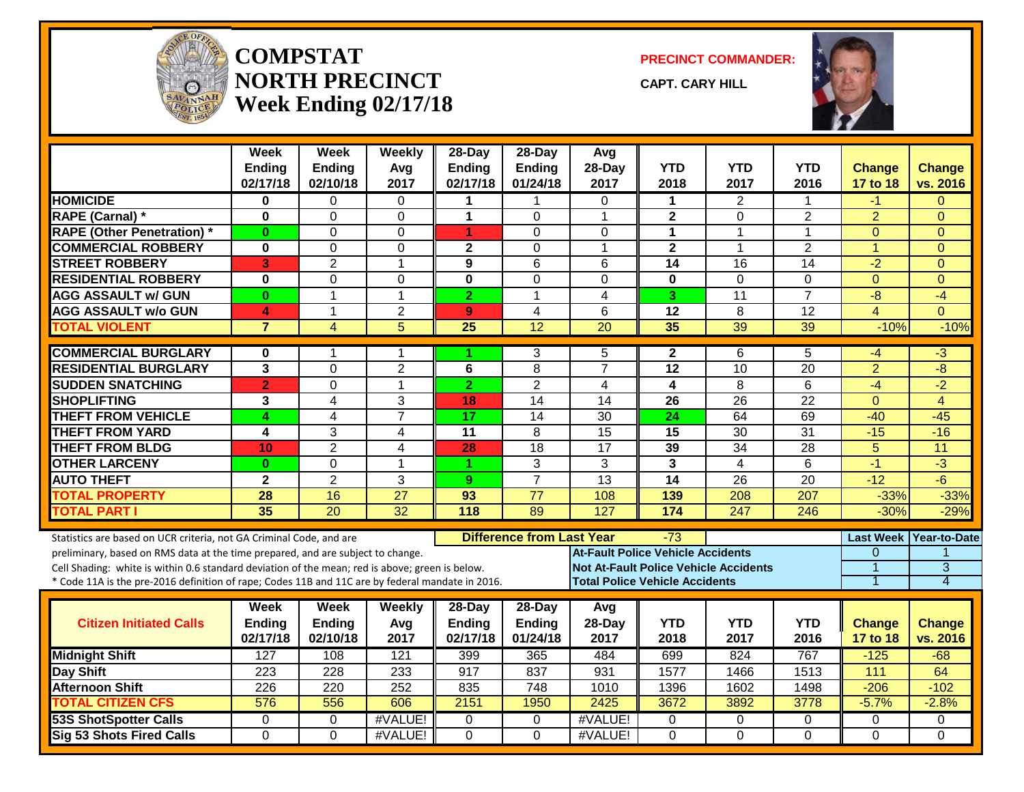

#### **COMPSTATNORTH PRECINCTWeek Ending 02/17/18**

**PRECINCT COMMANDER:**

**CAPT. CARY HILL**



|                                                                                                                                                                                                                                                                                                                                                               | <b>Week</b><br><b>Ending</b><br>02/17/18 | Week<br><b>Ending</b><br>02/10/18 | Weekly<br>Avg<br>2017 | 28-Day<br><b>Ending</b><br>02/17/18 | $28-Dav$<br><b>Ending</b><br>01/24/18 | Avq<br>28-Day<br>2017                                                                                                             | <b>YTD</b><br>2018      | <b>YTD</b><br>2017      | YTD<br>2016        | <b>Change</b><br>17 to 18                          | <b>Change</b><br>vs. 2016                       |
|---------------------------------------------------------------------------------------------------------------------------------------------------------------------------------------------------------------------------------------------------------------------------------------------------------------------------------------------------------------|------------------------------------------|-----------------------------------|-----------------------|-------------------------------------|---------------------------------------|-----------------------------------------------------------------------------------------------------------------------------------|-------------------------|-------------------------|--------------------|----------------------------------------------------|-------------------------------------------------|
| <b>HOMICIDE</b>                                                                                                                                                                                                                                                                                                                                               | 0                                        | $\Omega$                          | $\Omega$              | 1                                   | 1                                     | $\Omega$                                                                                                                          | $\mathbf 1$             | 2                       | 1                  | $-1$                                               | $\Omega$                                        |
| <b>RAPE (Carnal) *</b>                                                                                                                                                                                                                                                                                                                                        | $\bf{0}$                                 | $\Omega$                          | $\Omega$              | $\mathbf{1}$                        | $\Omega$                              | 1                                                                                                                                 | $\mathbf{2}$            | $\Omega$                | $\overline{2}$     | $\overline{2}$                                     | $\Omega$                                        |
| <b>RAPE (Other Penetration) *</b>                                                                                                                                                                                                                                                                                                                             | $\bf{0}$                                 | $\Omega$                          | 0                     | 1                                   | $\Omega$                              | $\mathbf{0}$                                                                                                                      | $\mathbf 1$             | 1                       | 1                  | $\mathbf{0}$                                       | $\Omega$                                        |
| <b>COMMERCIAL ROBBERY</b>                                                                                                                                                                                                                                                                                                                                     | $\bf{0}$                                 | $\Omega$                          | $\Omega$              | $\mathbf{2}$                        | $\Omega$                              | 1                                                                                                                                 | $\mathbf{2}$            | 1                       | $\overline{2}$     | $\mathbf{1}$                                       | $\Omega$                                        |
| <b>STREET ROBBERY</b>                                                                                                                                                                                                                                                                                                                                         | 3                                        | 2                                 | $\mathbf 1$           | 9                                   | 6                                     | 6                                                                                                                                 | $\overline{14}$         | 16                      | 14                 | $-2$                                               | $\Omega$                                        |
| <b>RESIDENTIAL ROBBERY</b>                                                                                                                                                                                                                                                                                                                                    | $\bf{0}$                                 | $\Omega$                          | 0                     | $\bf{0}$                            | $\Omega$                              | $\Omega$                                                                                                                          | 0                       | $\Omega$                | $\Omega$           | $\Omega$                                           | $\Omega$                                        |
| <b>AGG ASSAULT w/ GUN</b>                                                                                                                                                                                                                                                                                                                                     | $\bf{0}$                                 | $\mathbf{1}$                      | $\mathbf{1}$          | $\overline{2}$                      | 1                                     | $\overline{4}$                                                                                                                    | 3                       | 11                      | $\overline{7}$     | -8                                                 | $-4$                                            |
| <b>AGG ASSAULT w/o GUN</b>                                                                                                                                                                                                                                                                                                                                    | 4                                        | $\mathbf 1$                       | $\overline{2}$        | 9                                   | 4                                     | 6                                                                                                                                 | 12                      | 8                       | 12                 | $\overline{4}$                                     | $\overline{0}$                                  |
| <b>TOTAL VIOLENT</b>                                                                                                                                                                                                                                                                                                                                          | $\overline{7}$                           | $\overline{4}$                    | 5                     | $\overline{25}$                     | $\overline{12}$                       | $\overline{20}$                                                                                                                   | 35                      | $\overline{39}$         | 39                 | $-10%$                                             | $-10%$                                          |
| <b>COMMERCIAL BURGLARY</b>                                                                                                                                                                                                                                                                                                                                    | 0                                        |                                   | 1                     |                                     | 3                                     | 5                                                                                                                                 | $\mathbf{2}$            | 6                       | 5                  | -4                                                 | $-3$                                            |
| <b>RESIDENTIAL BURGLARY</b>                                                                                                                                                                                                                                                                                                                                   | 3                                        | $\Omega$                          | $\overline{c}$        | 6                                   | 8                                     | $\overline{7}$                                                                                                                    | 12                      | 10                      | 20                 | $\overline{2}$                                     | -8                                              |
| <b>SUDDEN SNATCHING</b>                                                                                                                                                                                                                                                                                                                                       | $\overline{2}$                           | $\mathbf 0$                       | $\mathbf 1$           | $\overline{2}$                      | $\overline{2}$                        | $\overline{4}$                                                                                                                    | $\overline{\mathbf{4}}$ | 8                       | 6                  | $-4$                                               | $-2$                                            |
| <b>SHOPLIFTING</b>                                                                                                                                                                                                                                                                                                                                            | 3                                        | $\overline{4}$                    | 3                     | 18                                  | $\overline{14}$                       | $\overline{14}$                                                                                                                   | $\overline{26}$         | $\overline{26}$         | $\overline{22}$    | $\overline{0}$                                     | $\overline{4}$                                  |
| <b>THEFT FROM VEHICLE</b>                                                                                                                                                                                                                                                                                                                                     | 4                                        | 4                                 | $\overline{7}$        | 17                                  | 14                                    | $\overline{30}$                                                                                                                   | 24                      | 64                      | 69                 | $-40$                                              | $-45$                                           |
| <b>THEFT FROM YARD</b>                                                                                                                                                                                                                                                                                                                                        | 4                                        | 3                                 | $\overline{4}$        | $\overline{11}$                     | 8                                     | 15                                                                                                                                | 15                      | $\overline{30}$         | $\overline{31}$    | $-15$                                              | $-16$                                           |
| <b>THEFT FROM BLDG</b>                                                                                                                                                                                                                                                                                                                                        | 10                                       | $\overline{2}$                    | 4                     | 28                                  | 18                                    | $\overline{17}$                                                                                                                   | 39                      | 34                      | 28                 | 5                                                  | 11                                              |
| <b>OTHER LARCENY</b>                                                                                                                                                                                                                                                                                                                                          | $\bf{0}$                                 | $\Omega$                          | $\mathbf{1}$          | 1.                                  | 3                                     | 3                                                                                                                                 | $\overline{3}$          | $\overline{\mathbf{4}}$ | 6                  | $-1$                                               | $\overline{3}$                                  |
| <b>AUTO THEFT</b>                                                                                                                                                                                                                                                                                                                                             | $\overline{2}$                           | 2                                 | 3                     | 9                                   | $\overline{7}$                        | $\overline{13}$                                                                                                                   | $\overline{14}$         | 26                      | $\overline{20}$    | $-12$                                              | -6                                              |
| <b>TOTAL PROPERTY</b>                                                                                                                                                                                                                                                                                                                                         | 28                                       | 16                                | $\overline{27}$       | 93                                  | $\overline{77}$                       | 108                                                                                                                               | 139                     | 208                     | 207                | $-33%$                                             | $-33%$                                          |
| <b>TOTAL PART I</b>                                                                                                                                                                                                                                                                                                                                           | 35                                       | $\overline{20}$                   | $\overline{32}$       | $\overline{118}$                    | 89                                    | $\overline{127}$                                                                                                                  | 174                     | $\overline{247}$        | $\overline{246}$   | $-30%$                                             | $-29%$                                          |
| Statistics are based on UCR criteria, not GA Criminal Code, and are<br>preliminary, based on RMS data at the time prepared, and are subject to change.<br>Cell Shading: white is within 0.6 standard deviation of the mean; red is above; green is below.<br>* Code 11A is the pre-2016 definition of rape; Codes 11B and 11C are by federal mandate in 2016. |                                          |                                   |                       |                                     | <b>Difference from Last Year</b>      | <b>At-Fault Police Vehicle Accidents</b><br><b>Not At-Fault Police Vehicle Accidents</b><br><b>Total Police Vehicle Accidents</b> | -73                     |                         |                    | $\Omega$<br>$\overline{1}$<br>$\blacktriangleleft$ | Last Week   Year-to-Date<br>$\overline{3}$<br>4 |
| <b>Citizen Initiated Calls</b>                                                                                                                                                                                                                                                                                                                                | Week<br>Ending<br>02/17/18               | Week<br><b>Ending</b><br>02/10/18 | Weekly<br>Avg<br>2017 | 28-Day<br>Ending<br>02/17/18        | 28-Day<br>Ending<br>01/24/18          | Avg<br>28-Day<br>2017                                                                                                             | <b>YTD</b><br>2018      | <b>YTD</b><br>2017      | <b>YTD</b><br>2016 | <b>Change</b><br>17 to 18                          | <b>Change</b><br>vs. 2016                       |
| <b>Midnight Shift</b>                                                                                                                                                                                                                                                                                                                                         | 127                                      | 108                               | $\overline{121}$      | 399                                 | 365                                   | 484                                                                                                                               | 699                     | 824                     | 767                | $-125$                                             | $-68$                                           |
| <b>Day Shift</b>                                                                                                                                                                                                                                                                                                                                              | 223                                      | 228                               | 233                   | 917                                 | 837                                   | 931                                                                                                                               | 1577                    | 1466                    | 1513               | 111                                                | 64                                              |
| <b>Afternoon Shift</b>                                                                                                                                                                                                                                                                                                                                        | 226                                      | 220                               | 252                   | 835                                 | 748                                   | 1010                                                                                                                              | 1396                    | 1602                    | 1498               | $-206$                                             | $-102$                                          |
| <b>TOTAL CITIZEN CFS</b>                                                                                                                                                                                                                                                                                                                                      | 576                                      | 556                               | 606                   | 2151                                | 1950                                  | 2425                                                                                                                              | 3672                    | 3892                    | 3778               | $-5.7%$                                            | $-2.8%$                                         |
| <b>53S ShotSpotter Calls</b>                                                                                                                                                                                                                                                                                                                                  | $\mathbf 0$                              | $\mathbf 0$                       | #VALUE!               | $\Omega$                            | $\mathbf 0$                           | #VALUE!                                                                                                                           | 0                       | $\mathbf 0$             | 0                  | 0                                                  | 0                                               |
| <b>Sig 53 Shots Fired Calls</b>                                                                                                                                                                                                                                                                                                                               | $\Omega$                                 | $\Omega$                          | #VALUE!               | $\Omega$                            | $\Omega$                              | #VALUE!                                                                                                                           | $\Omega$                | $\Omega$                | $\Omega$           | $\Omega$                                           | $\Omega$                                        |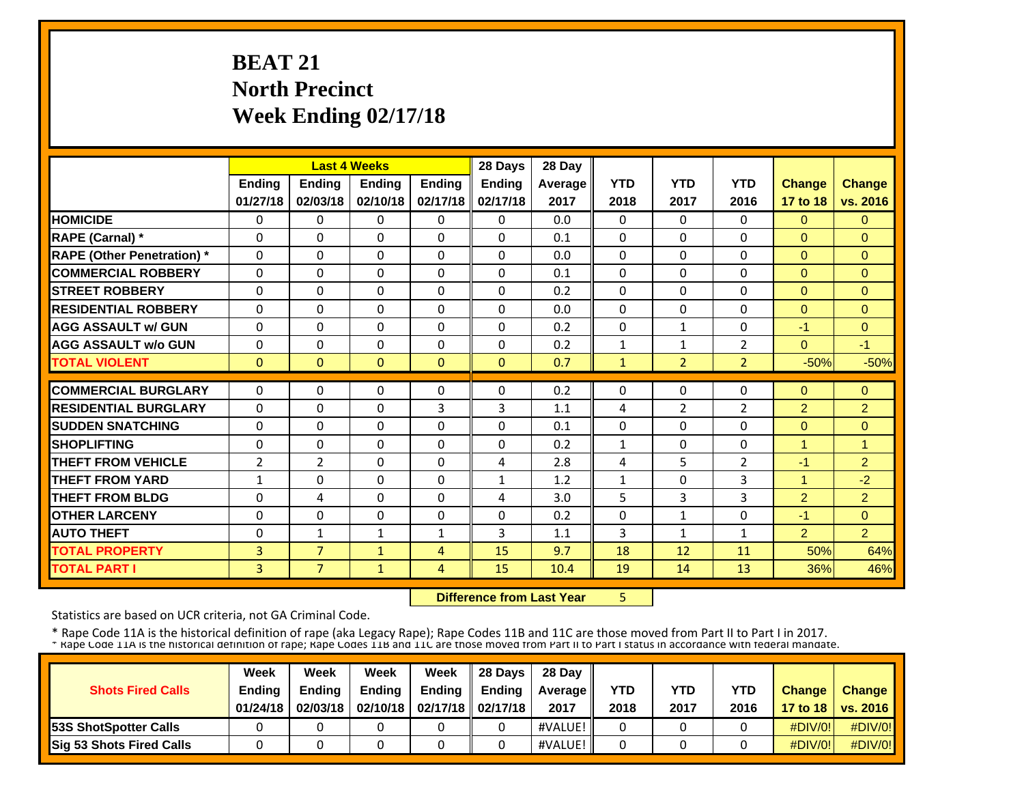# **BEAT 21 North Precinct Week Ending 02/17/18**

|                                   |               |                | <b>Last 4 Weeks</b> |                | 28 Days       | 28 Day  |              |                |                |                |                |
|-----------------------------------|---------------|----------------|---------------------|----------------|---------------|---------|--------------|----------------|----------------|----------------|----------------|
|                                   | <b>Ending</b> | <b>Ending</b>  | <b>Endina</b>       | <b>Ending</b>  | <b>Ending</b> | Average | <b>YTD</b>   | <b>YTD</b>     | <b>YTD</b>     | Change         | <b>Change</b>  |
|                                   | 01/27/18      | 02/03/18       | 02/10/18            | 02/17/18       | 02/17/18      | 2017    | 2018         | 2017           | 2016           | 17 to 18       | vs. 2016       |
| <b>HOMICIDE</b>                   | $\Omega$      | $\Omega$       | $\Omega$            | $\Omega$       | 0             | 0.0     | $\Omega$     | $\Omega$       | 0              | $\Omega$       | $\Omega$       |
| <b>RAPE (Carnal)</b> *            | $\Omega$      | $\Omega$       | $\Omega$            | $\Omega$       | $\Omega$      | 0.1     | $\Omega$     | $\Omega$       | $\Omega$       | $\Omega$       | $\Omega$       |
| <b>RAPE (Other Penetration)</b> * | $\Omega$      | $\Omega$       | $\Omega$            | $\Omega$       | $\Omega$      | 0.0     | $\Omega$     | 0              | $\Omega$       | $\Omega$       | $\Omega$       |
| <b>COMMERCIAL ROBBERY</b>         | $\Omega$      | $\Omega$       | $\Omega$            | $\Omega$       | $\Omega$      | 0.1     | $\Omega$     | 0              | $\Omega$       | $\Omega$       | $\Omega$       |
| <b>ISTREET ROBBERY</b>            | $\Omega$      | $\Omega$       | $\Omega$            | $\Omega$       | $\Omega$      | 0.2     | $\Omega$     | 0              | $\Omega$       | $\Omega$       | $\Omega$       |
| <b>IRESIDENTIAL ROBBERY</b>       | $\Omega$      | $\Omega$       | $\Omega$            | $\mathbf{0}$   | $\Omega$      | 0.0     | $\Omega$     | 0              | 0              | $\Omega$       | $\Omega$       |
| <b>AGG ASSAULT w/ GUN</b>         | $\Omega$      | $\Omega$       | $\Omega$            | $\Omega$       | $\Omega$      | 0.2     | $\mathbf{0}$ | $\mathbf{1}$   | $\Omega$       | $-1$           | $\Omega$       |
| <b>AGG ASSAULT w/o GUN</b>        | $\Omega$      | $\Omega$       | $\Omega$            | $\Omega$       | $\Omega$      | 0.2     | $\mathbf{1}$ | $\mathbf{1}$   | $\overline{2}$ | $\Omega$       | $-1$           |
| <b>TOTAL VIOLENT</b>              | $\mathbf{0}$  | $\Omega$       | $\Omega$            | $\mathbf{0}$   | $\Omega$      | 0.7     | $\mathbf{1}$ | $\overline{2}$ | $\overline{2}$ | $-50%$         | $-50%$         |
| <b>COMMERCIAL BURGLARY</b>        | $\Omega$      | $\Omega$       | $\Omega$            | $\mathbf{0}$   | $\Omega$      | 0.2     | $\Omega$     | 0              | 0              | $\Omega$       | $\Omega$       |
| <b>RESIDENTIAL BURGLARY</b>       | $\Omega$      | $\Omega$       | $\Omega$            | 3              | 3             | 1.1     | 4            | $\overline{2}$ | 2              | $\overline{2}$ | $\overline{2}$ |
| <b>ISUDDEN SNATCHING</b>          | $\Omega$      | $\Omega$       | $\Omega$            | $\mathbf{0}$   | $\Omega$      | 0.1     | $\Omega$     | 0              | 0              | $\Omega$       | $\Omega$       |
| <b>SHOPLIFTING</b>                | $\Omega$      | $\Omega$       | $\Omega$            | $\mathbf{0}$   | 0             | 0.2     | $\mathbf{1}$ | 0              | 0              | $\mathbf{1}$   | $\overline{1}$ |
| <b>THEFT FROM VEHICLE</b>         | 2             | $\overline{2}$ | $\Omega$            | $\mathbf{0}$   | 4             | 2.8     | 4            | 5              | $\overline{2}$ | $-1$           | $\overline{2}$ |
| <b>THEFT FROM YARD</b>            | 1             | $\Omega$       | $\Omega$            | $\mathbf{0}$   | $\mathbf{1}$  | 1.2     | 1            | 0              | 3              | $\mathbf{1}$   | $-2$           |
| <b>THEFT FROM BLDG</b>            | 0             | 4              | $\Omega$            | $\Omega$       | 4             | 3.0     | 5            | 3              | 3              | $\overline{2}$ | 2              |
| <b>OTHER LARCENY</b>              | $\Omega$      | 0              | $\Omega$            | $\Omega$       | 0             | 0.2     | 0            | $\mathbf{1}$   | 0              | $-1$           | $\Omega$       |
| <b>AUTO THEFT</b>                 | $\Omega$      | $\mathbf{1}$   | $\mathbf{1}$        | $\mathbf{1}$   | 3             | 1.1     | 3            | 1              | $\mathbf{1}$   | 2              | $\overline{2}$ |
| <b>TOTAL PROPERTY</b>             | 3             | $\overline{7}$ | $\mathbf{1}$        | $\overline{4}$ | 15            | 9.7     | 18           | 12             | 11             | 50%            | 64%            |
| <b>TOTAL PART I</b>               | 3             | $\overline{7}$ | $\mathbf{1}$        | 4              | 15            | 10.4    | 19           | 14             | 13             | 36%            | 46%            |

 **Difference from Last Year**

5

Statistics are based on UCR criteria, not GA Criminal Code.

|                              | Week          | Week          | Week          | Week                           | 28 Davs       | 28 Day     |            |      |            |               |                     |
|------------------------------|---------------|---------------|---------------|--------------------------------|---------------|------------|------------|------|------------|---------------|---------------------|
| <b>Shots Fired Calls</b>     | <b>Ending</b> | <b>Ending</b> | <b>Ending</b> | Ending                         | <b>Endina</b> | Average II | <b>YTD</b> | YTD  | <b>YTD</b> | <b>Change</b> | <b>Change</b>       |
|                              | 01/24/18      | 02/03/18      |               | 02/10/18   02/17/18   02/17/18 |               | 2017       | 2018       | 2017 | 2016       |               | 17 to 18   vs. 2016 |
| <b>53S ShotSpotter Calls</b> |               |               |               |                                |               | #VALUE!    |            |      |            | $\#$ DIV/0!   | $\#$ DIV/0!         |
| Sig 53 Shots Fired Calls     |               |               |               |                                |               | #VALUE!    |            |      |            | $\#$ DIV/0!   | #DIV/0!             |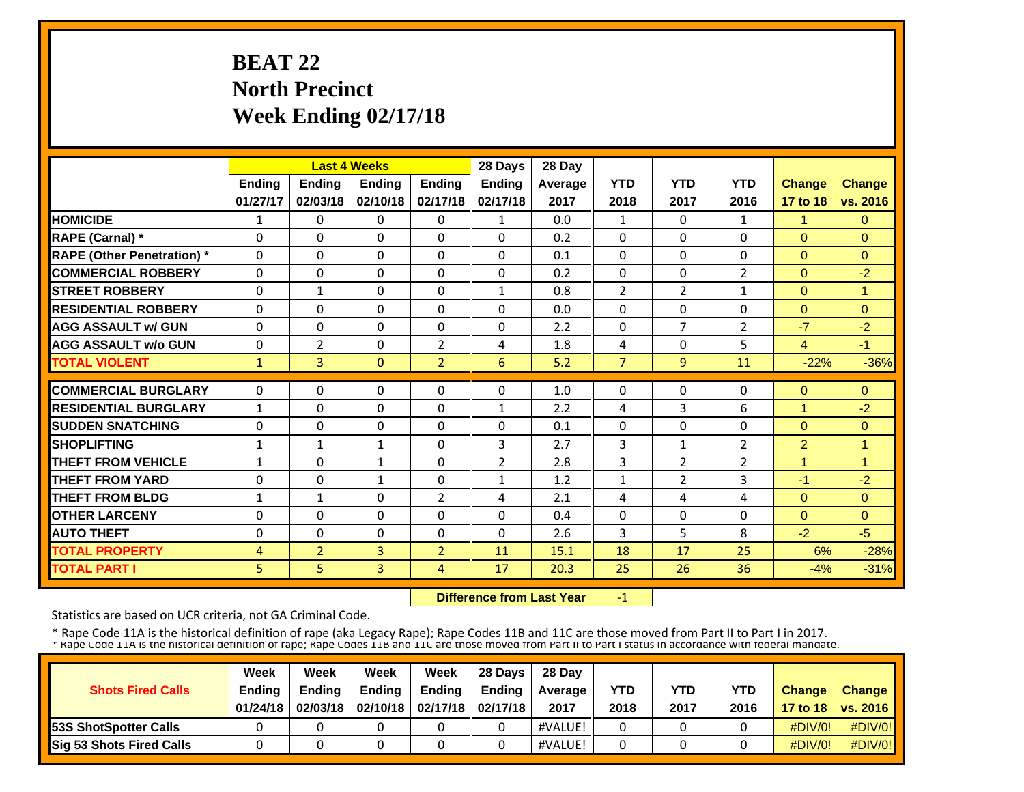# **BEAT 22 North Precinct Week Ending 02/17/18**

|                                   |              |                | <b>Last 4 Weeks</b> |                | 28 Days      | 28 Day         |                |                |                |                      |                |
|-----------------------------------|--------------|----------------|---------------------|----------------|--------------|----------------|----------------|----------------|----------------|----------------------|----------------|
|                                   | Ending       | <b>Ending</b>  | <b>Ending</b>       | Ending         | Ending       | <b>Average</b> | <b>YTD</b>     | <b>YTD</b>     | <b>YTD</b>     | <b>Change</b>        | <b>Change</b>  |
|                                   | 01/27/17     | 02/03/18       | 02/10/18            | 02/17/18       | 02/17/18     | 2017           | 2018           | 2017           | 2016           | 17 to 18             | vs. 2016       |
| <b>HOMICIDE</b>                   | 1            | $\Omega$       | $\Omega$            | $\Omega$       | $\mathbf{1}$ | 0.0            | 1              | $\Omega$       | 1              | $\mathbf{1}$         | $\Omega$       |
| <b>RAPE (Carnal) *</b>            | $\Omega$     | 0              | $\Omega$            | $\Omega$       | $\Omega$     | 0.2            | $\Omega$       | 0              | $\Omega$       | $\Omega$             | $\Omega$       |
| <b>RAPE (Other Penetration)</b> * | $\Omega$     | $\Omega$       | $\Omega$            | $\Omega$       | $\Omega$     | 0.1            | $\Omega$       | $\Omega$       | $\Omega$       | $\overline{0}$       | $\Omega$       |
| <b>COMMERCIAL ROBBERY</b>         | $\Omega$     | $\Omega$       | $\mathbf{0}$        | $\Omega$       | $\Omega$     | 0.2            | $\Omega$       | 0              | 2              | $\Omega$             | $-2$           |
| <b>STREET ROBBERY</b>             | $\Omega$     | $\mathbf{1}$   | $\mathbf{0}$        | $\Omega$       | 1            | 0.8            | $\overline{2}$ | 2              | 1              | $\Omega$             | $\overline{1}$ |
| <b>RESIDENTIAL ROBBERY</b>        | $\Omega$     | $\Omega$       | $\Omega$            | $\Omega$       | $\Omega$     | 0.0            | $\Omega$       | $\Omega$       | $\Omega$       | $\Omega$             | $\Omega$       |
| <b>AGG ASSAULT w/ GUN</b>         | $\Omega$     | $\Omega$       | $\Omega$            | $\Omega$       | $\Omega$     | 2.2            | $\Omega$       | $\overline{7}$ | $\overline{2}$ | $-7$                 | $-2$           |
| <b>AGG ASSAULT w/o GUN</b>        | $\Omega$     | $\overline{2}$ | $\Omega$            | $\overline{2}$ | 4            | 1.8            | 4              | $\Omega$       | 5              | $\overline{4}$       | $-1$           |
| <b>TOTAL VIOLENT</b>              | $\mathbf{1}$ | $\overline{3}$ | $\Omega$            | $\overline{2}$ | 6            | 5.2            | $\overline{7}$ | $\overline{9}$ | 11             | $-22%$               | $-36%$         |
| <b>COMMERCIAL BURGLARY</b>        | $\Omega$     | $\Omega$       | $\mathbf{0}$        | $\Omega$       | $\Omega$     | 1.0            | $\Omega$       | 0              | $\Omega$       | $\Omega$             | $\Omega$       |
| <b>RESIDENTIAL BURGLARY</b>       | $\mathbf{1}$ | $\Omega$       | $\mathbf{0}$        | $\Omega$       | 1            | 2.2            | 4              | 3              | 6              | $\mathbf{1}$         | $-2$           |
| <b>SUDDEN SNATCHING</b>           | 0            | $\Omega$       | $\Omega$            | $\Omega$       | $\Omega$     | 0.1            | $\Omega$       | $\Omega$       | $\Omega$       | $\Omega$             | $\Omega$       |
| <b>SHOPLIFTING</b>                | $\mathbf{1}$ | $\mathbf{1}$   | $\mathbf{1}$        | $\Omega$       | 3            | 2.7            | 3              | $\mathbf{1}$   | $\overline{2}$ | $\overline{2}$       | $\overline{1}$ |
| <b>THEFT FROM VEHICLE</b>         | $\mathbf{1}$ | 0              | $\mathbf{1}$        | $\Omega$       | 2            | 2.8            | 3              | $\overline{2}$ | $\overline{2}$ | $\blacktriangleleft$ | 4              |
| <b>THEFT FROM YARD</b>            | 0            | $\Omega$       | $\mathbf{1}$        | 0              | 1            | 1.2            | 1              | $\overline{2}$ | 3              | $-1$                 | $-2$           |
| <b>THEFT FROM BLDG</b>            | 1            | 1              | $\Omega$            | 2              | 4            | 2.1            | 4              | 4              | 4              | $\Omega$             | $\Omega$       |
| <b>OTHER LARCENY</b>              | $\Omega$     | $\Omega$       | $\Omega$            | $\Omega$       | $\Omega$     | 0.4            | $\Omega$       | $\Omega$       | $\Omega$       | $\Omega$             | $\Omega$       |
| <b>AUTO THEFT</b>                 | $\Omega$     | $\Omega$       | $\Omega$            | $\Omega$       | $\Omega$     | 2.6            | 3              | 5              | 8              | $-2$                 | $-5$           |
| <b>TOTAL PROPERTY</b>             | 4            | $\overline{2}$ | 3                   | $\overline{2}$ | 11           | 15.1           | 18             | 17             | 25             | 6%                   | $-28%$         |
| <b>TOTAL PART I</b>               | 5            | 5              | $\overline{3}$      | 4              | 17           | 20.3           | 25             | 26             | 36             | $-4%$                | $-31%$         |

 **Difference from Last Year**‐1

Statistics are based on UCR criteria, not GA Criminal Code.

|                               | Week     | Week          | Week          | Week                           | 28 Davs       | 28 Day         |            |            |            |               |                     |
|-------------------------------|----------|---------------|---------------|--------------------------------|---------------|----------------|------------|------------|------------|---------------|---------------------|
| <b>Shots Fired Calls</b>      | Ending   | <b>Ending</b> | <b>Ending</b> | <b>Ending</b>                  | <b>Endina</b> | <b>Average</b> | <b>YTD</b> | <b>YTD</b> | <b>YTD</b> | <b>Change</b> | <b>Change</b>       |
|                               | 01/24/18 | 02/03/18      |               | 02/10/18   02/17/18   02/17/18 |               | 2017           | 2018       | 2017       | 2016       |               | 17 to 18   vs. 2016 |
| <b>153S ShotSpotter Calls</b> |          |               |               |                                |               | #VALUE!        |            |            |            | $\#$ DIV/0!   | $\#$ DIV/0!         |
| Sig 53 Shots Fired Calls      |          |               |               |                                |               | #VALUE!        |            |            |            | $\#$ DIV/0!   | #DIV/0!             |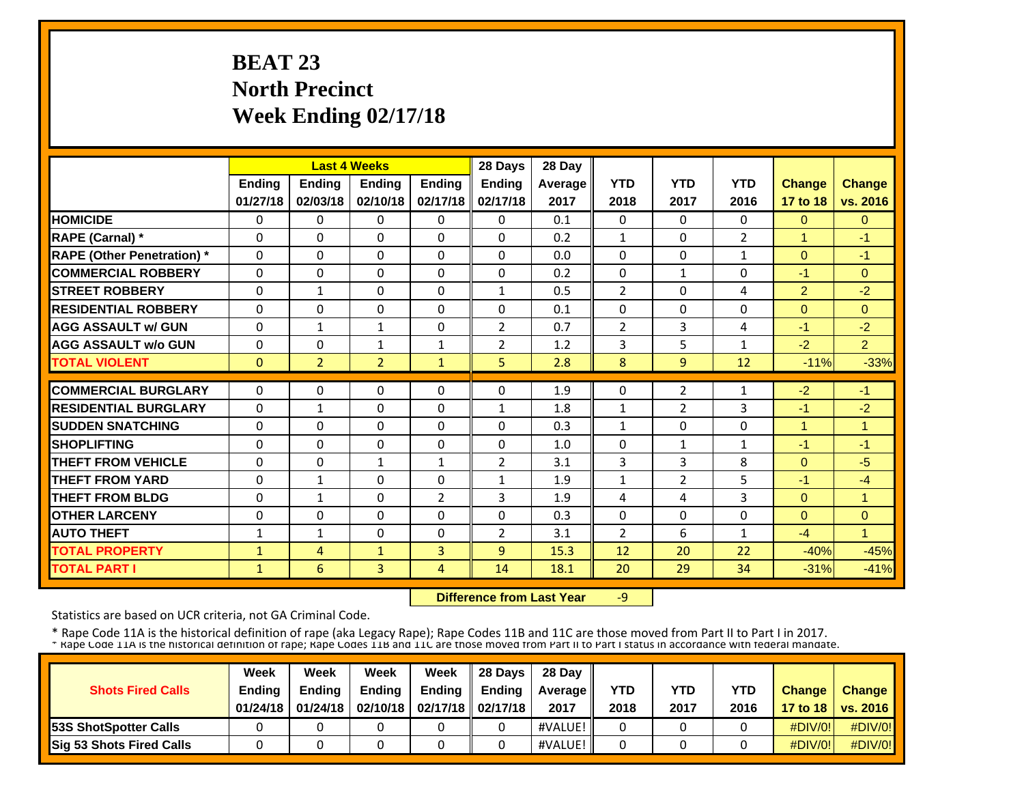# **BEAT 23 North Precinct Week Ending 02/17/18**

|                                   |               |                | <b>Last 4 Weeks</b> |              | 28 Days        | 28 Day  |                |                |                |                |                |
|-----------------------------------|---------------|----------------|---------------------|--------------|----------------|---------|----------------|----------------|----------------|----------------|----------------|
|                                   | <b>Ending</b> | <b>Ending</b>  | Ending              | Ending       | Ending         | Average | <b>YTD</b>     | <b>YTD</b>     | <b>YTD</b>     | <b>Change</b>  | <b>Change</b>  |
|                                   | 01/27/18      | 02/03/18       | 02/10/18            | 02/17/18     | 02/17/18       | 2017    | 2018           | 2017           | 2016           | 17 to 18       | vs. 2016       |
| <b>HOMICIDE</b>                   | $\Omega$      | $\Omega$       | $\Omega$            | $\Omega$     | $\Omega$       | 0.1     | $\Omega$       | $\Omega$       | $\Omega$       | $\Omega$       | $\Omega$       |
| RAPE (Carnal) *                   | $\Omega$      | $\Omega$       | $\Omega$            | $\Omega$     | $\Omega$       | 0.2     | $\mathbf{1}$   | $\Omega$       | $\overline{2}$ | $\mathbf{1}$   | $-1$           |
| <b>RAPE (Other Penetration)</b> * | $\Omega$      | $\Omega$       | $\Omega$            | $\Omega$     | $\Omega$       | 0.0     | $\Omega$       | $\Omega$       | 1              | $\Omega$       | $-1$           |
| <b>COMMERCIAL ROBBERY</b>         | $\Omega$      | $\Omega$       | $\Omega$            | $\Omega$     | $\Omega$       | 0.2     | $\Omega$       | $\mathbf{1}$   | $\Omega$       | $-1$           | $\Omega$       |
| <b>STREET ROBBERY</b>             | $\Omega$      | $\mathbf{1}$   | $\Omega$            | $\Omega$     | $\mathbf{1}$   | 0.5     | $\overline{2}$ | $\Omega$       | 4              | $\overline{2}$ | $-2$           |
| <b>RESIDENTIAL ROBBERY</b>        | $\Omega$      | $\Omega$       | $\Omega$            | $\Omega$     | $\Omega$       | 0.1     | $\Omega$       | 0              | $\Omega$       | $\Omega$       | $\Omega$       |
| <b>AGG ASSAULT w/ GUN</b>         | 0             | $\mathbf{1}$   | $\mathbf{1}$        | 0            | $\overline{2}$ | 0.7     | $\overline{2}$ | 3              | 4              | $-1$           | $-2$           |
| <b>AGG ASSAULT w/o GUN</b>        | 0             | 0              | $\mathbf{1}$        | 1            | $\overline{2}$ | 1.2     | 3              | 5              | 1              | $-2$           | $\overline{2}$ |
| <b>TOTAL VIOLENT</b>              | $\mathbf{0}$  | $\overline{2}$ | $\overline{2}$      | $\mathbf{1}$ | 5              | 2.8     | 8              | $\overline{9}$ | 12             | $-11%$         | $-33%$         |
| <b>COMMERCIAL BURGLARY</b>        | $\Omega$      | $\Omega$       | $\Omega$            | $\Omega$     | $\Omega$       | 1.9     | $\Omega$       | $\overline{2}$ | 1              | $-2$           | $-1$           |
| <b>RESIDENTIAL BURGLARY</b>       | $\Omega$      | $\mathbf{1}$   | $\Omega$            | $\Omega$     | $\mathbf{1}$   | 1.8     | $\mathbf 1$    | $\overline{2}$ | 3              | $-1$           | $-2$           |
| <b>SUDDEN SNATCHING</b>           | $\Omega$      | 0              | $\Omega$            | $\Omega$     | $\Omega$       | 0.3     | $\mathbf{1}$   | 0              | $\Omega$       | $\mathbf{1}$   | 1              |
| <b>SHOPLIFTING</b>                | 0             | 0              | 0                   | $\Omega$     | $\Omega$       | 1.0     | 0              | $\mathbf{1}$   | $\mathbf{1}$   | $-1$           | $-1$           |
| <b>THEFT FROM VEHICLE</b>         | 0             | 0              | $\mathbf{1}$        | 1            | $\overline{2}$ | 3.1     | 3              | 3              | 8              | $\Omega$       | $-5$           |
| <b>THEFT FROM YARD</b>            | 0             | $\mathbf{1}$   | $\Omega$            | $\Omega$     | $\mathbf{1}$   | 1.9     | 1              | $\overline{2}$ | 5              | $-1$           | $-4$           |
| <b>THEFT FROM BLDG</b>            | 0             | $\mathbf{1}$   | $\Omega$            | 2            | 3              | 1.9     | 4              | 4              | 3              | $\Omega$       | $\overline{1}$ |
| <b>OTHER LARCENY</b>              | $\Omega$      | $\Omega$       | $\Omega$            | $\Omega$     | $\Omega$       | 0.3     | $\Omega$       | $\Omega$       | $\Omega$       | $\Omega$       | $\Omega$       |
| <b>AUTO THEFT</b>                 | $\mathbf{1}$  | $\mathbf{1}$   | $\Omega$            | $\Omega$     | $\overline{2}$ | 3.1     | $\overline{2}$ | 6              | 1              | $-4$           | 4              |
| <b>TOTAL PROPERTY</b>             | $\mathbf{1}$  | 4              | $\mathbf{1}$        | 3            | 9              | 15.3    | 12             | 20             | 22             | $-40%$         | $-45%$         |
| <b>TOTAL PART I</b>               | $\mathbf{1}$  | 6              | 3                   | 4            | 14             | 18.1    | 20             | 29             | 34             | $-31%$         | $-41%$         |

 **Difference from Last Year** $-9$ 

Statistics are based on UCR criteria, not GA Criminal Code.

|                               | Week          | Week          | Week          | Week                           | 28 Davs       | 28 Day         |            |            |            |               |                              |
|-------------------------------|---------------|---------------|---------------|--------------------------------|---------------|----------------|------------|------------|------------|---------------|------------------------------|
| <b>Shots Fired Calls</b>      | <b>Ending</b> | <b>Ending</b> | <b>Ending</b> | <b>Ending</b>                  | <b>Ending</b> | <b>Average</b> | <b>YTD</b> | <b>YTD</b> | <b>YTD</b> | <b>Change</b> | <b>Change</b>                |
|                               | 01/24/18      | 01/24/18      |               | 02/10/18   02/17/18   02/17/18 |               | 2017           | 2018       | 2017       | 2016       |               | <b>17 to 18   vs. 2016  </b> |
| <b>153S ShotSpotter Calls</b> |               |               |               |                                |               | #VALUE!        |            |            |            | $\#$ DIV/0!   | $\#$ DIV/0!                  |
| Sig 53 Shots Fired Calls      |               |               |               |                                |               | #VALUE!        |            |            |            | $\#$ DIV/0!   | #DIV/0!                      |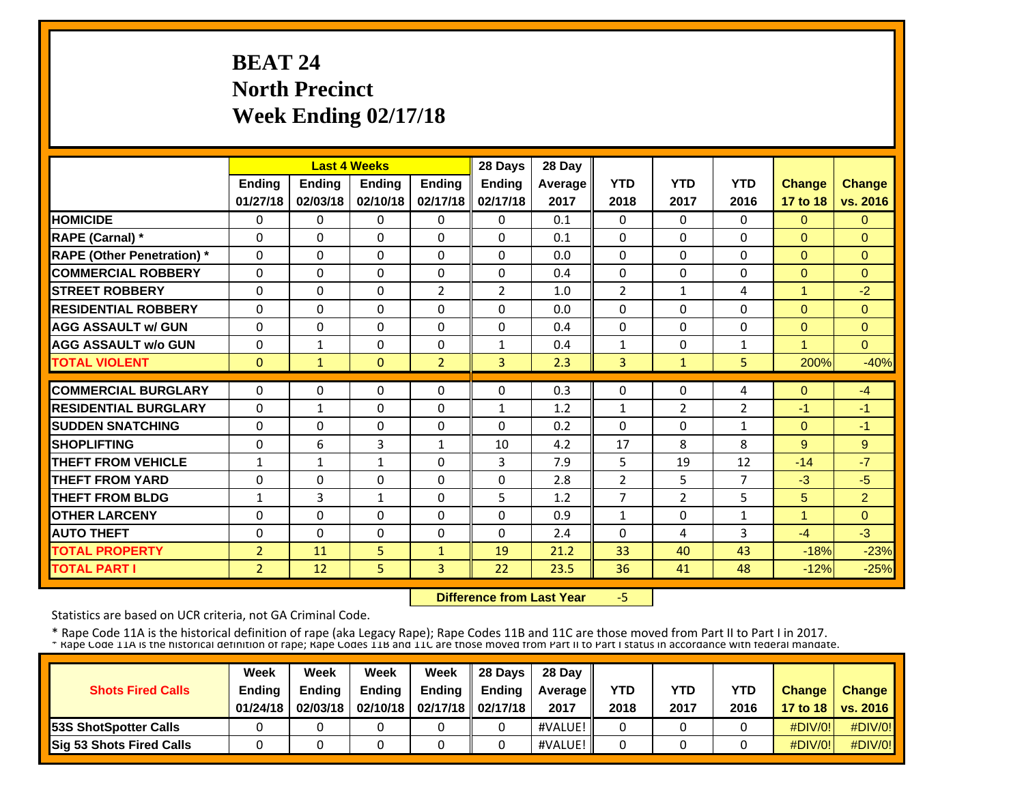# **BEAT 24 North Precinct Week Ending 02/17/18**

|                                   |                |               | <b>Last 4 Weeks</b> |                | 28 Days        | 28 Day         |                |                |                |                |                |
|-----------------------------------|----------------|---------------|---------------------|----------------|----------------|----------------|----------------|----------------|----------------|----------------|----------------|
|                                   | <b>Ending</b>  | <b>Ending</b> | <b>Endina</b>       | <b>Ending</b>  | <b>Ending</b>  | <b>Average</b> | <b>YTD</b>     | <b>YTD</b>     | <b>YTD</b>     | <b>Change</b>  | <b>Change</b>  |
|                                   | 01/27/18       | 02/03/18      | 02/10/18            | 02/17/18       | 02/17/18       | 2017           | 2018           | 2017           | 2016           | 17 to 18       | vs. 2016       |
| <b>HOMICIDE</b>                   | $\Omega$       | $\Omega$      | $\Omega$            | $\Omega$       | $\Omega$       | 0.1            | $\Omega$       | $\Omega$       | $\Omega$       | $\overline{0}$ | $\mathbf{0}$   |
| <b>RAPE (Carnal)</b> *            | $\Omega$       | 0             | $\Omega$            | $\Omega$       | $\Omega$       | 0.1            | $\Omega$       | $\Omega$       | $\Omega$       | $\Omega$       | $\Omega$       |
| <b>RAPE (Other Penetration)</b> * | $\Omega$       | $\Omega$      | $\Omega$            | $\Omega$       | $\Omega$       | 0.0            | $\Omega$       | $\Omega$       | $\Omega$       | $\Omega$       | $\Omega$       |
| <b>COMMERCIAL ROBBERY</b>         | $\Omega$       | $\Omega$      | $\mathbf{0}$        | $\Omega$       | $\Omega$       | 0.4            | $\Omega$       | 0              | $\Omega$       | $\Omega$       | $\Omega$       |
| <b>STREET ROBBERY</b>             | $\Omega$       | $\Omega$      | $\mathbf{0}$        | $\overline{2}$ | $\overline{2}$ | 1.0            | $\overline{2}$ | $\mathbf{1}$   | 4              | $\mathbf{1}$   | $-2$           |
| <b>RESIDENTIAL ROBBERY</b>        | $\Omega$       | $\Omega$      | $\Omega$            | $\Omega$       | $\Omega$       | 0.0            | $\Omega$       | $\Omega$       | $\Omega$       | $\Omega$       | $\Omega$       |
| <b>AGG ASSAULT w/ GUN</b>         | $\Omega$       | $\Omega$      | $\Omega$            | $\Omega$       | $\Omega$       | 0.4            | $\Omega$       | 0              | $\Omega$       | $\overline{0}$ | $\Omega$       |
| <b>AGG ASSAULT w/o GUN</b>        | $\Omega$       | $\mathbf{1}$  | $\Omega$            | $\Omega$       | $\mathbf{1}$   | 0.4            | 1              | 0              | 1              | 1              | $\Omega$       |
| <b>TOTAL VIOLENT</b>              | $\mathbf{0}$   | $\mathbf{1}$  | $\Omega$            | $\overline{2}$ | $\overline{3}$ | 2.3            | 3              | $\mathbf{1}$   | 5              | 200%           | $-40%$         |
| <b>COMMERCIAL BURGLARY</b>        | $\Omega$       | $\Omega$      | $\mathbf{0}$        | $\Omega$       | $\Omega$       | 0.3            | $\Omega$       | 0              | 4              | $\Omega$       | $-4$           |
| <b>RESIDENTIAL BURGLARY</b>       | $\Omega$       | $\mathbf{1}$  | $\Omega$            | $\Omega$       | 1              | 1.2            | $\mathbf{1}$   | $\overline{2}$ | $\overline{2}$ | $-1$           | $-1$           |
| <b>SUDDEN SNATCHING</b>           | $\Omega$       | 0             | $\mathbf{0}$        | $\Omega$       | $\Omega$       | 0.2            | $\Omega$       | 0              | $\mathbf{1}$   | $\Omega$       | $-1$           |
| <b>SHOPLIFTING</b>                | 0              | 6             | 3                   | 1              | 10             | 4.2            | 17             | 8              | 8              | 9              | 9              |
| <b>THEFT FROM VEHICLE</b>         | $\mathbf{1}$   | $\mathbf{1}$  | $\mathbf{1}$        | $\Omega$       | 3              | 7.9            | 5              | 19             | 12             | $-14$          | $-7$           |
| <b>THEFT FROM YARD</b>            | $\Omega$       | $\Omega$      | $\Omega$            | $\Omega$       | $\Omega$       | 2.8            | $\overline{2}$ | 5              | $\overline{7}$ | $-3$           | $-5$           |
| <b>THEFT FROM BLDG</b>            | $\mathbf{1}$   | 3             | $\mathbf{1}$        | $\Omega$       | 5              | 1.2            | $\overline{7}$ | $\overline{2}$ | 5              | 5              | $\overline{2}$ |
| <b>OTHER LARCENY</b>              | $\Omega$       | $\Omega$      | $\Omega$            | $\Omega$       | $\Omega$       | 0.9            | 1              | $\Omega$       | $\mathbf{1}$   | $\mathbf{1}$   | $\Omega$       |
| <b>AUTO THEFT</b>                 | $\Omega$       | 0             | $\Omega$            | $\Omega$       | $\Omega$       | 2.4            | $\Omega$       | 4              | 3              | $-4$           | $-3$           |
| <b>TOTAL PROPERTY</b>             | $\overline{2}$ | 11            | 5                   | $\mathbf{1}$   | 19             | 21.2           | 33             | 40             | 43             | $-18%$         | $-23%$         |
| <b>TOTAL PART I</b>               | $\overline{2}$ | 12            | 5                   | 3              | 22             | 23.5           | 36             | 41             | 48             | $-12%$         | $-25%$         |

 **Difference from Last Year**‐5

Statistics are based on UCR criteria, not GA Criminal Code.

|                               | Week     | Week          | Week          | Week                           | 28 Davs       | 28 Day         |            |            |            |               |                     |
|-------------------------------|----------|---------------|---------------|--------------------------------|---------------|----------------|------------|------------|------------|---------------|---------------------|
| <b>Shots Fired Calls</b>      | Ending   | <b>Ending</b> | <b>Ending</b> | <b>Ending</b>                  | <b>Ending</b> | <b>Average</b> | <b>YTD</b> | <b>YTD</b> | <b>YTD</b> | <b>Change</b> | <b>Change</b>       |
|                               | 01/24/18 | 02/03/18      |               | 02/10/18   02/17/18   02/17/18 |               | 2017           | 2018       | 2017       | 2016       |               | 17 to 18   vs. 2016 |
| <b>153S ShotSpotter Calls</b> |          |               |               |                                |               | #VALUE!        |            |            |            | $\#$ DIV/0!   | $\#$ DIV/0!         |
| Sig 53 Shots Fired Calls      |          |               |               |                                |               | #VALUE!        |            |            |            | $\#$ DIV/0!   | #DIV/0!             |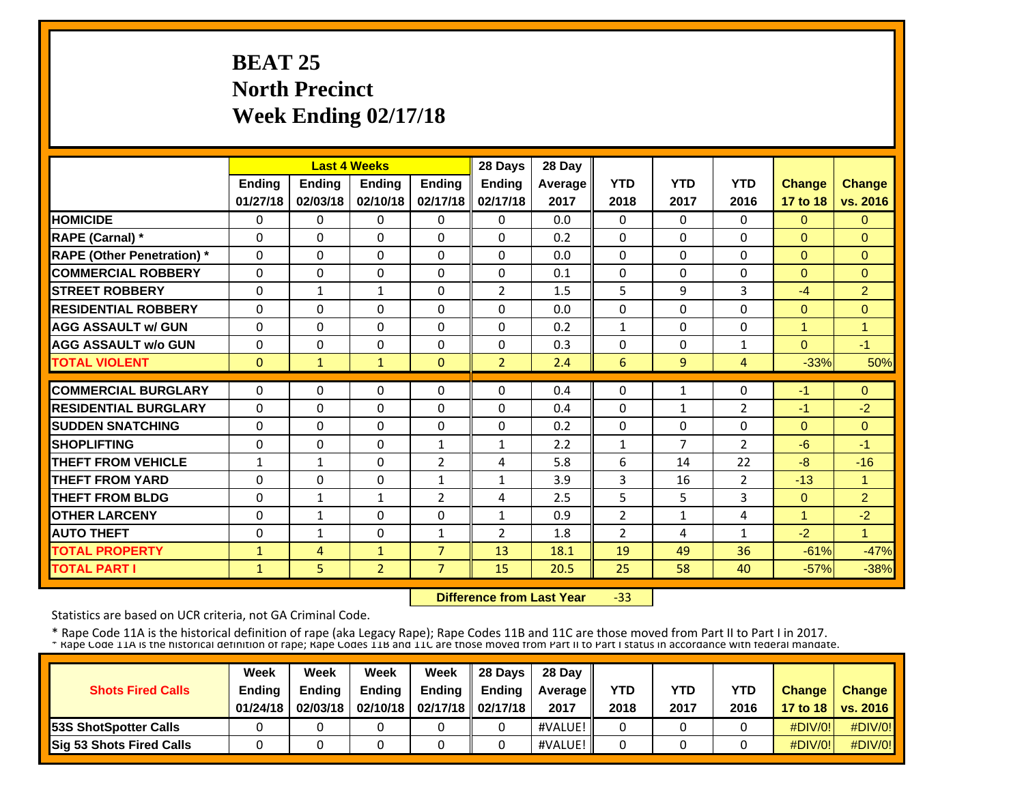# **BEAT 25 North Precinct Week Ending 02/17/18**

|                                   |               |               | <b>Last 4 Weeks</b> |                | 28 Days        | 28 Day  |                |                |                |               |                |
|-----------------------------------|---------------|---------------|---------------------|----------------|----------------|---------|----------------|----------------|----------------|---------------|----------------|
|                                   | <b>Ending</b> | <b>Ending</b> | <b>Endina</b>       | <b>Endina</b>  | <b>Ending</b>  | Average | <b>YTD</b>     | <b>YTD</b>     | <b>YTD</b>     | <b>Change</b> | <b>Change</b>  |
|                                   | 01/27/18      | 02/03/18      | 02/10/18            | 02/17/18       | 02/17/18       | 2017    | 2018           | 2017           | 2016           | 17 to 18      | vs. 2016       |
| <b>HOMICIDE</b>                   | 0             | 0             | $\Omega$            | 0              | 0              | 0.0     | $\Omega$       | $\Omega$       | 0              | $\Omega$      | $\Omega$       |
| <b>RAPE (Carnal)</b> *            | $\Omega$      | $\Omega$      | $\Omega$            | $\Omega$       | $\Omega$       | 0.2     | $\Omega$       | $\Omega$       | $\Omega$       | $\Omega$      | $\Omega$       |
| <b>RAPE (Other Penetration)</b> * | $\Omega$      | $\Omega$      | $\Omega$            | $\Omega$       | $\Omega$       | 0.0     | $\Omega$       | $\Omega$       | $\Omega$       | $\Omega$      | $\Omega$       |
| <b>COMMERCIAL ROBBERY</b>         | $\Omega$      | $\Omega$      | $\Omega$            | $\Omega$       | $\Omega$       | 0.1     | $\Omega$       | $\Omega$       | $\Omega$       | $\Omega$      | $\Omega$       |
| <b>STREET ROBBERY</b>             | $\Omega$      | $\mathbf{1}$  | $\mathbf{1}$        | $\Omega$       | 2              | 1.5     | 5              | 9              | 3              | $-4$          | $\overline{2}$ |
| <b>RESIDENTIAL ROBBERY</b>        | $\Omega$      | $\Omega$      | $\Omega$            | $\Omega$       | $\Omega$       | 0.0     | 0              | $\Omega$       | $\Omega$       | $\Omega$      | $\Omega$       |
| <b>AGG ASSAULT w/ GUN</b>         | $\Omega$      | $\Omega$      | $\Omega$            | $\Omega$       | $\Omega$       | 0.2     | $\mathbf{1}$   | $\Omega$       | $\Omega$       | 1             | 1              |
| <b>AGG ASSAULT w/o GUN</b>        | 0             | 0             | $\Omega$            | $\Omega$       | $\Omega$       | 0.3     | 0              | $\Omega$       | 1              | $\Omega$      | $-1$           |
| <b>TOTAL VIOLENT</b>              | $\Omega$      | $\mathbf{1}$  | $\mathbf{1}$        | $\Omega$       | $\overline{2}$ | 2.4     | 6              | 9              | 4              | $-33%$        | 50%            |
| <b>COMMERCIAL BURGLARY</b>        | $\Omega$      | $\Omega$      | $\mathbf{0}$        | $\Omega$       | $\Omega$       | 0.4     | $\Omega$       | $\mathbf{1}$   | 0              | $-1$          | $\Omega$       |
| <b>RESIDENTIAL BURGLARY</b>       |               |               |                     |                |                |         |                |                |                |               |                |
|                                   | $\Omega$      | $\Omega$      | $\mathbf 0$         | $\Omega$       | $\Omega$       | 0.4     | 0              | $\mathbf{1}$   | 2              | $-1$          | $-2$           |
| <b>SUDDEN SNATCHING</b>           | $\Omega$      | $\Omega$      | $\Omega$            | $\Omega$       | $\Omega$       | 0.2     | $\Omega$       | $\Omega$       | $\Omega$       | $\Omega$      | $\Omega$       |
| <b>SHOPLIFTING</b>                | $\Omega$      | $\Omega$      | $\Omega$            | $\mathbf{1}$   | $\mathbf{1}$   | 2.2     | 1              | $\overline{7}$ | 2              | $-6$          | $-1$           |
| <b>THEFT FROM VEHICLE</b>         | $\mathbf{1}$  | $\mathbf{1}$  | $\Omega$            | 2              | 4              | 5.8     | 6              | 14             | 22             | $-8$          | $-16$          |
| <b>THEFT FROM YARD</b>            | 0             | $\Omega$      | $\Omega$            | $\mathbf{1}$   | $\mathbf{1}$   | 3.9     | 3              | 16             | $\overline{2}$ | $-13$         | 1              |
| <b>THEFT FROM BLDG</b>            | 0             | $\mathbf{1}$  | $\mathbf{1}$        | 2              | 4              | 2.5     | 5              | 5              | 3              | $\Omega$      | 2              |
| <b>OTHER LARCENY</b>              | $\Omega$      | 1             | $\Omega$            | $\Omega$       | $\mathbf{1}$   | 0.9     | $\overline{2}$ | $\mathbf{1}$   | 4              | $\mathbf{1}$  | $-2$           |
| <b>AUTO THEFT</b>                 | $\Omega$      | 1             | $\Omega$            | 1              | $\overline{2}$ | 1.8     | $\overline{2}$ | 4              | $\mathbf{1}$   | $-2$          | 1              |
| <b>TOTAL PROPERTY</b>             | 1             | 4             | $\mathbf{1}$        | $\overline{7}$ | 13             | 18.1    | 19             | 49             | 36             | $-61%$        | $-47%$         |
| <b>TOTAL PART I</b>               | $\mathbf{1}$  | 5             | $\overline{2}$      | $\overline{7}$ | 15             | 20.5    | 25             | 58             | 40             | $-57%$        | $-38%$         |

 **Difference from Last Year**‐33

Statistics are based on UCR criteria, not GA Criminal Code.

|                               | Week     | Week          | Week          | Week                           | 28 Davs       | 28 Day         |            |            |            |               |                     |
|-------------------------------|----------|---------------|---------------|--------------------------------|---------------|----------------|------------|------------|------------|---------------|---------------------|
| <b>Shots Fired Calls</b>      | Ending   | <b>Ending</b> | <b>Ending</b> | <b>Ending</b>                  | <b>Ending</b> | <b>Average</b> | <b>YTD</b> | <b>YTD</b> | <b>YTD</b> | <b>Change</b> | <b>Change</b>       |
|                               | 01/24/18 | 02/03/18      |               | 02/10/18   02/17/18   02/17/18 |               | 2017           | 2018       | 2017       | 2016       |               | 17 to 18   vs. 2016 |
| <b>153S ShotSpotter Calls</b> |          |               |               |                                |               | #VALUE!        |            |            |            | $\#$ DIV/0!   | $\#$ DIV/0!         |
| Sig 53 Shots Fired Calls      |          |               |               |                                |               | #VALUE!        |            |            |            | $\#$ DIV/0!   | #DIV/0!             |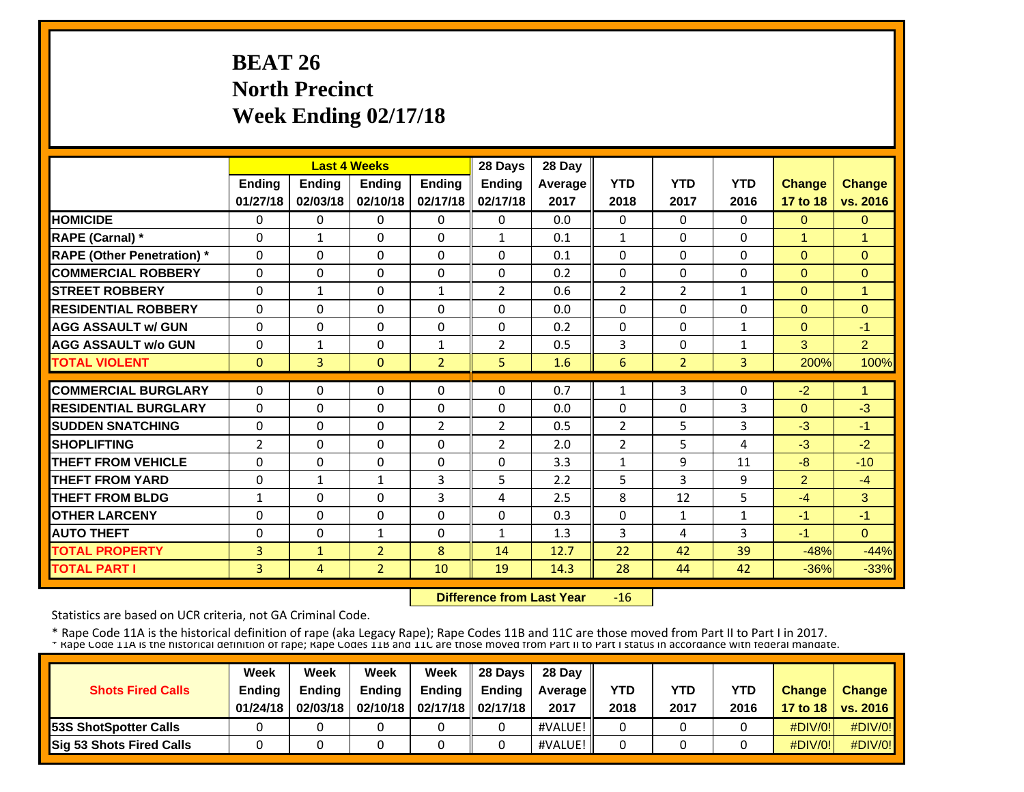# **BEAT 26 North Precinct Week Ending 02/17/18**

|                                   |                |               | <b>Last 4 Weeks</b> |                | 28 Days        | 28 Day  |                |                |              |                      |                |
|-----------------------------------|----------------|---------------|---------------------|----------------|----------------|---------|----------------|----------------|--------------|----------------------|----------------|
|                                   | <b>Ending</b>  | <b>Ending</b> | <b>Ending</b>       | <b>Ending</b>  | <b>Ending</b>  | Average | <b>YTD</b>     | <b>YTD</b>     | <b>YTD</b>   | Change               | <b>Change</b>  |
|                                   | 01/27/18       | 02/03/18      | 02/10/18            | 02/17/18       | 02/17/18       | 2017    | 2018           | 2017           | 2016         | 17 to 18             | vs. 2016       |
| <b>HOMICIDE</b>                   | $\Omega$       | 0             | $\Omega$            | $\Omega$       | $\Omega$       | 0.0     | $\Omega$       | $\Omega$       | 0            | $\Omega$             | $\Omega$       |
| <b>RAPE (Carnal)</b> *            | $\Omega$       | $\mathbf{1}$  | $\Omega$            | $\mathbf{0}$   | $\mathbf{1}$   | 0.1     | $\mathbf{1}$   | $\Omega$       | 0            | $\mathbf{1}$         | $\overline{1}$ |
| <b>RAPE (Other Penetration)</b> * | $\Omega$       | $\Omega$      | $\Omega$            | $\Omega$       | $\Omega$       | 0.1     | $\Omega$       | 0              | $\Omega$     | $\Omega$             | $\Omega$       |
| <b>COMMERCIAL ROBBERY</b>         | $\Omega$       | 0             | $\Omega$            | $\Omega$       | $\Omega$       | 0.2     | $\Omega$       | 0              | 0            | $\Omega$             | $\Omega$       |
| <b>ISTREET ROBBERY</b>            | $\Omega$       | $\mathbf{1}$  | $\Omega$            | $\mathbf{1}$   | $\overline{2}$ | 0.6     | $\overline{2}$ | $\overline{2}$ | 1            | $\Omega$             | 1              |
| <b>IRESIDENTIAL ROBBERY</b>       | $\Omega$       | $\Omega$      | $\Omega$            | $\mathbf{0}$   | $\Omega$       | 0.0     | $\Omega$       | 0              | 0            | $\Omega$             | $\Omega$       |
| <b>AGG ASSAULT w/ GUN</b>         | $\Omega$       | $\Omega$      | $\Omega$            | $\Omega$       | 0              | 0.2     | $\Omega$       | 0              | $\mathbf{1}$ | $\Omega$             | $-1$           |
| <b>AGG ASSAULT w/o GUN</b>        | $\Omega$       | $\mathbf{1}$  | $\Omega$            | $\mathbf{1}$   | $\overline{2}$ | 0.5     | 3              | 0              | $\mathbf{1}$ | 3                    | $\overline{2}$ |
| <b>TOTAL VIOLENT</b>              | $\mathbf{0}$   | 3             | $\mathbf{0}$        | 2              | 5              | 1.6     | 6              | $\overline{2}$ | 3            | 200%                 | 100%           |
| <b>COMMERCIAL BURGLARY</b>        | $\Omega$       | $\Omega$      | 0                   | $\mathbf{0}$   | $\Omega$       | 0.7     | $\mathbf{1}$   | 3              | 0            | $-2$                 | $\overline{1}$ |
| <b>RESIDENTIAL BURGLARY</b>       | $\Omega$       | 0             |                     | $\mathbf{0}$   | $\Omega$       | 0.0     |                | 0              |              |                      | $-3$           |
| <b>SUDDEN SNATCHING</b>           |                | $\Omega$      | 0<br>$\Omega$       | $\overline{2}$ | $\overline{2}$ | 0.5     | 0              | 5              | 3<br>3       | $\mathbf{0}$<br>$-3$ | $-1$           |
| <b>SHOPLIFTING</b>                | 0              | $\Omega$      |                     |                |                |         | $\overline{2}$ |                |              |                      |                |
|                                   | $\overline{2}$ |               | $\Omega$            | $\mathbf{0}$   | $\overline{2}$ | 2.0     | $\overline{2}$ | 5              | 4            | $-3$                 | $-2$           |
| <b>THEFT FROM VEHICLE</b>         | $\Omega$       | $\Omega$      | $\Omega$            | $\mathbf{0}$   | $\Omega$       | 3.3     | 1              | 9              | 11           | $-8$                 | $-10$          |
| <b>THEFT FROM YARD</b>            | 0              | $\mathbf{1}$  | $\mathbf{1}$        | 3              | 5              | 2.2     | 5              | 3              | 9            | $\overline{2}$       | $-4$           |
| <b>THEFT FROM BLDG</b>            | $\mathbf{1}$   | $\Omega$      | $\Omega$            | 3              | 4              | 2.5     | 8              | 12             | 5            | $-4$                 | 3              |
| <b>OTHER LARCENY</b>              | $\Omega$       | $\Omega$      | $\Omega$            | $\Omega$       | 0              | 0.3     | $\Omega$       | 1              | 1            | $-1$                 | $-1$           |
| <b>AUTO THEFT</b>                 | $\Omega$       | $\Omega$      | $\mathbf{1}$        | $\Omega$       | $\mathbf{1}$   | 1.3     | 3              | 4              | 3            | $-1$                 | $\Omega$       |
| <b>TOTAL PROPERTY</b>             | 3              | $\mathbf{1}$  | $\overline{2}$      | 8              | 14             | 12.7    | 22             | 42             | 39           | $-48%$               | $-44%$         |
| <b>TOTAL PART I</b>               | 3              | 4             | $\overline{2}$      | 10             | 19             | 14.3    | 28             | 44             | 42           | $-36%$               | $-33%$         |

 **Difference from Last Year** $-16$ 

Statistics are based on UCR criteria, not GA Criminal Code.

|                               | Week     | Week          | Week          | Week                           | 28 Davs       | 28 Day         |            |            |            |               |                     |
|-------------------------------|----------|---------------|---------------|--------------------------------|---------------|----------------|------------|------------|------------|---------------|---------------------|
| <b>Shots Fired Calls</b>      | Ending   | <b>Ending</b> | <b>Ending</b> | <b>Ending</b>                  | <b>Ending</b> | <b>Average</b> | <b>YTD</b> | <b>YTD</b> | <b>YTD</b> | <b>Change</b> | <b>Change</b>       |
|                               | 01/24/18 | 02/03/18      |               | 02/10/18   02/17/18   02/17/18 |               | 2017           | 2018       | 2017       | 2016       |               | 17 to 18   vs. 2016 |
| <b>153S ShotSpotter Calls</b> |          |               |               |                                |               | #VALUE!        |            |            |            | $\#$ DIV/0!   | $\#$ DIV/0!         |
| Sig 53 Shots Fired Calls      |          |               |               |                                |               | #VALUE!        |            |            |            | $\#$ DIV/0!   | #DIV/0!             |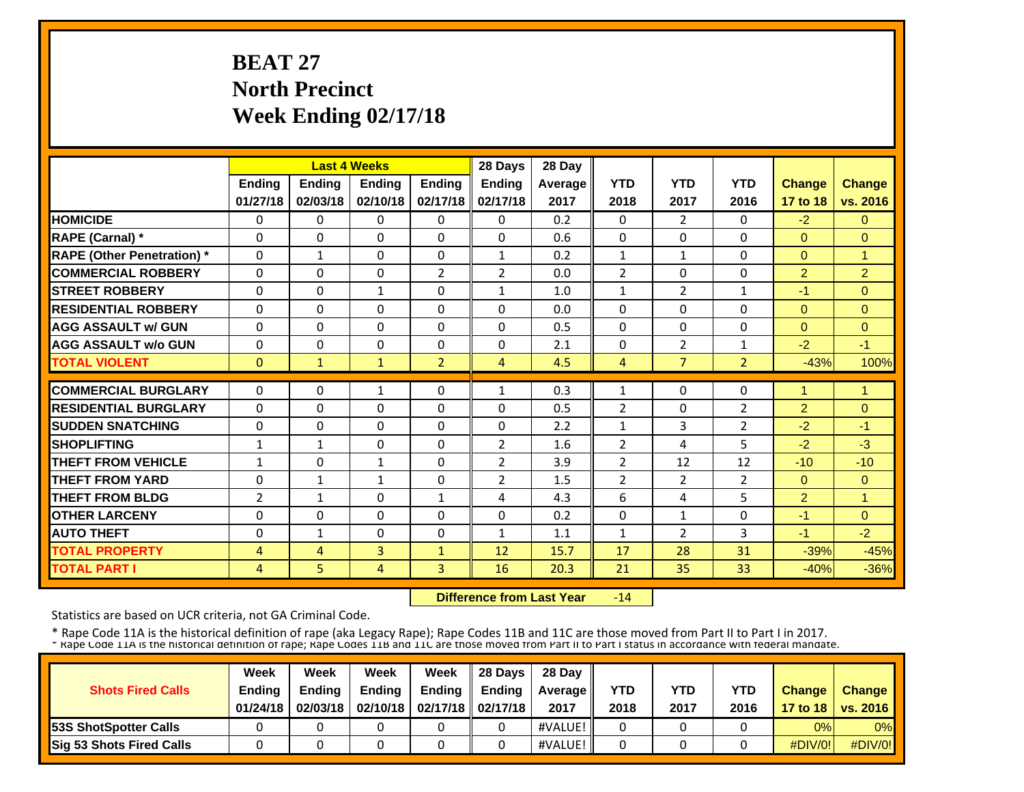# **BEAT 27 North Precinct Week Ending 02/17/18**

|                                   |                |              | <b>Last 4 Weeks</b> |                | 28 Days        | 28 Day         |                |                |                |                      |                      |
|-----------------------------------|----------------|--------------|---------------------|----------------|----------------|----------------|----------------|----------------|----------------|----------------------|----------------------|
|                                   | Ending         | Ending       | <b>Ending</b>       | Ending         | Ending         | <b>Average</b> | <b>YTD</b>     | <b>YTD</b>     | <b>YTD</b>     | <b>Change</b>        | <b>Change</b>        |
|                                   | 01/27/18       | 02/03/18     | 02/10/18            | 02/17/18       | 02/17/18       | 2017           | 2018           | 2017           | 2016           | 17 to 18             | vs. 2016             |
| <b>HOMICIDE</b>                   | $\Omega$       | $\Omega$     | $\Omega$            | $\Omega$       | $\Omega$       | 0.2            | $\Omega$       | $\overline{2}$ | $\Omega$       | $-2$                 | $\Omega$             |
| <b>RAPE (Carnal) *</b>            | $\Omega$       | 0            | $\Omega$            | $\Omega$       | $\Omega$       | 0.6            | $\Omega$       | 0              | $\Omega$       | $\Omega$             | $\Omega$             |
| <b>RAPE (Other Penetration)</b> * | $\Omega$       | $\mathbf{1}$ | $\mathbf{0}$        | $\Omega$       | $\mathbf{1}$   | 0.2            | $\mathbf{1}$   | $\mathbf{1}$   | $\Omega$       | $\overline{0}$       | $\blacktriangleleft$ |
| <b>COMMERCIAL ROBBERY</b>         | $\Omega$       | $\Omega$     | $\mathbf{0}$        | $\overline{2}$ | $\overline{2}$ | 0.0            | $\overline{2}$ | 0              | $\Omega$       | $\overline{2}$       | $\overline{2}$       |
| <b>STREET ROBBERY</b>             | $\Omega$       | $\Omega$     | 1                   | $\Omega$       | 1              | 1.0            | 1              | $\overline{2}$ | 1              | $-1$                 | $\Omega$             |
| <b>RESIDENTIAL ROBBERY</b>        | $\Omega$       | $\Omega$     | $\Omega$            | $\Omega$       | $\Omega$       | 0.0            | $\Omega$       | $\Omega$       | $\Omega$       | $\Omega$             | $\Omega$             |
| <b>AGG ASSAULT w/ GUN</b>         | $\Omega$       | $\Omega$     | $\Omega$            | $\Omega$       | $\Omega$       | 0.5            | $\Omega$       | $\Omega$       | $\Omega$       | $\Omega$             | $\Omega$             |
| <b>AGG ASSAULT w/o GUN</b>        | $\Omega$       | 0            | $\Omega$            | $\Omega$       | $\Omega$       | 2.1            | $\Omega$       | $\overline{2}$ | 1              | $-2$                 | $-1$                 |
| <b>TOTAL VIOLENT</b>              | $\mathbf{0}$   | $\mathbf{1}$ | $\mathbf{1}$        | $\overline{2}$ | 4              | 4.5            | 4              | $\overline{7}$ | $\overline{2}$ | $-43%$               | 100%                 |
| <b>COMMERCIAL BURGLARY</b>        | $\Omega$       | $\Omega$     | $\mathbf{1}$        | $\Omega$       | 1              | 0.3            | 1              | 0              | $\Omega$       | $\blacktriangleleft$ | -1                   |
| <b>RESIDENTIAL BURGLARY</b>       | $\Omega$       | $\Omega$     | $\Omega$            | $\Omega$       | $\Omega$       | 0.5            | 2              | 0              | 2              | $\overline{2}$       | $\Omega$             |
| <b>SUDDEN SNATCHING</b>           | 0              | $\Omega$     | $\Omega$            | $\Omega$       | $\Omega$       | 2.2            | $\mathbf{1}$   | 3              | $\overline{2}$ | $-2$                 | $-1$                 |
| <b>SHOPLIFTING</b>                | $\mathbf{1}$   | $\mathbf{1}$ | $\Omega$            | $\Omega$       | $\overline{2}$ | 1.6            | $\overline{2}$ | 4              | 5              | $-2$                 | $-3$                 |
| <b>THEFT FROM VEHICLE</b>         | $\mathbf{1}$   | 0            | $\mathbf{1}$        | $\Omega$       | 2              | 3.9            | $\overline{2}$ | 12             | 12             | $-10$                | $-10$                |
| <b>THEFT FROM YARD</b>            | 0              | $\mathbf{1}$ | $\mathbf{1}$        | 0              | $\overline{2}$ | 1.5            | $\overline{2}$ | $\overline{2}$ | $\overline{2}$ | $\overline{0}$       | $\mathbf{0}$         |
| <b>THEFT FROM BLDG</b>            | $\overline{2}$ | $\mathbf{1}$ | $\Omega$            | 1              | 4              | 4.3            | 6              | 4              | 5              | $\overline{2}$       |                      |
| <b>OTHER LARCENY</b>              | $\Omega$       | $\Omega$     | $\Omega$            | $\Omega$       | $\Omega$       | 0.2            | $\Omega$       | $\mathbf{1}$   | $\Omega$       | $-1$                 | $\Omega$             |
| <b>AUTO THEFT</b>                 | $\Omega$       | $\mathbf{1}$ | $\Omega$            | $\Omega$       | $\mathbf{1}$   | 1.1            | $\mathbf{1}$   | 2              | 3              | $-1$                 | $-2$                 |
| <b>TOTAL PROPERTY</b>             | 4              | 4            | 3                   | $\mathbf{1}$   | 12             | 15.7           | 17             | 28             | 31             | $-39%$               | $-45%$               |
| <b>TOTAL PART I</b>               | 4              | 5            | 4                   | 3              | 16             | 20.3           | 21             | 35             | 33             | $-40%$               | $-36%$               |

 **Difference from Last Year** $-14$ 

Statistics are based on UCR criteria, not GA Criminal Code.

| <b>Shots Fired Calls</b>        | Week<br><b>Ending</b><br>01/24/18 | Week<br><b>Endina</b><br>02/03/18 | Week<br><b>Ending</b> | Week<br>Endina<br>02/10/18   02/17/18   02/17/18 | 28 Davs<br><b>Endina</b> | 28 Day<br><b>Average II</b><br>2017 | YTD<br>2018 | YTD<br>2017 | <b>YTD</b><br>2016 | <b>Change</b> | <b>Change</b><br>17 to 18   vs. 2016 |
|---------------------------------|-----------------------------------|-----------------------------------|-----------------------|--------------------------------------------------|--------------------------|-------------------------------------|-------------|-------------|--------------------|---------------|--------------------------------------|
| <b>153S ShotSpotter Calls</b>   |                                   |                                   |                       |                                                  |                          | #VALUE!                             |             |             |                    | 0%            | $0\%$                                |
| <b>Sig 53 Shots Fired Calls</b> |                                   |                                   |                       |                                                  |                          | #VALUE!                             |             |             |                    | $\#$ DIV/0!   | $\#$ DIV/0!                          |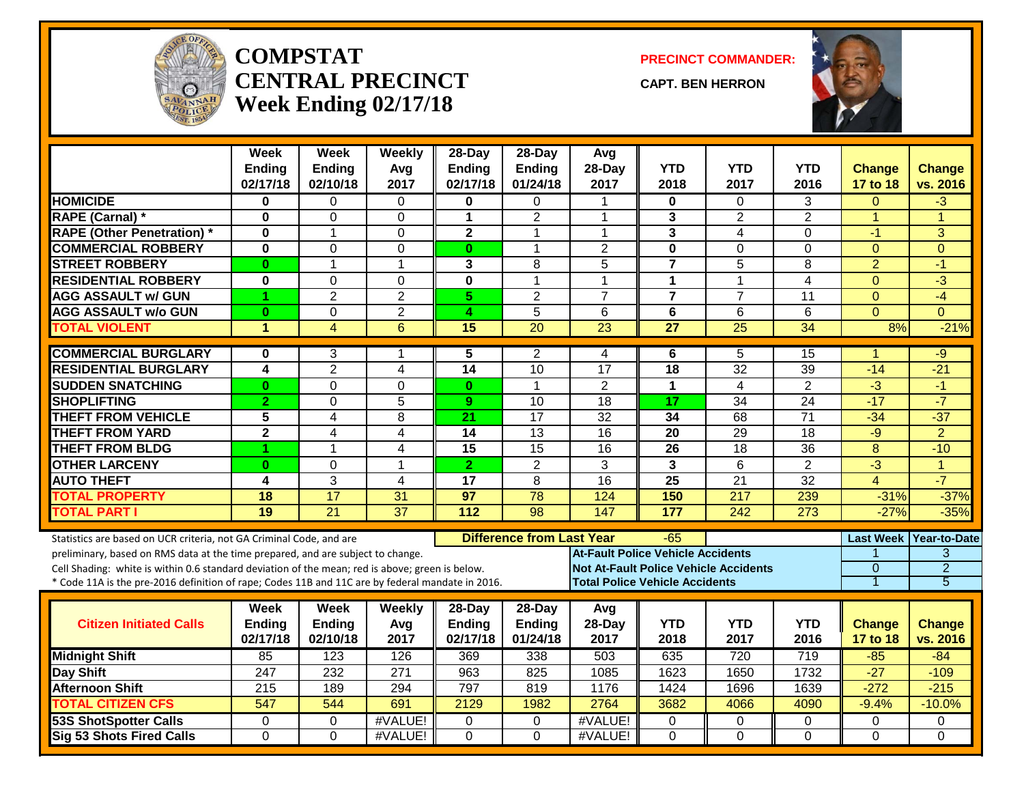

#### **COMPSTATCENTRAL PRECINCTWeek Ending 02/17/18**

**PRECINCT COMMANDER:**

**CAPT. BEN HERRON**



|                                                                                                  | Week                      | <b>Week</b>               | Weekly          | 28-Day                    | $28-Day$                         | Avg                                          |                         |                    |                  |                           |                          |
|--------------------------------------------------------------------------------------------------|---------------------------|---------------------------|-----------------|---------------------------|----------------------------------|----------------------------------------------|-------------------------|--------------------|------------------|---------------------------|--------------------------|
|                                                                                                  | <b>Ending</b><br>02/17/18 | <b>Ending</b><br>02/10/18 | Avg<br>2017     | <b>Ending</b><br>02/17/18 | Ending<br>01/24/18               | 28-Day<br>2017                               | <b>YTD</b><br>2018      | <b>YTD</b><br>2017 | YTD<br>2016      | <b>Change</b><br>17 to 18 | Change<br>vs. 2016       |
| <b>HOMICIDE</b>                                                                                  | 0                         | 0                         | $\Omega$        | 0                         | $\Omega$                         | -1                                           | 0                       | $\Omega$           | 3                | 0                         | -3                       |
| <b>RAPE (Carnal) *</b>                                                                           | $\bf{0}$                  | 0                         | $\mathbf 0$     | 1                         | $\overline{2}$                   | $\mathbf 1$                                  | 3                       | 2                  | $\overline{2}$   | $\mathbf{1}$              | 1                        |
| <b>RAPE (Other Penetration) *</b>                                                                | $\mathbf{0}$              | 1                         | $\Omega$        | $\mathbf{2}$              | 1                                | $\mathbf 1$                                  | $\mathbf{3}$            | 4                  | $\Omega$         | $-1$                      | 3                        |
| <b>COMMERCIAL ROBBERY</b>                                                                        | $\mathbf 0$               | $\Omega$                  | $\overline{0}$  | $\bf{0}$                  | $\mathbf{1}$                     | $\overline{2}$                               | $\mathbf 0$             | $\Omega$           | 0                | $\Omega$                  | $\Omega$                 |
| <b>STREET ROBBERY</b>                                                                            | $\bf{0}$                  | 1                         | $\mathbf{1}$    | 3                         | 8                                | 5                                            | $\overline{\mathbf{r}}$ | 5                  | 8                | $\overline{2}$            | $-1$                     |
| <b>RESIDENTIAL ROBBERY</b>                                                                       | $\bf{0}$                  | $\mathbf{0}$              | $\mathbf 0$     | $\overline{\mathbf{0}}$   | $\mathbf{1}$                     | $\overline{1}$                               | $\mathbf{1}$            | 1                  | $\overline{4}$   | $\overline{0}$            | $\overline{3}$           |
| <b>AGG ASSAULT w/ GUN</b>                                                                        | 1                         | $\overline{2}$            | $\overline{2}$  | 5.                        | $\overline{2}$                   | $\overline{7}$                               | $\overline{7}$          | $\overline{7}$     | 11               | $\Omega$                  | $-4$                     |
| <b>AGG ASSAULT w/o GUN</b>                                                                       | $\bf{0}$                  | $\mathbf{0}$              | $\overline{2}$  | 4                         | $\overline{5}$                   | 6                                            | $\overline{6}$          | 6                  | 6                | $\Omega$                  | $\Omega$                 |
| <b>TOTAL VIOLENT</b>                                                                             | $\blacktriangleleft$      | $\overline{4}$            | 6               | 15                        | 20                               | $\overline{23}$                              | 27                      | $\overline{25}$    | 34               | 8%                        | $-21%$                   |
| <b>COMMERCIAL BURGLARY</b>                                                                       | $\bf{0}$                  | 3                         | 1               | 5                         | 2                                | 4                                            | 6                       | 5                  | 15               | -1                        | -9                       |
| <b>RESIDENTIAL BURGLARY</b>                                                                      | $\overline{\mathbf{4}}$   | $\overline{2}$            | $\overline{4}$  | 14                        | 10                               | $\overline{17}$                              | 18                      | $\overline{32}$    | 39               | $-14$                     | $-21$                    |
| <b>SUDDEN SNATCHING</b>                                                                          | $\bf{0}$                  | $\mathbf{0}$              | $\overline{0}$  | $\mathbf{0}$              | $\overline{1}$                   | $\overline{2}$                               | $\mathbf{1}$            | 4                  | $\overline{2}$   | $\overline{3}$            | $-1$                     |
| <b>SHOPLIFTING</b>                                                                               | $\overline{2}$            | $\Omega$                  | 5               | 9                         | 10                               | $\overline{18}$                              | 17                      | 34                 | $\overline{24}$  | $-17$                     | $-7$                     |
| <b>THEFT FROM VEHICLE</b>                                                                        | 5                         | $\overline{4}$            | $\overline{8}$  | 21                        | $\overline{17}$                  | 32                                           | $\overline{34}$         | 68                 | $\overline{71}$  | $-34$                     | $-37$                    |
| <b>THEFT FROM YARD</b>                                                                           | $\mathbf{2}$              | 4                         | 4               | 14                        | 13                               | 16                                           | 20                      | 29                 | 18               | $-9$                      | $\overline{2}$           |
| <b>THEFT FROM BLDG</b>                                                                           | 1                         | 1                         | $\overline{4}$  | 15                        | 15                               | 16                                           | 26                      | $\overline{18}$    | 36               | 8                         | $-10$                    |
| <b>OTHER LARCENY</b>                                                                             | $\bf{0}$                  | $\Omega$                  | $\mathbf{1}$    | $\overline{2}$            | $\overline{2}$                   | 3                                            | 3                       | 6                  | $\overline{2}$   | $\overline{3}$            | $\overline{1}$           |
| <b>AUTO THEFT</b>                                                                                | $\overline{\mathbf{4}}$   | 3                         | $\overline{4}$  | $\overline{17}$           | 8                                | $\overline{16}$                              | $\overline{25}$         | $\overline{21}$    | $\overline{32}$  | $\overline{\mathbf{4}}$   | $-7$                     |
| <b>TOTAL PROPERTY</b>                                                                            | 18                        | 17                        | 31              | 97                        | 78                               | 124                                          | 150                     | 217                | 239              | $-31%$                    | $-37%$                   |
| <b>TOTAL PART I</b>                                                                              | $\overline{19}$           | $\overline{21}$           | $\overline{37}$ | 112                       | 98                               | 147                                          | 177                     | 242                | $\overline{273}$ | $-27%$                    | $-35%$                   |
| Statistics are based on UCR criteria, not GA Criminal Code, and are                              |                           |                           |                 |                           | <b>Difference from Last Year</b> |                                              | $-65$                   |                    |                  |                           | Last Week   Year-to-Date |
| preliminary, based on RMS data at the time prepared, and are subject to change.                  |                           |                           |                 |                           |                                  | <b>At-Fault Police Vehicle Accidents</b>     |                         |                    |                  |                           | 3                        |
| Cell Shading: white is within 0.6 standard deviation of the mean; red is above; green is below.  |                           |                           |                 |                           |                                  | <b>Not At-Fault Police Vehicle Accidents</b> |                         |                    |                  | $\Omega$                  | $\overline{2}$           |
| * Code 11A is the pre-2016 definition of rape; Codes 11B and 11C are by federal mandate in 2016. |                           |                           |                 |                           |                                  | <b>Total Police Vehicle Accidents</b>        |                         |                    |                  | 1                         | $\overline{5}$           |
|                                                                                                  | <b>Week</b>               | <b>Week</b>               | Weekly          | 28-Day                    | 28-Day                           | Avg                                          |                         |                    |                  |                           |                          |
| <b>Citizen Initiated Calls</b>                                                                   | Ending                    | Ending                    | Avg             | <b>Ending</b>             | Ending                           | 28-Day                                       | <b>YTD</b>              | <b>YTD</b>         | <b>YTD</b>       | <b>Change</b>             | <b>Change</b>            |
|                                                                                                  | 02/17/18                  | 02/10/18                  | 2017            | 02/17/18                  | 01/24/18                         | 2017                                         | 2018                    | 2017               | 2016             | 17 to 18                  | vs. 2016                 |
| <b>Midnight Shift</b>                                                                            | 85                        | 123                       | 126             | 369                       | 338                              | 503                                          | 635                     | 720                | $\overline{719}$ | $-85$                     | $-84$                    |
| Day Shift                                                                                        | 247                       | 232                       | 271             | 963                       | 825                              | 1085                                         | 1623                    | 1650               | 1732             | $-27$                     | $-109$                   |
| <b>Afternoon Shift</b>                                                                           | $\overline{215}$          | 189                       | 294             | 797                       | 819                              | 1176                                         | 1424                    | 1696               | 1639             | $-272$                    | $-215$                   |
| <b>TOTAL CITIZEN CFS</b>                                                                         | 547                       | 544                       | 691             | 2129                      | 1982                             | 2764                                         | 3682                    | 4066               | 4090             | $-9.4%$                   | $-10.0%$                 |
| <b>53S ShotSpotter Calls</b>                                                                     | $\mathbf 0$               | $\mathbf 0$               | #VALUE!         | 0                         | $\mathbf{0}$                     | #VALUE!                                      | 0                       | 0                  | 0                | 0                         | 0                        |
| <b>Sig 53 Shots Fired Calls</b>                                                                  | $\Omega$                  | $\Omega$                  | #VALUE!         | $\Omega$                  | $\Omega$                         | #VALUE!                                      | $\Omega$                | $\Omega$           | $\Omega$         | $\Omega$                  | $\Omega$                 |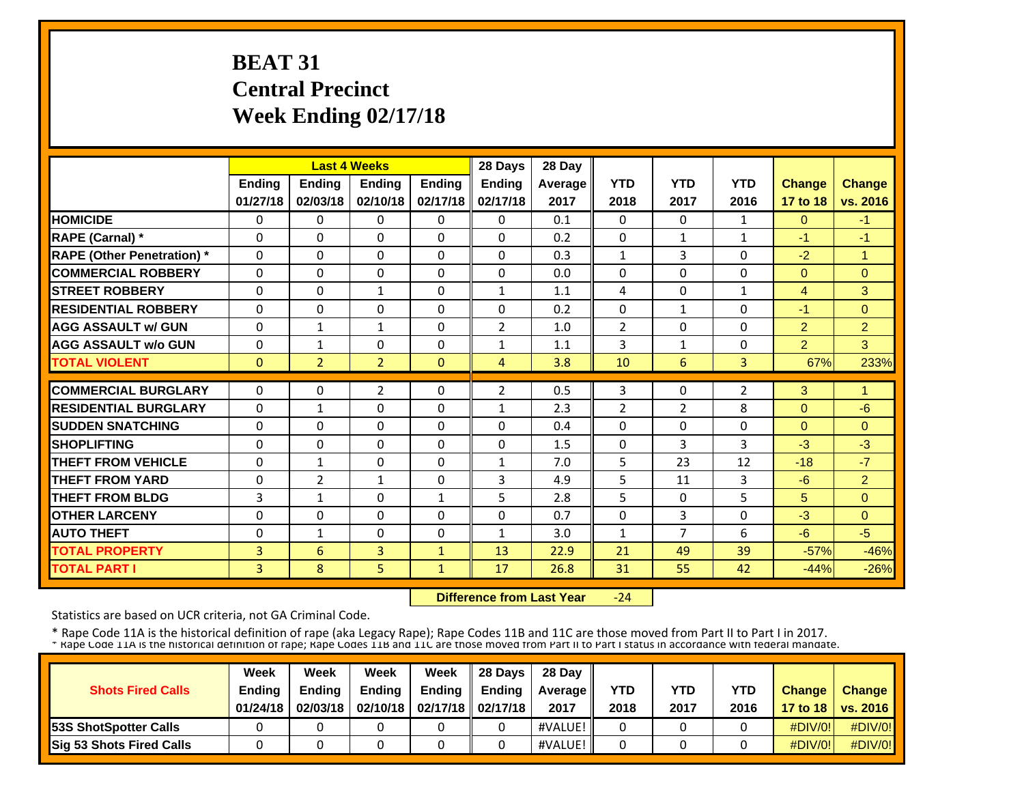# **BEAT 31 Central Precinct Week Ending 02/17/18**

|               |                                                                                   |                                                                                                                                     |                                                                                                                                                            | 28 Days                                                                                                               | 28 Day                                                                                                             |                                                                     |                                                                                |                                                                                                  |                                                                      |                                                                                   |
|---------------|-----------------------------------------------------------------------------------|-------------------------------------------------------------------------------------------------------------------------------------|------------------------------------------------------------------------------------------------------------------------------------------------------------|-----------------------------------------------------------------------------------------------------------------------|--------------------------------------------------------------------------------------------------------------------|---------------------------------------------------------------------|--------------------------------------------------------------------------------|--------------------------------------------------------------------------------------------------|----------------------------------------------------------------------|-----------------------------------------------------------------------------------|
| <b>Ending</b> | Ending                                                                            | <b>Ending</b>                                                                                                                       | Ending                                                                                                                                                     | Ending                                                                                                                | Average                                                                                                            | <b>YTD</b>                                                          | <b>YTD</b>                                                                     | <b>YTD</b>                                                                                       | <b>Change</b>                                                        | Change                                                                            |
| 01/27/18      | 02/03/18                                                                          | 02/10/18                                                                                                                            | 02/17/18                                                                                                                                                   | 02/17/18                                                                                                              | 2017                                                                                                               | 2018                                                                | 2017                                                                           | 2016                                                                                             | 17 to 18                                                             | vs. 2016                                                                          |
| 0             | 0                                                                                 | $\Omega$                                                                                                                            | $\Omega$                                                                                                                                                   | $\Omega$                                                                                                              | 0.1                                                                                                                | $\Omega$                                                            | $\Omega$                                                                       | $\mathbf{1}$                                                                                     | $\Omega$                                                             | $-1$                                                                              |
| $\Omega$      | $\Omega$                                                                          | $\Omega$                                                                                                                            | $\Omega$                                                                                                                                                   | $\Omega$                                                                                                              | 0.2                                                                                                                | $\Omega$                                                            | $\mathbf{1}$                                                                   | $\mathbf{1}$                                                                                     | -1                                                                   | $-1$                                                                              |
| $\Omega$      | $\Omega$                                                                          | $\Omega$                                                                                                                            | $\Omega$                                                                                                                                                   | $\Omega$                                                                                                              | 0.3                                                                                                                | $\mathbf{1}$                                                        | 3                                                                              | $\Omega$                                                                                         | $-2$                                                                 | $\mathbf{1}$                                                                      |
| $\Omega$      | $\Omega$                                                                          | $\mathbf{0}$                                                                                                                        | $\Omega$                                                                                                                                                   | $\Omega$                                                                                                              | 0.0                                                                                                                | $\Omega$                                                            | $\Omega$                                                                       | $\Omega$                                                                                         | $\Omega$                                                             | $\Omega$                                                                          |
| $\Omega$      | $\Omega$                                                                          | $\mathbf{1}$                                                                                                                        | $\Omega$                                                                                                                                                   | $\mathbf{1}$                                                                                                          | 1.1                                                                                                                | 4                                                                   | $\Omega$                                                                       | $\mathbf{1}$                                                                                     | $\overline{4}$                                                       | 3                                                                                 |
| 0             | $\Omega$                                                                          | 0                                                                                                                                   | $\Omega$                                                                                                                                                   | $\Omega$                                                                                                              | 0.2                                                                                                                | 0                                                                   | $\mathbf{1}$                                                                   | $\Omega$                                                                                         | $-1$                                                                 | $\Omega$                                                                          |
| $\Omega$      | 1                                                                                 | 1                                                                                                                                   | $\Omega$                                                                                                                                                   | 2                                                                                                                     | 1.0                                                                                                                | $\overline{2}$                                                      | 0                                                                              | 0                                                                                                | $\overline{2}$                                                       | $\overline{2}$                                                                    |
| 0             | 1                                                                                 | $\Omega$                                                                                                                            | $\Omega$                                                                                                                                                   | $\mathbf{1}$                                                                                                          | 1.1                                                                                                                | 3                                                                   | $\mathbf{1}$                                                                   | 0                                                                                                | $\overline{2}$                                                       | 3                                                                                 |
| $\mathbf{0}$  | $\overline{2}$                                                                    | $\overline{2}$                                                                                                                      | $\Omega$                                                                                                                                                   | 4                                                                                                                     | 3.8                                                                                                                | 10                                                                  | 6                                                                              | 3                                                                                                | 67%                                                                  | 233%                                                                              |
|               |                                                                                   |                                                                                                                                     |                                                                                                                                                            |                                                                                                                       |                                                                                                                    |                                                                     |                                                                                |                                                                                                  |                                                                      | 1                                                                                 |
|               |                                                                                   |                                                                                                                                     |                                                                                                                                                            |                                                                                                                       |                                                                                                                    |                                                                     |                                                                                |                                                                                                  |                                                                      | $-6$                                                                              |
|               |                                                                                   |                                                                                                                                     |                                                                                                                                                            |                                                                                                                       |                                                                                                                    |                                                                     |                                                                                |                                                                                                  |                                                                      | $\Omega$                                                                          |
|               |                                                                                   |                                                                                                                                     |                                                                                                                                                            |                                                                                                                       |                                                                                                                    |                                                                     |                                                                                |                                                                                                  |                                                                      | $-3$                                                                              |
|               |                                                                                   |                                                                                                                                     |                                                                                                                                                            |                                                                                                                       |                                                                                                                    |                                                                     |                                                                                |                                                                                                  |                                                                      | $-7$                                                                              |
|               |                                                                                   |                                                                                                                                     |                                                                                                                                                            |                                                                                                                       |                                                                                                                    |                                                                     |                                                                                |                                                                                                  |                                                                      | $\overline{2}$                                                                    |
|               |                                                                                   |                                                                                                                                     |                                                                                                                                                            |                                                                                                                       |                                                                                                                    |                                                                     |                                                                                |                                                                                                  |                                                                      | $\Omega$                                                                          |
|               |                                                                                   |                                                                                                                                     |                                                                                                                                                            |                                                                                                                       |                                                                                                                    |                                                                     |                                                                                |                                                                                                  |                                                                      | $\Omega$                                                                          |
|               |                                                                                   |                                                                                                                                     |                                                                                                                                                            |                                                                                                                       |                                                                                                                    |                                                                     |                                                                                |                                                                                                  |                                                                      | $-5$                                                                              |
|               |                                                                                   |                                                                                                                                     |                                                                                                                                                            |                                                                                                                       |                                                                                                                    |                                                                     |                                                                                |                                                                                                  |                                                                      | $-46%$                                                                            |
| 3             | 8                                                                                 | 5                                                                                                                                   | 1                                                                                                                                                          | 17                                                                                                                    | 26.8                                                                                                               | 31                                                                  | 55                                                                             | 42                                                                                               | $-44%$                                                               | $-26%$                                                                            |
|               | $\Omega$<br>$\Omega$<br>$\Omega$<br>$\Omega$<br>0<br>0<br>3<br>0<br>$\Omega$<br>3 | $\Omega$<br>$\mathbf{1}$<br>$\Omega$<br>$\Omega$<br>$\mathbf{1}$<br>$\overline{2}$<br>$\mathbf{1}$<br>$\Omega$<br>$\mathbf{1}$<br>6 | <b>Last 4 Weeks</b><br>$\overline{2}$<br>$\Omega$<br>$\mathbf{0}$<br>$\mathbf{0}$<br>$\mathbf{0}$<br>$\mathbf{1}$<br>$\Omega$<br>$\Omega$<br>$\Omega$<br>3 | 0<br>$\Omega$<br>$\Omega$<br>$\Omega$<br>$\Omega$<br>$\Omega$<br>$\mathbf{1}$<br>$\Omega$<br>$\Omega$<br>$\mathbf{1}$ | $\overline{2}$<br>$\mathbf{1}$<br>$\Omega$<br>$\Omega$<br>$\mathbf{1}$<br>3<br>5<br>$\Omega$<br>$\mathbf{1}$<br>13 | 0.5<br>2.3<br>0.4<br>1.5<br>7.0<br>4.9<br>2.8<br>0.7<br>3.0<br>22.9 | 3<br>$\overline{2}$<br>$\Omega$<br>0<br>5<br>5<br>5<br>0<br>$\mathbf{1}$<br>21 | $\Omega$<br>$\overline{2}$<br>$\Omega$<br>3<br>23<br>11<br>$\Omega$<br>3<br>$\overline{7}$<br>49 | $\overline{2}$<br>8<br>0<br>3<br>12<br>3<br>5<br>$\Omega$<br>6<br>39 | 3<br>$\Omega$<br>$\Omega$<br>$-3$<br>$-18$<br>$-6$<br>5<br>$-3$<br>$-6$<br>$-57%$ |

 **Difference from Last Year** $-24$ 

Statistics are based on UCR criteria, not GA Criminal Code.

|                               | Week     | Week          | Week          | Week                           | 28 Davs       | 28 Day         |            |            |            |               |                     |
|-------------------------------|----------|---------------|---------------|--------------------------------|---------------|----------------|------------|------------|------------|---------------|---------------------|
| <b>Shots Fired Calls</b>      | Ending   | <b>Ending</b> | <b>Ending</b> | <b>Ending</b>                  | <b>Ending</b> | <b>Average</b> | <b>YTD</b> | <b>YTD</b> | <b>YTD</b> | <b>Change</b> | <b>Change</b>       |
|                               | 01/24/18 | 02/03/18      |               | 02/10/18   02/17/18   02/17/18 |               | 2017           | 2018       | 2017       | 2016       |               | 17 to 18   vs. 2016 |
| <b>153S ShotSpotter Calls</b> |          |               |               |                                |               | #VALUE!        |            |            |            | $\#$ DIV/0!   | $\#$ DIV/0!         |
| Sig 53 Shots Fired Calls      |          |               |               |                                |               | #VALUE!        |            |            |            | $\#$ DIV/0!   | #DIV/0!             |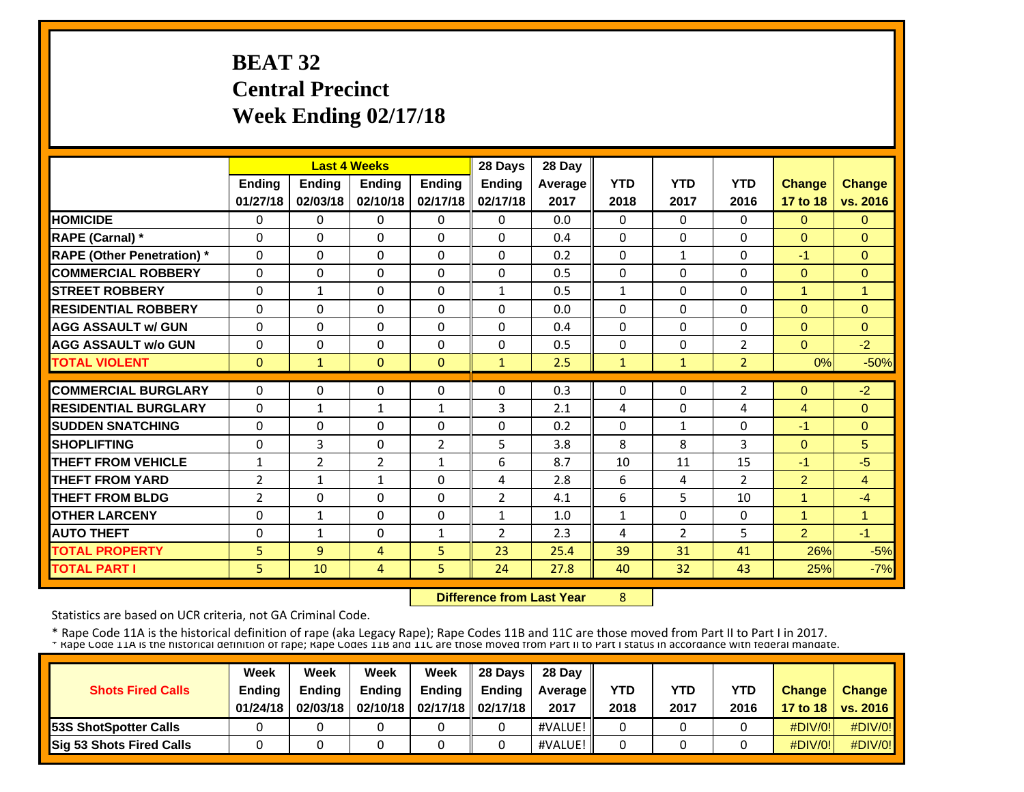# **BEAT 32 Central Precinct Week Ending 02/17/18**

|                                   |              |                | <b>Last 4 Weeks</b> |                | 28 Days        | 28 Day  |              |                |                |                |               |
|-----------------------------------|--------------|----------------|---------------------|----------------|----------------|---------|--------------|----------------|----------------|----------------|---------------|
|                                   | Ending       | Ending         | <b>Ending</b>       | Ending         | Ending         | Average | <b>YTD</b>   | <b>YTD</b>     | <b>YTD</b>     | <b>Change</b>  | <b>Change</b> |
|                                   | 01/27/18     | 02/03/18       | 02/10/18            | 02/17/18       | 02/17/18       | 2017    | 2018         | 2017           | 2016           | 17 to 18       | vs. 2016      |
| <b>HOMICIDE</b>                   | 0            | 0              | $\mathbf{0}$        | 0              | $\Omega$       | 0.0     | $\Omega$     | $\Omega$       | $\mathbf{0}$   | $\Omega$       | $\Omega$      |
| <b>RAPE (Carnal)</b> *            | $\Omega$     | $\Omega$       | $\Omega$            | $\Omega$       | $\Omega$       | 0.4     | $\Omega$     | $\Omega$       | $\Omega$       | $\Omega$       | $\Omega$      |
| <b>RAPE (Other Penetration)</b> * | $\Omega$     | $\Omega$       | $\mathbf{0}$        | $\Omega$       | $\Omega$       | 0.2     | $\Omega$     | $\mathbf{1}$   | $\Omega$       | $-1$           | $\Omega$      |
| <b>COMMERCIAL ROBBERY</b>         | 0            | $\Omega$       | $\mathbf{0}$        | $\Omega$       | $\Omega$       | 0.5     | $\Omega$     | 0              | $\Omega$       | $\Omega$       | $\Omega$      |
| <b>STREET ROBBERY</b>             | 0            | $\mathbf{1}$   | $\mathbf{0}$        | $\Omega$       | 1              | 0.5     | $\mathbf{1}$ | 0              | $\Omega$       | $\mathbf{1}$   | 1             |
| <b>RESIDENTIAL ROBBERY</b>        | $\Omega$     | $\Omega$       | $\Omega$            | $\Omega$       | $\Omega$       | 0.0     | $\Omega$     | $\Omega$       | $\Omega$       | $\Omega$       | $\Omega$      |
| <b>AGG ASSAULT w/ GUN</b>         | $\Omega$     | $\Omega$       | $\Omega$            | $\Omega$       | $\Omega$       | 0.4     | $\Omega$     | $\Omega$       | $\Omega$       | $\Omega$       | $\Omega$      |
| <b>AGG ASSAULT w/o GUN</b>        | $\Omega$     | $\Omega$       | $\Omega$            | $\Omega$       | $\Omega$       | 0.5     | $\Omega$     | $\Omega$       | $\overline{2}$ | $\Omega$       | $-2$          |
| <b>TOTAL VIOLENT</b>              | $\mathbf{0}$ | 1              | $\mathbf{0}$        | $\mathbf{0}$   | $\mathbf{1}$   | 2.5     | 1            | $\mathbf{1}$   | $\overline{2}$ | 0%             | $-50%$        |
| <b>COMMERCIAL BURGLARY</b>        | $\Omega$     | $\Omega$       | $\mathbf{0}$        | $\Omega$       | $\Omega$       | 0.3     | $\Omega$     | 0              | 2              | $\Omega$       | $-2$          |
| <b>RESIDENTIAL BURGLARY</b>       | $\Omega$     | 1              | $\mathbf{1}$        | 1              | 3              | 2.1     | 4            | 0              | 4              | $\overline{4}$ | $\Omega$      |
| <b>SUDDEN SNATCHING</b>           | $\Omega$     | $\Omega$       | $\Omega$            | $\Omega$       | $\Omega$       | 0.2     | $\Omega$     | $\mathbf{1}$   | $\Omega$       | $-1$           | $\Omega$      |
| <b>SHOPLIFTING</b>                | $\Omega$     | 3              | $\mathbf{0}$        | $\overline{2}$ | 5              | 3.8     | 8            | 8              | 3              | $\Omega$       | 5             |
| <b>THEFT FROM VEHICLE</b>         | $\mathbf{1}$ | $\overline{2}$ | $\overline{2}$      | $\mathbf{1}$   | 6              | 8.7     | 10           | 11             | 15             | $-1$           | $-5$          |
| <b>THEFT FROM YARD</b>            | 2            | $\mathbf{1}$   | $\mathbf{1}$        | $\Omega$       | 4              | 2.8     | 6            | 4              | $\overline{2}$ | $\overline{2}$ | 4             |
| <b>THEFT FROM BLDG</b>            | 2            | $\Omega$       | $\Omega$            | 0              | $\overline{2}$ | 4.1     | 6            | 5              | 10             | 1              | $-4$          |
| <b>OTHER LARCENY</b>              | 0            | $\mathbf{1}$   | $\Omega$            | $\Omega$       | $\mathbf{1}$   | 1.0     | $\mathbf{1}$ | $\Omega$       | $\Omega$       | 1              | 1             |
| <b>AUTO THEFT</b>                 | $\Omega$     | $\mathbf{1}$   | $\Omega$            | $\mathbf{1}$   | $\overline{2}$ | 2.3     | 4            | $\overline{2}$ | 5              | $\overline{2}$ | $-1$          |
| <b>TOTAL PROPERTY</b>             | 5            | $\overline{9}$ | $\overline{4}$      | 5              | 23             | 25.4    | 39           | 31             | 41             | 26%            | $-5%$         |
| <b>TOTAL PART I</b>               | 5            | 10             | 4                   | 5              | 24             | 27.8    | 40           | 32             | 43             | 25%            | $-7%$         |

 **Difference from Last Year**

8

Statistics are based on UCR criteria, not GA Criminal Code.

|                              | Week          | Week          | Week          | Week                           | 28 Davs       | 28 Day     |            |      |            |               |                     |
|------------------------------|---------------|---------------|---------------|--------------------------------|---------------|------------|------------|------|------------|---------------|---------------------|
| <b>Shots Fired Calls</b>     | <b>Ending</b> | <b>Ending</b> | <b>Ending</b> | Ending                         | <b>Endina</b> | Average II | <b>YTD</b> | YTD  | <b>YTD</b> | <b>Change</b> | <b>Change</b>       |
|                              | 01/24/18      | 02/03/18      |               | 02/10/18   02/17/18   02/17/18 |               | 2017       | 2018       | 2017 | 2016       |               | 17 to 18   vs. 2016 |
| <b>53S ShotSpotter Calls</b> |               |               |               |                                |               | #VALUE!    |            |      |            | $\#$ DIV/0!   | $\#$ DIV/0!         |
| Sig 53 Shots Fired Calls     |               |               |               |                                |               | #VALUE!    |            |      |            | $\#$ DIV/0!   | #DIV/0!             |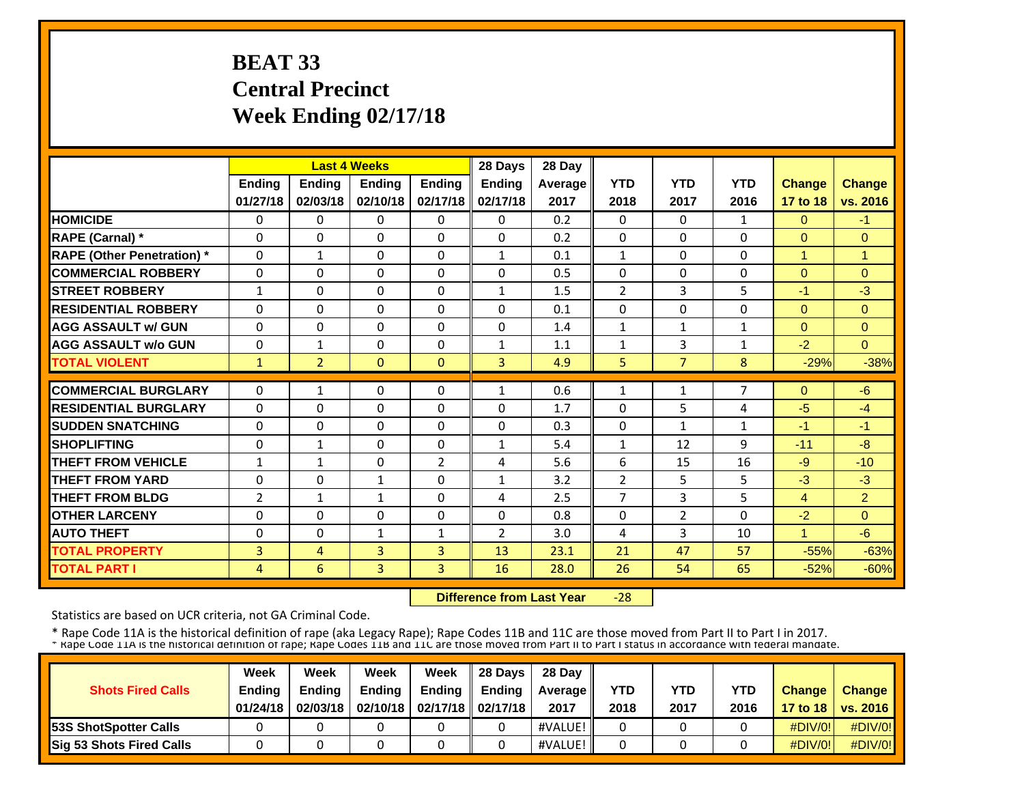# **BEAT 33 Central Precinct Week Ending 02/17/18**

|                                   |              |                | <b>Last 4 Weeks</b> |                | 28 Days        | 28 Day  |                |                |              |               |                |
|-----------------------------------|--------------|----------------|---------------------|----------------|----------------|---------|----------------|----------------|--------------|---------------|----------------|
|                                   | Ending       | Ending         | <b>Ending</b>       | Ending         | Ending         | Average | <b>YTD</b>     | <b>YTD</b>     | <b>YTD</b>   | <b>Change</b> | <b>Change</b>  |
|                                   | 01/27/18     | 02/03/18       | 02/10/18            | 02/17/18       | 02/17/18       | 2017    | 2018           | 2017           | 2016         | 17 to 18      | vs. 2016       |
| <b>HOMICIDE</b>                   | 0            | 0              | $\mathbf{0}$        | 0              | $\Omega$       | 0.2     | $\Omega$       | $\Omega$       | $\mathbf{1}$ | $\Omega$      | $-1$           |
| <b>RAPE (Carnal)</b> *            | $\Omega$     | $\Omega$       | $\mathbf{0}$        | $\Omega$       | $\Omega$       | 0.2     | $\Omega$       | $\mathbf{0}$   | $\Omega$     | $\Omega$      | $\Omega$       |
| <b>RAPE (Other Penetration)</b> * | $\Omega$     | $\mathbf{1}$   | $\mathbf{0}$        | $\Omega$       | $\mathbf{1}$   | 0.1     | $\mathbf{1}$   | $\Omega$       | $\Omega$     | $\mathbf{1}$  | 1              |
| <b>COMMERCIAL ROBBERY</b>         | 0            | $\Omega$       | $\mathbf{0}$        | $\Omega$       | $\Omega$       | 0.5     | $\Omega$       | $\mathbf{0}$   | $\Omega$     | $\Omega$      | $\Omega$       |
| <b>STREET ROBBERY</b>             | $\mathbf{1}$ | $\Omega$       | $\mathbf{0}$        | $\Omega$       | 1              | 1.5     | $\overline{2}$ | 3              | 5            | -1            | $-3$           |
| <b>RESIDENTIAL ROBBERY</b>        | $\Omega$     | $\Omega$       | $\Omega$            | $\Omega$       | $\Omega$       | 0.1     | $\Omega$       | $\Omega$       | $\Omega$     | $\Omega$      | $\Omega$       |
| <b>AGG ASSAULT w/ GUN</b>         | $\Omega$     | $\Omega$       | $\Omega$            | $\Omega$       | $\Omega$       | 1.4     | $\mathbf{1}$   | $\mathbf{1}$   | $\mathbf{1}$ | $\Omega$      | $\Omega$       |
| <b>AGG ASSAULT w/o GUN</b>        | $\Omega$     | $\mathbf{1}$   | $\Omega$            | $\Omega$       | $\mathbf{1}$   | 1.1     | 1              | 3              | $\mathbf{1}$ | $-2$          | $\Omega$       |
| <b>TOTAL VIOLENT</b>              | 1            | $\overline{2}$ | $\mathbf{0}$        | $\mathbf{0}$   | $\overline{3}$ | 4.9     | 5              | $\overline{7}$ | 8            | $-29%$        | $-38%$         |
| <b>COMMERCIAL BURGLARY</b>        | $\Omega$     | 1              | $\mathbf{0}$        | $\Omega$       | 1              | 0.6     | 1              | $\mathbf{1}$   | 7            | $\Omega$      | $-6$           |
| <b>RESIDENTIAL BURGLARY</b>       | $\Omega$     | $\Omega$       | $\mathbf{0}$        | $\Omega$       | $\Omega$       | 1.7     | $\Omega$       | 5              | 4            | $-5$          | $-4$           |
| <b>SUDDEN SNATCHING</b>           | $\Omega$     | $\Omega$       | $\Omega$            | $\Omega$       | $\Omega$       | 0.3     | $\Omega$       | $\mathbf{1}$   | $\mathbf{1}$ | $-1$          | $-1$           |
| <b>SHOPLIFTING</b>                | $\Omega$     | $\mathbf{1}$   | $\mathbf{0}$        | $\Omega$       | $\mathbf{1}$   | 5.4     | $\mathbf{1}$   | 12             | 9            | $-11$         | $-8$           |
| <b>THEFT FROM VEHICLE</b>         | $\mathbf{1}$ | $\mathbf{1}$   | $\mathbf 0$         | $\overline{2}$ | 4              | 5.6     | 6              | 15             | 16           | $-9$          | $-10$          |
| <b>THEFT FROM YARD</b>            | 0            | 0              | $\mathbf{1}$        | $\Omega$       | $\mathbf{1}$   | 3.2     | $\overline{2}$ | 5              | 5            | $-3$          | $-3$           |
| <b>THEFT FROM BLDG</b>            | 2            | 1              | $\mathbf{1}$        | 0              | 4              | 2.5     | 7              | 3              | 5            | 4             | $\overline{2}$ |
| <b>OTHER LARCENY</b>              | 0            | $\Omega$       | $\Omega$            | $\Omega$       | $\Omega$       | 0.8     | 0              | $\overline{2}$ | $\Omega$     | $-2$          | $\Omega$       |
| <b>AUTO THEFT</b>                 | $\Omega$     | $\Omega$       | $\mathbf{1}$        | $\mathbf{1}$   | $\overline{2}$ | 3.0     | 4              | 3              | 10           | 1             | $-6$           |
| <b>TOTAL PROPERTY</b>             | 3            | 4              | 3                   | 3              | 13             | 23.1    | 21             | 47             | 57           | $-55%$        | $-63%$         |
| <b>TOTAL PART I</b>               | 4            | 6              | 3                   | 3              | 16             | 28.0    | 26             | 54             | 65           | $-52%$        | $-60%$         |
|                                   |              |                |                     |                |                |         |                |                |              |               |                |

 **Difference from Last Year**‐28

Statistics are based on UCR criteria, not GA Criminal Code.

| <b>Shots Fired Calls</b>        | Week<br><b>Ending</b><br>01/24/18 | Week<br><b>Endina</b><br>02/03/18 | Week<br><b>Ending</b> | Week<br>Endina<br>02/10/18   02/17/18   02/17/18 | 28 Davs<br><b>Endina</b> | 28 Day<br><b>Average II</b><br>2017 | YTD<br>2018 | YTD<br>2017 | <b>YTD</b><br>2016 | <b>Change</b> | <b>Change</b><br>17 to 18   vs. 2016 |
|---------------------------------|-----------------------------------|-----------------------------------|-----------------------|--------------------------------------------------|--------------------------|-------------------------------------|-------------|-------------|--------------------|---------------|--------------------------------------|
| <b>153S ShotSpotter Calls</b>   |                                   |                                   |                       |                                                  |                          | #VALUE!                             |             |             |                    | $\#$ DIV/0!   | #DIV/0!                              |
| <b>Sig 53 Shots Fired Calls</b> |                                   |                                   |                       |                                                  |                          | #VALUE!                             |             |             |                    | $\#$ DIV/0!   | #DIV/0!                              |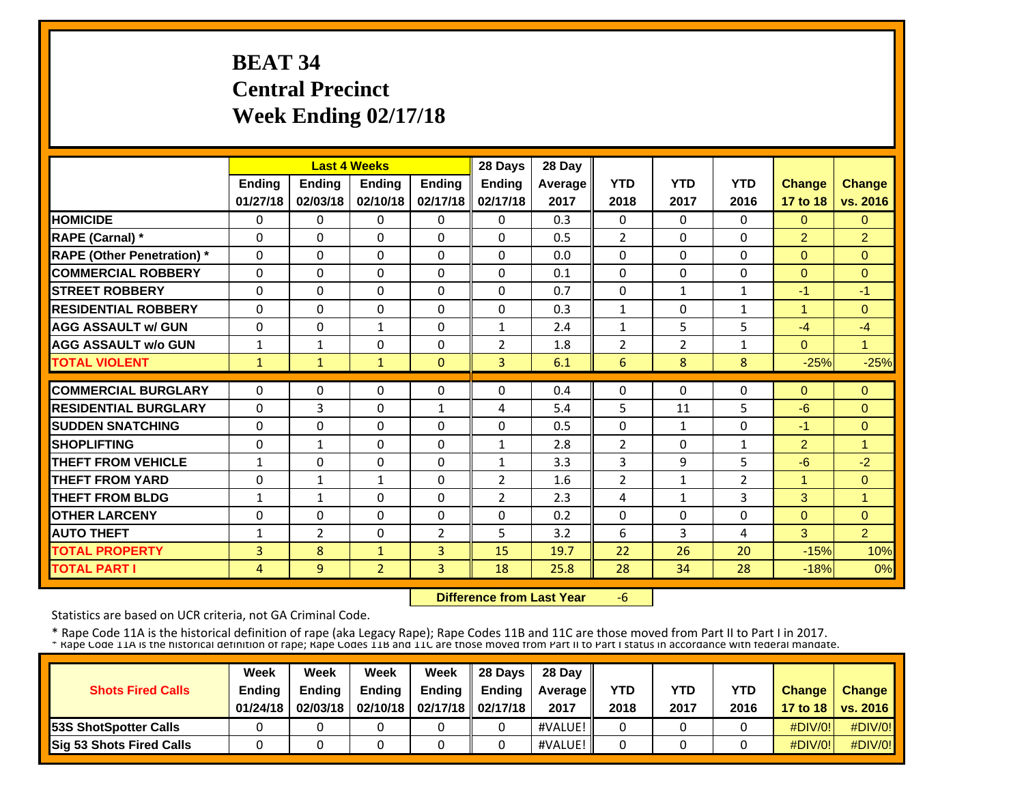# **BEAT 34 Central Precinct Week Ending 02/17/18**

|                                   |              |                | <b>Last 4 Weeks</b> |                | 28 Days        | 28 Day  |                |                |              |                |                |
|-----------------------------------|--------------|----------------|---------------------|----------------|----------------|---------|----------------|----------------|--------------|----------------|----------------|
|                                   | Ending       | Ending         | <b>Ending</b>       | Ending         | Ending         | Average | <b>YTD</b>     | <b>YTD</b>     | <b>YTD</b>   | <b>Change</b>  | <b>Change</b>  |
|                                   | 01/27/18     | 02/03/18       | 02/10/18            | 02/17/18       | 02/17/18       | 2017    | 2018           | 2017           | 2016         | 17 to 18       | vs. 2016       |
| <b>HOMICIDE</b>                   | 0            | 0              | $\mathbf{0}$        | 0              | $\Omega$       | 0.3     | $\Omega$       | $\Omega$       | $\mathbf{0}$ | $\Omega$       | $\Omega$       |
| <b>RAPE (Carnal)</b> *            | $\Omega$     | $\Omega$       | $\mathbf{0}$        | $\Omega$       | $\Omega$       | 0.5     | $\overline{2}$ | $\mathbf{0}$   | $\Omega$     | $\overline{2}$ | $\overline{2}$ |
| <b>RAPE (Other Penetration)</b> * | $\Omega$     | $\Omega$       | $\mathbf{0}$        | $\Omega$       | $\Omega$       | 0.0     | 0              | $\Omega$       | $\Omega$     | $\Omega$       | $\Omega$       |
| <b>COMMERCIAL ROBBERY</b>         | 0            | $\Omega$       | $\mathbf{0}$        | $\Omega$       | $\Omega$       | 0.1     | $\Omega$       | $\Omega$       | $\Omega$     | $\Omega$       | $\Omega$       |
| <b>STREET ROBBERY</b>             | 0            | $\Omega$       | $\mathbf{0}$        | $\Omega$       | $\Omega$       | 0.7     | 0              | $\mathbf{1}$   | $\mathbf{1}$ | -1             | $-1$           |
| <b>RESIDENTIAL ROBBERY</b>        | $\Omega$     | $\Omega$       | $\Omega$            | $\Omega$       | $\Omega$       | 0.3     | $\mathbf{1}$   | $\Omega$       | $\mathbf{1}$ | 1              | $\Omega$       |
| <b>AGG ASSAULT w/ GUN</b>         | $\Omega$     | $\Omega$       | $\mathbf{1}$        | $\Omega$       | $\mathbf{1}$   | 2.4     | $\mathbf{1}$   | 5              | 5            | $-4$           | $-4$           |
| <b>AGG ASSAULT w/o GUN</b>        | $\mathbf{1}$ | $\mathbf{1}$   | $\Omega$            | $\Omega$       | $\overline{2}$ | 1.8     | $\overline{2}$ | $\overline{2}$ | $\mathbf{1}$ | $\Omega$       | $\mathbf{1}$   |
| <b>TOTAL VIOLENT</b>              | 1            | 1              | $\mathbf{1}$        | $\mathbf{0}$   | 3              | 6.1     | 6              | 8              | 8            | $-25%$         | $-25%$         |
| <b>COMMERCIAL BURGLARY</b>        | $\Omega$     | $\Omega$       | $\mathbf{0}$        | $\Omega$       | $\Omega$       | 0.4     | $\Omega$       | $\Omega$       | $\Omega$     | $\Omega$       | $\Omega$       |
| <b>RESIDENTIAL BURGLARY</b>       | $\Omega$     | 3              | $\mathbf{0}$        | 1              | 4              | 5.4     | 5              | 11             | 5            | $-6$           | $\Omega$       |
| <b>SUDDEN SNATCHING</b>           | $\Omega$     | $\Omega$       | $\Omega$            | $\Omega$       | $\Omega$       | 0.5     | $\Omega$       | $\mathbf{1}$   | $\Omega$     | -1             | $\Omega$       |
| <b>SHOPLIFTING</b>                | $\Omega$     | $\mathbf{1}$   | $\mathbf{0}$        | $\Omega$       | $\mathbf{1}$   | 2.8     | $\overline{2}$ | 0              | $\mathbf{1}$ | $\overline{2}$ | 1              |
| <b>THEFT FROM VEHICLE</b>         | $\mathbf{1}$ | $\Omega$       | $\mathbf 0$         | $\Omega$       | $\mathbf{1}$   | 3.3     | 3              | 9              | 5            | $-6$           | $-2$           |
| <b>THEFT FROM YARD</b>            | 0            | $\mathbf{1}$   | $\mathbf{1}$        | $\Omega$       | $\overline{2}$ | 1.6     | $\overline{2}$ | $\mathbf{1}$   | 2            | 1              | $\mathbf{0}$   |
| <b>THEFT FROM BLDG</b>            | 1            | 1              | $\Omega$            | 0              | $\overline{2}$ | 2.3     | 4              | $\mathbf{1}$   | 3            | 3              | 1              |
| <b>OTHER LARCENY</b>              | 0            | $\Omega$       | $\Omega$            | $\Omega$       | $\Omega$       | 0.2     | 0              | $\Omega$       | $\Omega$     | $\Omega$       | $\Omega$       |
| <b>AUTO THEFT</b>                 | 1            | $\overline{2}$ | $\Omega$            | $\overline{2}$ | 5              | 3.2     | 6              | 3              | 4            | 3              | $\overline{2}$ |
| <b>TOTAL PROPERTY</b>             | 3            | 8              | $\mathbf{1}$        | 3              | 15             | 19.7    | 22             | 26             | 20           | $-15%$         | 10%            |
| <b>TOTAL PART I</b>               | 4            | 9              | $\overline{2}$      | 3              | 18             | 25.8    | 28             | 34             | 28           | $-18%$         | 0%             |

 **Difference from Last Year**‐6

Statistics are based on UCR criteria, not GA Criminal Code.

| <b>Shots Fired Calls</b>        | Week<br><b>Ending</b><br>01/24/18 | Week<br><b>Endina</b><br>02/03/18 | Week<br><b>Ending</b> | Week<br>Ending<br>02/10/18   02/17/18   02/17/18 | 28 Davs<br><b>Endina</b> | 28 Day<br><b>Average</b> II<br>2017 | YTD<br>2018 | YTD<br>2017 | <b>YTD</b><br>2016 | <b>Change</b> | <b>Change</b><br>17 to 18   vs. 2016 |
|---------------------------------|-----------------------------------|-----------------------------------|-----------------------|--------------------------------------------------|--------------------------|-------------------------------------|-------------|-------------|--------------------|---------------|--------------------------------------|
| <b>153S ShotSpotter Calls</b>   |                                   |                                   |                       |                                                  |                          | #VALUE!                             |             |             |                    | $\#$ DIV/0!   | $\#$ DIV/0!                          |
| <b>Sig 53 Shots Fired Calls</b> |                                   |                                   |                       |                                                  |                          | #VALUE!                             |             |             |                    | $\#$ DIV/0!   | $\#$ DIV/0!                          |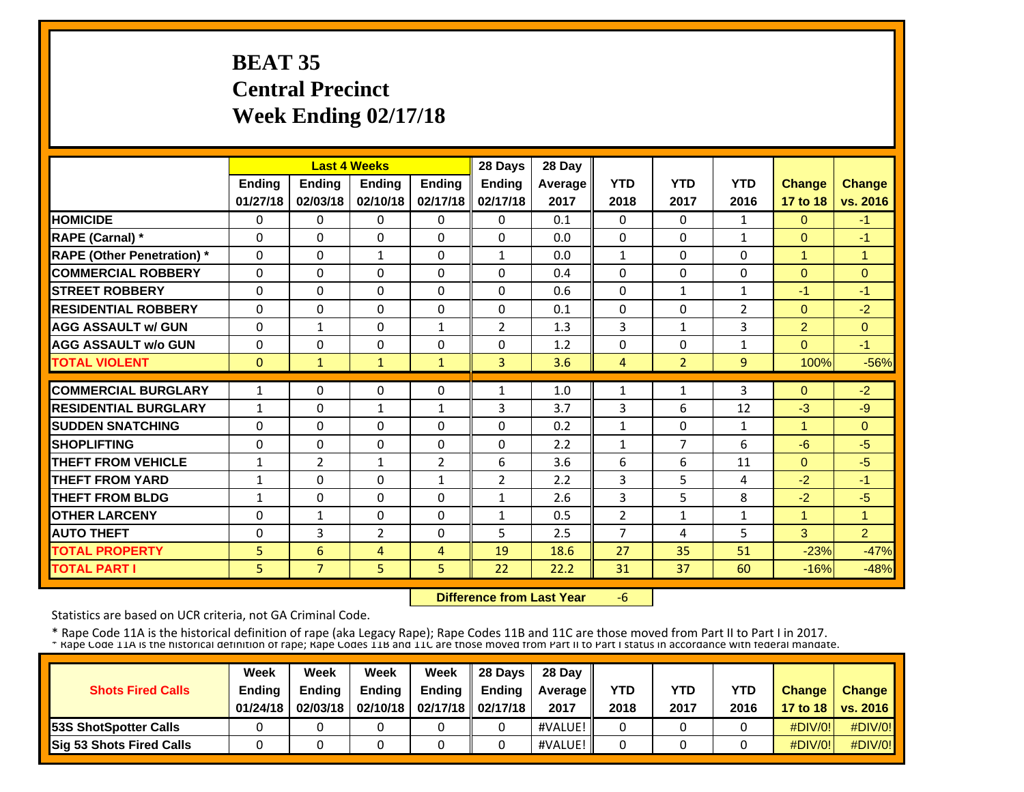# **BEAT 35 Central Precinct Week Ending 02/17/18**

|                                  |               |                | <b>Last 4 Weeks</b> |                | 28 Days        | 28 Day  |                |                     |                |                |                |
|----------------------------------|---------------|----------------|---------------------|----------------|----------------|---------|----------------|---------------------|----------------|----------------|----------------|
|                                  | <b>Ending</b> | <b>Ending</b>  | <b>Endina</b>       | <b>Ending</b>  | <b>Ending</b>  | Average | <b>YTD</b>     | <b>YTD</b>          | <b>YTD</b>     | <b>Change</b>  | <b>Change</b>  |
|                                  | 01/27/18      | 02/03/18       | 02/10/18            | 02/17/18       | 02/17/18       | 2017    | 2018           | 2017                | 2016           | 17 to 18       | vs. 2016       |
| <b>HOMICIDE</b>                  | 0             | 0              | 0                   | $\Omega$       | $\Omega$       | 0.1     | $\Omega$       | $\mathbf{0}$        | $\mathbf{1}$   | $\Omega$       | $-1$           |
| <b>RAPE (Carnal)</b> *           | $\Omega$      | 0              | $\mathbf{0}$        | $\Omega$       | $\Omega$       | 0.0     | $\Omega$       | $\Omega$            | 1              | $\Omega$       | $-1$           |
| <b>RAPE (Other Penetration)*</b> | $\Omega$      | $\Omega$       | $\mathbf{1}$        | $\Omega$       | 1              | 0.0     | $\mathbf{1}$   | $\Omega$            | $\Omega$       | $\mathbf{1}$   | $\mathbf{1}$   |
| <b>COMMERCIAL ROBBERY</b>        | $\Omega$      | $\Omega$       | $\mathbf{0}$        | $\Omega$       | $\Omega$       | 0.4     | $\Omega$       | $\Omega$            | $\Omega$       | $\Omega$       | $\Omega$       |
| <b>ISTREET ROBBERY</b>           | $\Omega$      | $\Omega$       | $\Omega$            | $\Omega$       | $\Omega$       | 0.6     | $\Omega$       | $\mathbf{1}$        | $\mathbf{1}$   | -1             | $-1$           |
| <b>IRESIDENTIAL ROBBERY</b>      | $\Omega$      | $\Omega$       | $\mathbf{0}$        | $\Omega$       | $\Omega$       | 0.1     | $\Omega$       | 0                   | $\overline{2}$ | $\Omega$       | $-2$           |
| <b>AGG ASSAULT w/ GUN</b>        | 0             | $\mathbf{1}$   | $\mathbf{0}$        | $\mathbf{1}$   | $\overline{2}$ | 1.3     | 3              | $\mathbf{1}$        | 3              | $\overline{2}$ | $\overline{0}$ |
| <b>AGG ASSAULT w/o GUN</b>       | 0             | $\Omega$       | $\mathbf{0}$        | 0              | $\Omega$       | 1.2     | 0              | 0                   | $\mathbf{1}$   | $\Omega$       | $-1$           |
| <b>TOTAL VIOLENT</b>             | $\mathbf{0}$  | $\mathbf{1}$   | $\mathbf{1}$        | $\mathbf{1}$   | $\overline{3}$ | 3.6     | $\overline{4}$ | $\overline{2}$      | 9              | 100%           | $-56%$         |
| <b>COMMERCIAL BURGLARY</b>       | $\mathbf{1}$  | $\Omega$       | $\mathbf{0}$        | $\Omega$       | 1              | 1.0     |                | $\mathbf{1}$        | 3              | $\Omega$       | $-2$           |
| <b>RESIDENTIAL BURGLARY</b>      |               | $\Omega$       |                     |                | 3              | 3.7     | 1              | 6                   | 12             | $-3$           | $-9$           |
|                                  | $\mathbf{1}$  |                | $\mathbf{1}$        | $\mathbf{1}$   |                |         | 3              |                     |                | $\mathbf{1}$   |                |
| <b>ISUDDEN SNATCHING</b>         | 0             | $\Omega$       | $\mathbf{0}$        | $\Omega$       | $\Omega$       | 0.2     | $\mathbf{1}$   | 0<br>$\overline{7}$ | $\mathbf{1}$   |                | $\Omega$       |
| <b>SHOPLIFTING</b>               | 0             | $\Omega$       | $\Omega$            | $\Omega$       | $\Omega$       | 2.2     | $\mathbf{1}$   |                     | 6              | $-6$           | $-5$           |
| <b>THEFT FROM VEHICLE</b>        | 1             | $\overline{2}$ | $\mathbf{1}$        | $\overline{2}$ | 6              | 3.6     | 6              | 6                   | 11             | $\Omega$       | $-5$           |
| <b>THEFT FROM YARD</b>           | $\mathbf{1}$  | $\Omega$       | $\Omega$            | $\mathbf{1}$   | $\overline{2}$ | 2.2     | 3              | 5                   | 4              | $-2$           | $-1$           |
| <b>THEFT FROM BLDG</b>           | 1             | $\Omega$       | $\Omega$            | $\Omega$       | $\mathbf{1}$   | 2.6     | 3              | 5                   | 8              | $-2$           | $-5$           |
| <b>OTHER LARCENY</b>             | 0             | $\mathbf{1}$   | $\mathbf{0}$        | $\Omega$       | $\mathbf{1}$   | 0.5     | $\overline{2}$ | $\mathbf{1}$        | $\mathbf{1}$   | 1              | 1              |
| <b>AUTO THEFT</b>                | 0             | 3              | $\overline{2}$      | 0              | 5.             | 2.5     | 7              | 4                   | 5              | 3              | $\overline{2}$ |
| <b>TOTAL PROPERTY</b>            | 5             | 6              | $\overline{4}$      | $\overline{4}$ | 19             | 18.6    | 27             | 35                  | 51             | $-23%$         | $-47%$         |
| <b>TOTAL PART I</b>              | 5             | $\overline{7}$ | 5                   | 5              | 22             | 22.2    | 31             | 37                  | 60             | $-16%$         | $-48%$         |

 **Difference from Last Year**‐6

Statistics are based on UCR criteria, not GA Criminal Code.

|                               | Week     | Week          | Week          | Week                           | 28 Davs       | 28 Day         |            |            |            |               |                     |
|-------------------------------|----------|---------------|---------------|--------------------------------|---------------|----------------|------------|------------|------------|---------------|---------------------|
| <b>Shots Fired Calls</b>      | Ending   | <b>Ending</b> | <b>Ending</b> | <b>Ending</b>                  | <b>Ending</b> | <b>Average</b> | <b>YTD</b> | <b>YTD</b> | <b>YTD</b> | <b>Change</b> | <b>Change</b>       |
|                               | 01/24/18 | 02/03/18      |               | 02/10/18   02/17/18   02/17/18 |               | 2017           | 2018       | 2017       | 2016       |               | 17 to 18   vs. 2016 |
| <b>153S ShotSpotter Calls</b> |          |               |               |                                |               | #VALUE!        |            |            |            | $\#$ DIV/0!   | $\#$ DIV/0!         |
| Sig 53 Shots Fired Calls      |          |               |               |                                |               | #VALUE!        |            |            |            | $\#$ DIV/0!   | #DIV/0!             |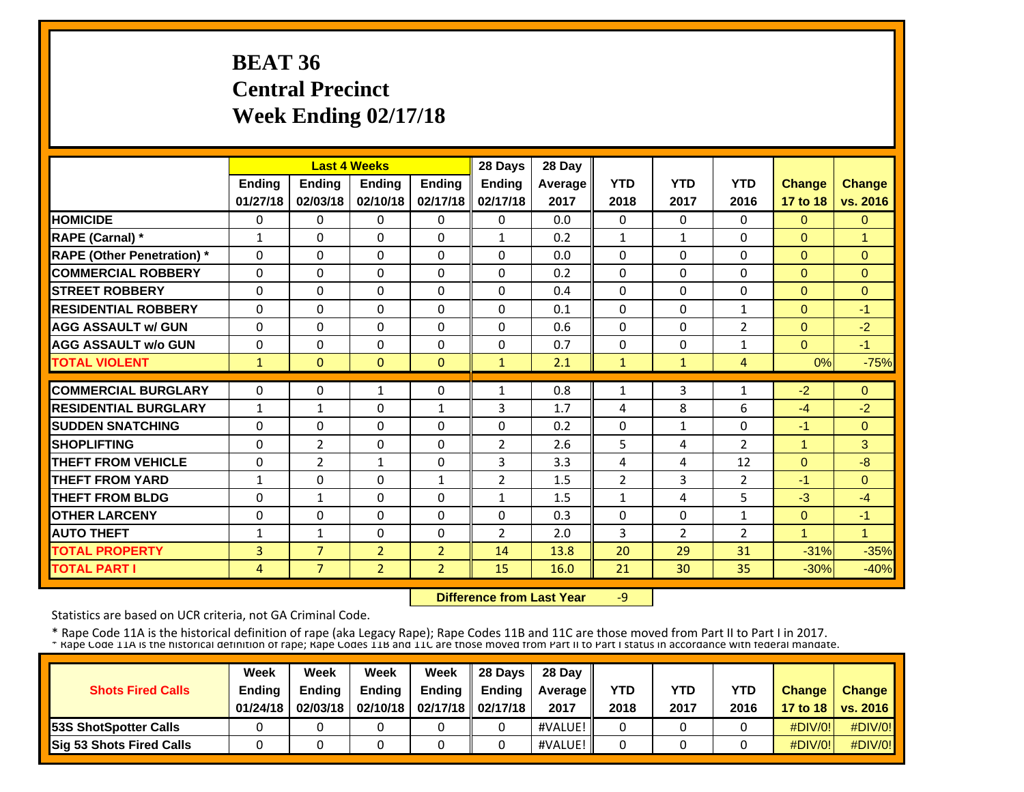# **BEAT 36 Central Precinct Week Ending 02/17/18**

|                                   |              |                | <b>Last 4 Weeks</b> |                | 28 Days        | 28 Day  |                |                |                |                |               |
|-----------------------------------|--------------|----------------|---------------------|----------------|----------------|---------|----------------|----------------|----------------|----------------|---------------|
|                                   | Ending       | Ending         | <b>Ending</b>       | Ending         | Ending         | Average | <b>YTD</b>     | <b>YTD</b>     | <b>YTD</b>     | <b>Change</b>  | <b>Change</b> |
|                                   | 01/27/18     | 02/03/18       | 02/10/18            | 02/17/18       | 02/17/18       | 2017    | 2018           | 2017           | 2016           | 17 to 18       | vs. 2016      |
| <b>HOMICIDE</b>                   | 0            | 0              | $\mathbf{0}$        | 0              | $\Omega$       | 0.0     | $\Omega$       | $\Omega$       | $\mathbf{0}$   | $\Omega$       | $\Omega$      |
| <b>RAPE (Carnal)</b> *            | $\mathbf{1}$ | $\Omega$       | $\mathbf{0}$        | $\Omega$       | $\mathbf{1}$   | 0.2     | $\mathbf{1}$   | $\mathbf{1}$   | $\Omega$       | $\Omega$       | 1             |
| <b>RAPE (Other Penetration)</b> * | $\Omega$     | $\Omega$       | $\mathbf{0}$        | $\Omega$       | $\Omega$       | 0.0     | $\Omega$       | $\Omega$       | $\Omega$       | $\overline{0}$ | $\Omega$      |
| <b>COMMERCIAL ROBBERY</b>         | 0            | $\Omega$       | $\mathbf{0}$        | $\Omega$       | $\Omega$       | 0.2     | $\Omega$       | $\mathbf{0}$   | $\Omega$       | $\Omega$       | $\Omega$      |
| <b>STREET ROBBERY</b>             | 0            | $\Omega$       | $\mathbf{0}$        | $\Omega$       | $\Omega$       | 0.4     | $\Omega$       | 0              | $\Omega$       | $\Omega$       | $\Omega$      |
| <b>RESIDENTIAL ROBBERY</b>        | $\Omega$     | $\Omega$       | $\Omega$            | $\Omega$       | $\Omega$       | 0.1     | $\Omega$       | $\Omega$       | $\mathbf{1}$   | $\Omega$       | $-1$          |
| <b>AGG ASSAULT w/ GUN</b>         | $\Omega$     | $\Omega$       | $\Omega$            | $\Omega$       | $\Omega$       | 0.6     | $\Omega$       | $\Omega$       | 2              | $\Omega$       | $-2$          |
| <b>AGG ASSAULT w/o GUN</b>        | $\Omega$     | $\Omega$       | $\Omega$            | $\Omega$       | $\Omega$       | 0.7     | $\Omega$       | $\Omega$       | $\mathbf{1}$   | $\Omega$       | $-1$          |
| <b>TOTAL VIOLENT</b>              | 1            | $\mathbf{0}$   | $\mathbf{0}$        | $\mathbf{0}$   | $\mathbf{1}$   | 2.1     | 1              | $\mathbf{1}$   | 4              | 0%             | $-75%$        |
| <b>COMMERCIAL BURGLARY</b>        | 0            | $\Omega$       | 1                   | $\Omega$       | 1              | 0.8     | 1              | 3              | 1              | $-2$           | $\Omega$      |
| <b>RESIDENTIAL BURGLARY</b>       | 1            | 1              | $\mathbf{0}$        | 1              | 3              | 1.7     | 4              | 8              | 6              | $-4$           | $-2$          |
| <b>SUDDEN SNATCHING</b>           | $\Omega$     | $\Omega$       | $\Omega$            | $\Omega$       | $\Omega$       | 0.2     | $\Omega$       | $\mathbf{1}$   | $\Omega$       | $-1$           | $\Omega$      |
| <b>SHOPLIFTING</b>                | $\Omega$     | $\overline{2}$ | $\mathbf{0}$        | $\Omega$       | $\overline{2}$ | 2.6     | 5              | 4              | $\overline{2}$ | $\mathbf{1}$   | 3             |
| <b>THEFT FROM VEHICLE</b>         | 0            | $\overline{2}$ | $\mathbf{1}$        | $\Omega$       | 3              | 3.3     | 4              | 4              | 12             | $\Omega$       | $-8$          |
| <b>THEFT FROM YARD</b>            | $\mathbf{1}$ | 0              | $\mathbf{0}$        | 1              | $\overline{2}$ | 1.5     | $\overline{2}$ | 3              | $\overline{2}$ | -1             | $\Omega$      |
| <b>THEFT FROM BLDG</b>            | 0            | 1              | $\Omega$            | 0              | 1              | 1.5     | $\mathbf{1}$   | 4              | 5              | $-3$           | $-4$          |
| <b>OTHER LARCENY</b>              | $\Omega$     | $\Omega$       | $\Omega$            | $\Omega$       | $\Omega$       | 0.3     | $\Omega$       | $\Omega$       | $\mathbf{1}$   | $\Omega$       | $-1$          |
| <b>AUTO THEFT</b>                 | 1            | $\mathbf{1}$   | $\Omega$            | $\Omega$       | $\overline{2}$ | 2.0     | 3              | $\overline{2}$ | $\overline{2}$ | 1              | 1             |
| <b>TOTAL PROPERTY</b>             | 3            | $\overline{7}$ | $\overline{2}$      | $\overline{2}$ | 14             | 13.8    | 20             | 29             | 31             | $-31%$         | $-35%$        |
| <b>TOTAL PART I</b>               | 4            | 7 <sup>1</sup> | $\overline{2}$      | $\overline{2}$ | 15             | 16.0    | 21             | 30             | 35             | $-30%$         | $-40%$        |
|                                   |              |                |                     |                |                |         |                |                |                |                |               |

 **Difference from Last Year**‐9

Statistics are based on UCR criteria, not GA Criminal Code.

| <b>Shots Fired Calls</b>        | Week<br><b>Ending</b><br>01/24/18 | Week<br><b>Endina</b><br>02/03/18 | Week<br><b>Ending</b> | Week<br>Endina<br>02/10/18   02/17/18   02/17/18 | 28 Days<br><b>Endina</b> | 28 Dav<br><b>Average II</b><br>2017 | YTD<br>2018 | YTD<br>2017 | YTD<br>2016 | <b>Change</b> | <b>Change</b><br>17 to 18   vs. 2016 |
|---------------------------------|-----------------------------------|-----------------------------------|-----------------------|--------------------------------------------------|--------------------------|-------------------------------------|-------------|-------------|-------------|---------------|--------------------------------------|
| <b>153S ShotSpotter Calls</b>   |                                   |                                   |                       |                                                  |                          | #VALUE!                             |             |             |             | $\#$ DIV/0!   | $\#$ DIV/0!                          |
| <b>Sig 53 Shots Fired Calls</b> |                                   |                                   |                       |                                                  |                          | #VALUE!                             |             |             |             | $\#$ DIV/0!   | #DIV/0!                              |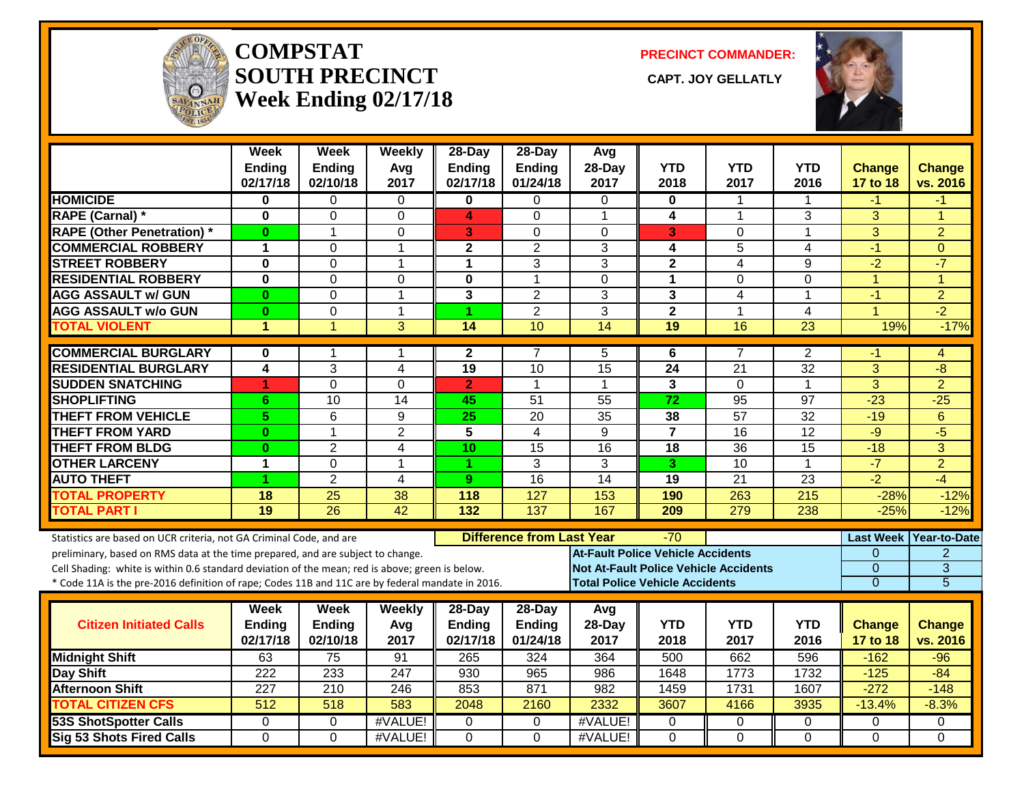

#### **COMPSTATSOUTH PRECINCT CAPT. JOY GELLATLYWeek Ending 02/17/18**

**PRECINCT COMMANDER:**

CAPT. JOY GELLATLY



|                                                                                                  | Week<br><b>Ending</b><br>02/17/18 | Week<br><b>Ending</b><br>02/10/18 | Weekly<br>Avg<br>2017   | 28-Day<br><b>Ending</b><br>02/17/18 | 28-Day<br>Ending<br>01/24/18     | Avg<br>28-Day<br>2017                    | <b>YTD</b><br>2018      | <b>YTD</b><br>2017                           | <b>YTD</b><br>2016 | <b>Change</b><br>17 to 18 | <b>Change</b><br>vs. 2016 |
|--------------------------------------------------------------------------------------------------|-----------------------------------|-----------------------------------|-------------------------|-------------------------------------|----------------------------------|------------------------------------------|-------------------------|----------------------------------------------|--------------------|---------------------------|---------------------------|
| <b>HOMICIDE</b>                                                                                  | 0                                 | $\Omega$                          | $\mathbf 0$             | 0                                   | 0                                | 0                                        | 0                       | $\mathbf{1}$                                 | 1                  | $-1$                      | -1                        |
| <b>RAPE (Carnal) *</b>                                                                           | $\mathbf{0}$                      | $\mathbf 0$                       | $\mathbf{0}$            | 4                                   | $\Omega$                         | $\overline{1}$                           | $\overline{\mathbf{4}}$ | 1                                            | 3                  | 3                         | $\overline{ }$            |
| <b>RAPE (Other Penetration) *</b>                                                                | $\bf{0}$                          | $\mathbf 1$                       | $\mathbf 0$             | 3                                   | $\Omega$                         | $\Omega$                                 | 3                       | $\overline{0}$                               | $\mathbf{1}$       | $\overline{3}$            | $\overline{2}$            |
| <b>COMMERCIAL ROBBERY</b>                                                                        | $\mathbf 1$                       | 0                                 | $\mathbf{1}$            | 2                                   | 2                                | 3                                        | 4                       | 5                                            | 4                  | $-1$                      | $\mathbf{0}$              |
| <b>STREET ROBBERY</b>                                                                            | $\bf{0}$                          | $\Omega$                          | $\mathbf{1}$            | 1                                   | 3                                | 3                                        | $\overline{2}$          | $\overline{4}$                               | 9                  | $-2$                      | $-7$                      |
| <b>RESIDENTIAL ROBBERY</b>                                                                       | $\bf{0}$                          | $\Omega$                          | 0                       | 0                                   | $\mathbf{1}$                     | $\Omega$                                 | 1                       | $\Omega$                                     | 0                  | $\mathbf{1}$              | 1                         |
| <b>AGG ASSAULT w/ GUN</b>                                                                        | $\bf{0}$                          | $\Omega$                          | $\mathbf{1}$            | 3                                   | $\overline{2}$                   | 3                                        | 3                       | 4                                            | 1                  | $-1$                      | $\overline{2}$            |
| <b>AGG ASSAULT w/o GUN</b>                                                                       | $\bf{0}$                          | $\mathbf 0$                       | $\mathbf{1}$            | 1                                   | $\overline{2}$                   | 3                                        | $\overline{2}$          | $\mathbf{1}$                                 | 4                  | $\blacktriangleleft$      | $-2$                      |
| <b>TOTAL VIOLENT</b>                                                                             | $\blacktriangleleft$              | $\mathbf{1}$                      | 3                       | 14                                  | 10                               | 14                                       | 19                      | 16                                           | 23                 | 19%                       | $-17%$                    |
| <b>COMMERCIAL BURGLARY</b>                                                                       | 0                                 |                                   | 1                       | $\mathbf{2}$                        | 7                                | 5                                        | 6                       | 7                                            | $\overline{2}$     | -1                        | 4                         |
| <b>RESIDENTIAL BURGLARY</b>                                                                      | 4                                 | 3                                 | $\overline{4}$          | 19                                  | 10                               | $\overline{15}$                          | 24                      | 21                                           | 32                 | 3                         | $-8$                      |
| <b>SUDDEN SNATCHING</b>                                                                          | 1                                 | $\Omega$                          | 0                       | $\overline{2}$                      | $\mathbf{1}$                     | $\mathbf 1$                              | 3                       | $\Omega$                                     | $\mathbf 1$        | $\overline{3}$            | $\overline{2}$            |
| <b>SHOPLIFTING</b>                                                                               | 6                                 | 10                                | 14                      | 45                                  | 51                               | 55                                       | 72                      | $\overline{95}$                              | 97                 | $-23$                     | $-25$                     |
| <b>THEFT FROM VEHICLE</b>                                                                        | 5                                 | 6                                 | 9                       | 25                                  | 20                               | $\overline{35}$                          | 38                      | $\overline{57}$                              | 32                 | $-19$                     | 6                         |
| <b>THEFT FROM YARD</b>                                                                           | $\bf{0}$                          | $\mathbf 1$                       | $\overline{2}$          | 5                                   | $\overline{4}$                   | 9                                        | $\overline{7}$          | $\overline{16}$                              | 12                 | $-9$                      | $\overline{-5}$           |
| <b>THEFT FROM BLDG</b>                                                                           | $\bf{0}$                          | $\overline{2}$                    | $\overline{\mathbf{4}}$ | 10                                  | $\overline{15}$                  | 16                                       | 18                      | $\overline{36}$                              | 15                 | $-18$                     | 3                         |
| <b>OTHER LARCENY</b>                                                                             | $\mathbf{1}$                      | $\mathbf{0}$                      | $\mathbf{1}$            | 1                                   | 3                                | 3                                        | 3                       | $\overline{10}$                              | $\mathbf{1}$       | $-7$                      | $\overline{2}$            |
| <b>AUTO THEFT</b>                                                                                | 1                                 | $\overline{2}$                    | 4                       | 9                                   | $\overline{16}$                  | 14                                       | 19                      | $\overline{21}$                              | 23                 | $-2$                      | $-4$                      |
| <b>TOTAL PROPERTY</b>                                                                            | 18                                | 25                                | 38                      | 118                                 | 127                              | 153                                      | 190                     | 263                                          | 215                | $-28%$                    | $-12%$                    |
| <b>TOTAL PART I</b>                                                                              | $\overline{19}$                   | $\overline{26}$                   | $\overline{42}$         | 132                                 | 137                              | 167                                      | 209                     | 279                                          | 238                | $-25%$                    | $-12%$                    |
| Statistics are based on UCR criteria, not GA Criminal Code, and are                              |                                   |                                   |                         |                                     | <b>Difference from Last Year</b> |                                          | $-70$                   |                                              |                    |                           | Last Week Year-to-Date    |
| preliminary, based on RMS data at the time prepared, and are subject to change.                  |                                   |                                   |                         |                                     |                                  | <b>At-Fault Police Vehicle Accidents</b> |                         |                                              |                    | $\Omega$                  | $\overline{2}$            |
| Cell Shading: white is within 0.6 standard deviation of the mean; red is above; green is below.  |                                   |                                   |                         |                                     |                                  |                                          |                         | <b>Not At-Fault Police Vehicle Accidents</b> |                    | $\overline{0}$            | $\overline{3}$            |
| * Code 11A is the pre-2016 definition of rape; Codes 11B and 11C are by federal mandate in 2016. |                                   |                                   |                         |                                     |                                  | <b>Total Police Vehicle Accidents</b>    |                         |                                              |                    | $\overline{0}$            | $\overline{5}$            |
|                                                                                                  | Week                              | <b>Week</b>                       | <b>Weekly</b>           | $28-Day$                            | 28-Day                           | Avg                                      |                         |                                              |                    |                           |                           |
| <b>Citizen Initiated Calls</b>                                                                   | Ending                            | Ending                            | Avg                     | <b>Ending</b>                       | Ending                           | 28-Day                                   | <b>YTD</b>              | <b>YTD</b>                                   | <b>YTD</b>         | <b>Change</b>             | <b>Change</b>             |
|                                                                                                  | 02/17/18                          | 02/10/18                          | 2017                    | 02/17/18                            | 01/24/18                         | 2017                                     | 2018                    | 2017                                         | 2016               | 17 to 18                  | vs. 2016                  |
| <b>Midnight Shift</b>                                                                            | 63                                | 75                                | 91                      | 265                                 | 324                              | 364                                      | 500                     | 662                                          | 596                | $-162$                    | $-96$                     |
| <b>Day Shift</b>                                                                                 | $\overline{222}$                  | 233                               | $\overline{247}$        | 930                                 | 965                              | 986                                      | 1648                    | 1773                                         | 1732               | $-125$                    | $-84$                     |
| <b>Afternoon Shift</b>                                                                           | 227                               | 210                               | 246                     | 853                                 | 871                              | 982                                      | 1459                    | 1731                                         | 1607               | $-272$                    | $-148$                    |
| <b>TOTAL CITIZEN CFS</b>                                                                         | $\overline{512}$                  | 518                               | 583                     | 2048                                | 2160                             | 2332                                     | 3607                    | 4166                                         | 3935               | $-13.4%$                  | $-8.3%$                   |
| <b>53S ShotSpotter Calls</b>                                                                     | $\Omega$                          | $\Omega$                          | #VALUE!                 | $\Omega$                            | $\Omega$                         | #VALUE!                                  | 0                       | $\Omega$                                     | 0                  | 0                         | $\Omega$                  |
| <b>Sig 53 Shots Fired Calls</b>                                                                  | $\Omega$                          | $\Omega$                          | #VALUE!                 | $\Omega$                            | $\Omega$                         | #VALUE!                                  | $\Omega$                | $\Omega$                                     | 0                  | $\Omega$                  | $\Omega$                  |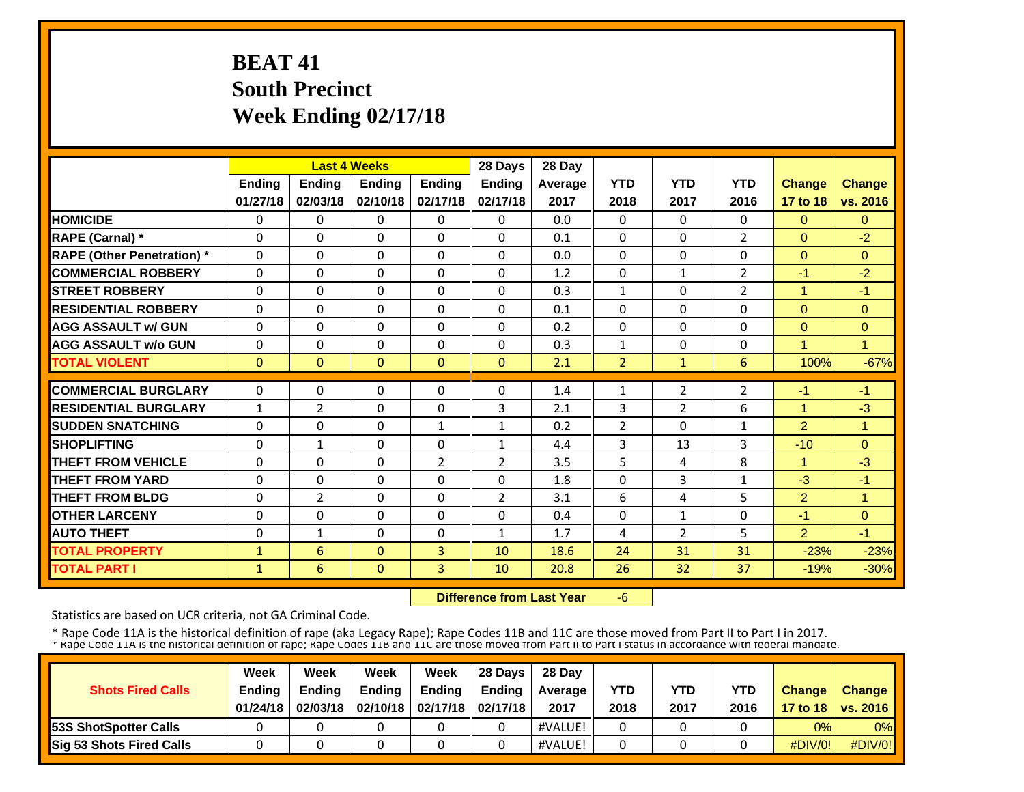# **BEAT 41 South Precinct Week Ending 02/17/18**

|                                   |              |              | <b>Last 4 Weeks</b> |                | 28 Days        | 28 Day         |                |                |                |                |                |
|-----------------------------------|--------------|--------------|---------------------|----------------|----------------|----------------|----------------|----------------|----------------|----------------|----------------|
|                                   | Ending       | Ending       | <b>Ending</b>       | Ending         | Ending         | <b>Average</b> | <b>YTD</b>     | <b>YTD</b>     | <b>YTD</b>     | Change         | <b>Change</b>  |
|                                   | 01/27/18     | 02/03/18     | 02/10/18            | 02/17/18       | 02/17/18       | 2017           | 2018           | 2017           | 2016           | 17 to 18       | vs. 2016       |
| <b>HOMICIDE</b>                   | $\Omega$     | $\Omega$     | $\Omega$            | $\Omega$       | $\Omega$       | 0.0            | $\Omega$       | $\Omega$       | $\Omega$       | $\Omega$       | $\Omega$       |
| <b>RAPE (Carnal) *</b>            | $\Omega$     | 0            | $\Omega$            | $\Omega$       | $\Omega$       | 0.1            | $\Omega$       | 0              | $\overline{2}$ | $\Omega$       | $-2$           |
| <b>RAPE (Other Penetration)</b> * | $\Omega$     | $\Omega$     | $\Omega$            | $\Omega$       | $\Omega$       | 0.0            | 0              | $\Omega$       | $\Omega$       | $\overline{0}$ | $\Omega$       |
| <b>COMMERCIAL ROBBERY</b>         | $\Omega$     | $\Omega$     | $\mathbf{0}$        | $\Omega$       | $\Omega$       | 1.2            | $\Omega$       | $\mathbf{1}$   | 2              | $-1$           | $-2$           |
| <b>STREET ROBBERY</b>             | $\Omega$     | $\Omega$     | $\mathbf{0}$        | $\Omega$       | $\Omega$       | 0.3            | $\mathbf{1}$   | 0              | 2              | $\mathbf{1}$   | $-1$           |
| <b>RESIDENTIAL ROBBERY</b>        | $\Omega$     | $\Omega$     | $\Omega$            | $\Omega$       | $\Omega$       | 0.1            | $\Omega$       | $\Omega$       | $\Omega$       | $\Omega$       | $\Omega$       |
| <b>AGG ASSAULT w/ GUN</b>         | $\Omega$     | $\Omega$     | $\Omega$            | $\Omega$       | $\Omega$       | 0.2            | $\Omega$       | $\Omega$       | $\Omega$       | $\Omega$       | $\Omega$       |
| <b>AGG ASSAULT w/o GUN</b>        | $\Omega$     | 0            | $\Omega$            | $\Omega$       | $\Omega$       | 0.3            | 1              | $\Omega$       | $\Omega$       | $\overline{1}$ | 4              |
| <b>TOTAL VIOLENT</b>              | $\mathbf{0}$ | $\Omega$     | $\Omega$            | $\Omega$       | $\Omega$       | 2.1            | $\overline{2}$ | $\mathbf{1}$   | 6              | 100%           | $-67%$         |
| <b>COMMERCIAL BURGLARY</b>        | $\Omega$     | $\Omega$     | $\mathbf{0}$        | $\Omega$       | $\Omega$       | 1.4            | 1              | $\overline{2}$ | $\overline{2}$ | $-1$           | $-1$           |
| <b>RESIDENTIAL BURGLARY</b>       | $\mathbf{1}$ | 2            | $\mathbf{0}$        | $\Omega$       | 3              | 2.1            | 3              | $\overline{2}$ | 6              | 1              | $-3$           |
| <b>SUDDEN SNATCHING</b>           | $\Omega$     | $\Omega$     | $\Omega$            | $\mathbf{1}$   | $\mathbf{1}$   | 0.2            | $\overline{2}$ | $\Omega$       | $\mathbf{1}$   | $\overline{2}$ | $\overline{1}$ |
| <b>SHOPLIFTING</b>                | $\Omega$     | $\mathbf{1}$ | $\mathbf{0}$        | $\Omega$       | $\mathbf{1}$   | 4.4            | 3              | 13             | 3              | $-10$          | $\Omega$       |
| <b>THEFT FROM VEHICLE</b>         | 0            | 0            | 0                   | $\overline{2}$ | 2              | 3.5            | 5              | 4              | 8              | $\mathbf{1}$   | $-3$           |
| <b>THEFT FROM YARD</b>            | 0            | 0            | $\Omega$            | $\Omega$       | $\Omega$       | 1.8            | 0              | 3              | 1              | $-3$           | $-1$           |
| <b>THEFT FROM BLDG</b>            | 0            | 2            | $\Omega$            | 0              | $\overline{2}$ | 3.1            | 6              | 4              | 5              | $\overline{2}$ | 1              |
| <b>OTHER LARCENY</b>              | $\Omega$     | $\Omega$     | $\Omega$            | $\Omega$       | $\Omega$       | 0.4            | $\Omega$       | $\mathbf{1}$   | $\Omega$       | $-1$           | $\Omega$       |
| <b>AUTO THEFT</b>                 | $\Omega$     | $\mathbf{1}$ | $\Omega$            | $\Omega$       | $\mathbf{1}$   | 1.7            | 4              | 2              | 5              | $\overline{2}$ | $-1$           |
| <b>TOTAL PROPERTY</b>             | $\mathbf{1}$ | 6            | $\mathbf{0}$        | 3              | 10             | 18.6           | 24             | 31             | 31             | $-23%$         | $-23%$         |
| <b>TOTAL PART I</b>               | $\mathbf{1}$ | 6            | $\mathbf{0}$        | 3              | 10             | 20.8           | 26             | 32             | 37             | $-19%$         | $-30%$         |

 **Difference from Last Year**‐6

Statistics are based on UCR criteria, not GA Criminal Code.

|                              | Week                      | Week                      | Week          | Week                                     | 28 Davs       | 28 Day             | <b>YTD</b> |             |                    |               |                                      |
|------------------------------|---------------------------|---------------------------|---------------|------------------------------------------|---------------|--------------------|------------|-------------|--------------------|---------------|--------------------------------------|
| <b>Shots Fired Calls</b>     | <b>Ending</b><br>01/24/18 | <b>Ending</b><br>02/03/18 | <b>Ending</b> | Ending<br>02/10/18   02/17/18   02/17/18 | <b>Endina</b> | Average II<br>2017 | 2018       | YTD<br>2017 | <b>YTD</b><br>2016 | <b>Change</b> | <b>Change</b><br>17 to 18   vs. 2016 |
| <b>53S ShotSpotter Calls</b> |                           |                           |               |                                          |               | #VALUE!            |            |             |                    | 0%            | 0%                                   |
| Sig 53 Shots Fired Calls     |                           |                           |               |                                          |               | #VALUE!            |            |             |                    | $\#$ DIV/0!   | #DIV/0!                              |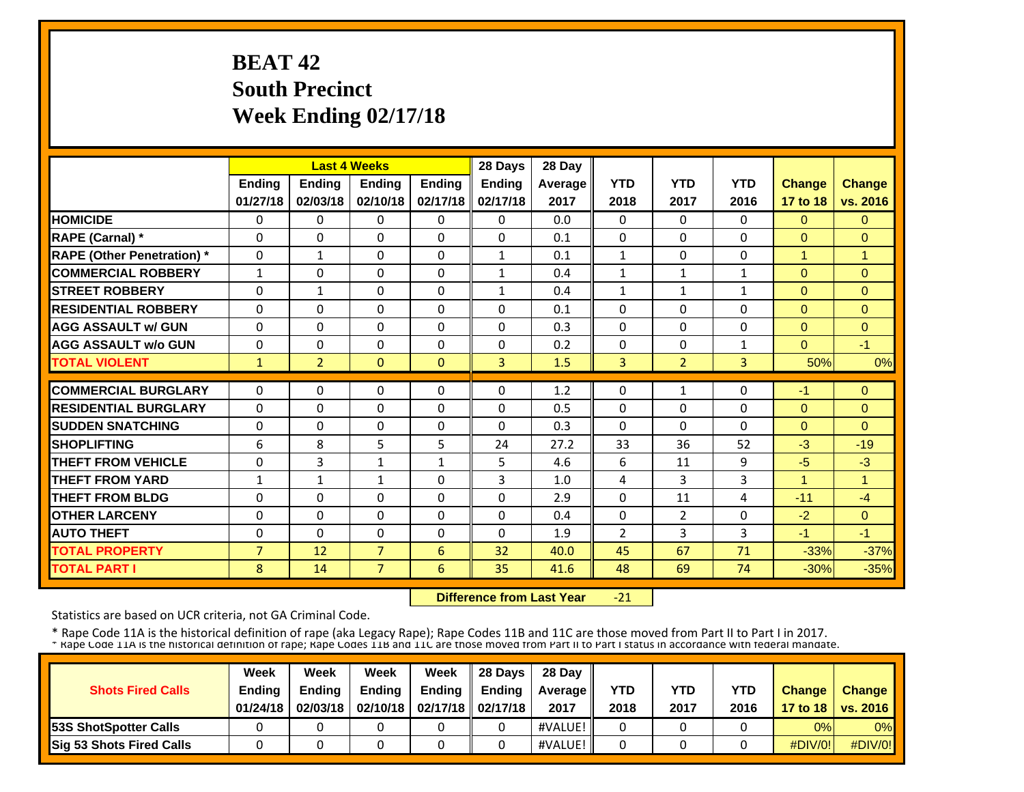# **BEAT 42 South Precinct Week Ending 02/17/18**

|                                   |                |                | <b>Last 4 Weeks</b> |               | 28 Days        | 28 Day  |                |                |              |               |               |
|-----------------------------------|----------------|----------------|---------------------|---------------|----------------|---------|----------------|----------------|--------------|---------------|---------------|
|                                   | <b>Ending</b>  | Ending         | Ending              | <b>Ending</b> | Ending         | Average | <b>YTD</b>     | <b>YTD</b>     | <b>YTD</b>   | <b>Change</b> | <b>Change</b> |
|                                   | 01/27/18       | 02/03/18       | 02/10/18            | 02/17/18      | 02/17/18       | 2017    | 2018           | 2017           | 2016         | 17 to 18      | vs. 2016      |
| <b>HOMICIDE</b>                   | $\Omega$       | 0              | 0                   | $\Omega$      | $\Omega$       | 0.0     | $\Omega$       | $\Omega$       | $\Omega$     | $\Omega$      | $\Omega$      |
| <b>RAPE (Carnal)</b> *            | $\Omega$       | $\Omega$       | $\Omega$            | $\Omega$      | $\Omega$       | 0.1     | $\Omega$       | 0              | $\Omega$     | $\Omega$      | $\Omega$      |
| <b>RAPE (Other Penetration)</b> * | $\Omega$       | $\mathbf{1}$   | $\Omega$            | $\Omega$      | $\mathbf{1}$   | 0.1     | $\mathbf{1}$   | 0              | $\Omega$     | $\mathbf{1}$  | $\mathbf{1}$  |
| <b>COMMERCIAL ROBBERY</b>         | $\mathbf{1}$   | $\Omega$       | $\Omega$            | $\mathbf{0}$  | $\mathbf{1}$   | 0.4     | $\mathbf{1}$   | $\mathbf{1}$   | 1            | $\Omega$      | $\Omega$      |
| <b>STREET ROBBERY</b>             | $\Omega$       | $\mathbf{1}$   | $\Omega$            | $\Omega$      | $\mathbf{1}$   | 0.4     | $\mathbf{1}$   | $\mathbf{1}$   | $\mathbf{1}$ | $\Omega$      | $\Omega$      |
| <b>RESIDENTIAL ROBBERY</b>        | 0              | $\Omega$       | 0                   | $\Omega$      | 0              | 0.1     | 0              | 0              | $\Omega$     | $\Omega$      | $\Omega$      |
| <b>AGG ASSAULT w/ GUN</b>         | $\Omega$       | $\Omega$       | 0                   | $\Omega$      | $\Omega$       | 0.3     | $\Omega$       | 0              | 0            | $\mathbf{0}$  | $\mathbf{0}$  |
| <b>AGG ASSAULT w/o GUN</b>        | 0              | $\Omega$       | $\Omega$            | $\mathbf{0}$  | 0              | 0.2     | $\Omega$       | 0              | 1            | $\Omega$      | $-1$          |
| <b>TOTAL VIOLENT</b>              | $\mathbf{1}$   | $\overline{2}$ | $\Omega$            | $\mathbf{0}$  | $\overline{3}$ | 1.5     | 3              | $\overline{2}$ | 3            | 50%           | 0%            |
| <b>COMMERCIAL BURGLARY</b>        | $\Omega$       | $\Omega$       | $\Omega$            | $\Omega$      | 0              | 1.2     | $\Omega$       | 1              | 0            | $-1$          | $\Omega$      |
| <b>RESIDENTIAL BURGLARY</b>       | $\Omega$       | $\Omega$       | $\Omega$            | $\Omega$      | $\Omega$       | 0.5     | $\Omega$       | 0              | $\Omega$     | $\Omega$      | $\Omega$      |
| <b>SUDDEN SNATCHING</b>           | $\Omega$       | $\Omega$       | $\Omega$            | $\Omega$      | 0              | 0.3     | $\Omega$       | 0              | $\Omega$     | $\Omega$      | $\Omega$      |
| <b>SHOPLIFTING</b>                | 6              | 8              | 5                   | 5             | 24             | 27.2    | 33             | 36             | 52           | $-3$          | $-19$         |
| <b>THEFT FROM VEHICLE</b>         | 0              | 3              | $\mathbf{1}$        | $\mathbf{1}$  | 5.             | 4.6     | 6              | 11             | 9            | $-5$          | $-3$          |
| <b>THEFT FROM YARD</b>            | 1              | $\mathbf{1}$   | $\mathbf{1}$        | $\mathbf{0}$  | 3              | 1.0     | 4              | 3              | 3            | $\mathbf{1}$  | 1             |
| <b>THEFT FROM BLDG</b>            | $\Omega$       | $\Omega$       | $\Omega$            | $\Omega$      | $\Omega$       | 2.9     | $\Omega$       | 11             | 4            | $-11$         | $-4$          |
| <b>OTHER LARCENY</b>              | $\Omega$       | $\Omega$       | $\Omega$            | $\mathbf{0}$  | 0              | 0.4     | $\Omega$       | 2              | $\Omega$     | $-2$          | $\Omega$      |
| <b>AUTO THEFT</b>                 | $\Omega$       | $\Omega$       | $\Omega$            | $\Omega$      | $\Omega$       | 1.9     | $\overline{2}$ | 3              | 3            | $-1$          | $-1$          |
| <b>TOTAL PROPERTY</b>             | $\overline{7}$ | 12             | $\overline{7}$      | 6             | 32             | 40.0    | 45             | 67             | 71           | $-33%$        | $-37%$        |
| <b>TOTAL PART I</b>               | 8              | 14             | $\overline{7}$      | 6             | 35             | 41.6    | 48             | 69             | 74           | $-30%$        | $-35%$        |

 **Difference from Last Year** $-21$ 

Statistics are based on UCR criteria, not GA Criminal Code.

| <b>Shots Fired Calls</b>        | Week<br><b>Ending</b><br>01/24/18 | Week<br><b>Endina</b><br>02/03/18 | Week<br><b>Ending</b> | Week<br>Ending<br>02/10/18   02/17/18   02/17/18 | 28 Davs<br><b>Endina</b> | 28 Day<br><b>Average</b> II<br>2017 | <b>YTD</b><br>2018 | YTD<br>2017 | <b>YTD</b><br>2016 | <b>Change</b> | <b>Change</b><br>17 to 18   vs. 2016 |
|---------------------------------|-----------------------------------|-----------------------------------|-----------------------|--------------------------------------------------|--------------------------|-------------------------------------|--------------------|-------------|--------------------|---------------|--------------------------------------|
| <b>153S ShotSpotter Calls</b>   |                                   |                                   |                       |                                                  |                          | #VALUE!                             |                    |             |                    | 0%            | 0%                                   |
| <b>Sig 53 Shots Fired Calls</b> |                                   |                                   |                       |                                                  |                          | #VALUE!                             |                    |             |                    | $\#$ DIV/0!   | $\#$ DIV/0!                          |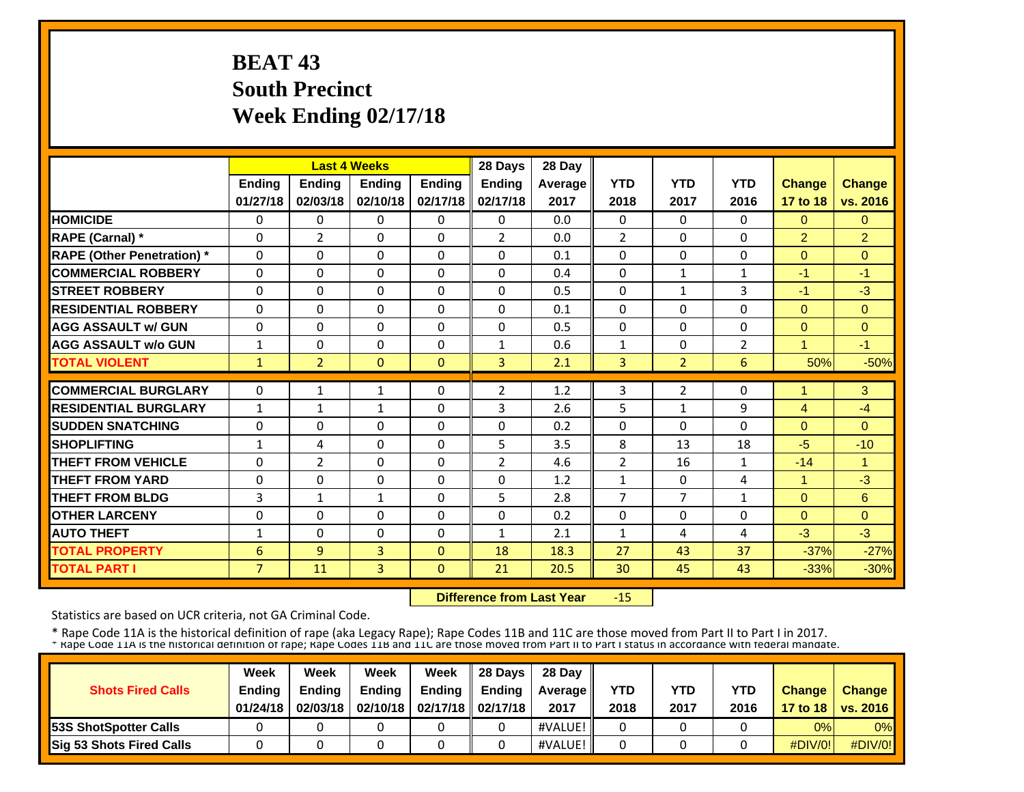# **BEAT 43 South Precinct Week Ending 02/17/18**

|                                   |                |                | <b>Last 4 Weeks</b> |               | 28 Days        | 28 Day  |                |                |                |                      |               |
|-----------------------------------|----------------|----------------|---------------------|---------------|----------------|---------|----------------|----------------|----------------|----------------------|---------------|
|                                   | Ending         | Ending         | Ending              | <b>Ending</b> | Ending         | Average | <b>YTD</b>     | <b>YTD</b>     | <b>YTD</b>     | Change               | <b>Change</b> |
|                                   | 01/27/18       | 02/03/18       | 02/10/18            | 02/17/18      | 02/17/18       | 2017    | 2018           | 2017           | 2016           | 17 to 18             | vs. 2016      |
| <b>HOMICIDE</b>                   | $\Omega$       | 0              | $\Omega$            | $\Omega$      | $\Omega$       | 0.0     | $\Omega$       | $\Omega$       | $\Omega$       | $\Omega$             | $\Omega$      |
| <b>RAPE (Carnal)</b> *            | $\Omega$       | $\overline{2}$ | $\Omega$            | $\mathbf{0}$  | 2              | 0.0     | $\overline{2}$ | 0              | 0              | 2                    | 2             |
| <b>RAPE (Other Penetration)</b> * | $\Omega$       | $\Omega$       | $\Omega$            | $\mathbf{0}$  | $\Omega$       | 0.1     | 0              | 0              | 0              | $\mathbf{0}$         | $\Omega$      |
| <b>COMMERCIAL ROBBERY</b>         | $\Omega$       | $\Omega$       | $\Omega$            | $\mathbf{0}$  | $\Omega$       | 0.4     | $\Omega$       | $\mathbf{1}$   | $\mathbf{1}$   | $-1$                 | $-1$          |
| <b>STREET ROBBERY</b>             | $\Omega$       | $\Omega$       | $\Omega$            | $\mathbf{0}$  | $\Omega$       | 0.5     | $\Omega$       | 1              | 3              | $-1$                 | $-3$          |
| <b>RESIDENTIAL ROBBERY</b>        | $\Omega$       | $\Omega$       | $\Omega$            | $\Omega$      | $\Omega$       | 0.1     | $\Omega$       | 0              | $\Omega$       | $\Omega$             | $\Omega$      |
| <b>AGG ASSAULT w/ GUN</b>         | $\Omega$       | $\Omega$       | $\Omega$            | $\Omega$      | 0              | 0.5     | $\Omega$       | 0              | $\Omega$       | $\Omega$             | $\Omega$      |
| <b>AGG ASSAULT w/o GUN</b>        | 1              | $\Omega$       | $\Omega$            | $\Omega$      | $\mathbf{1}$   | 0.6     | 1              | 0              | $\overline{2}$ | $\overline{1}$       | $-1$          |
| <b>TOTAL VIOLENT</b>              | 1              | $\overline{2}$ | $\Omega$            | $\mathbf{0}$  | $\overline{3}$ | 2.1     | 3              | $\overline{2}$ | 6              | 50%                  | $-50%$        |
| <b>COMMERCIAL BURGLARY</b>        | $\Omega$       |                |                     | $\mathbf{0}$  | $\overline{2}$ |         |                | 2              | 0              | $\blacktriangleleft$ |               |
|                                   |                | 1              | 1                   |               |                | 1.2     | 3              |                |                |                      | 3             |
| <b>RESIDENTIAL BURGLARY</b>       | 1              | 1              | 1                   | $\mathbf{0}$  | 3              | 2.6     | 5              | 1              | 9              | $\overline{4}$       | $-4$          |
| <b>SUDDEN SNATCHING</b>           | $\Omega$       | $\Omega$       | $\Omega$            | $\Omega$      | $\Omega$       | 0.2     | $\mathbf{0}$   | 0              | $\Omega$       | $\Omega$             | $\Omega$      |
| <b>SHOPLIFTING</b>                | $\mathbf{1}$   | 4              | $\Omega$            | $\mathbf{0}$  | 5              | 3.5     | 8              | 13             | 18             | $-5$                 | $-10$         |
| <b>THEFT FROM VEHICLE</b>         | 0              | $\overline{2}$ | 0                   | $\mathbf{0}$  | 2              | 4.6     | 2              | 16             | 1              | $-14$                | 1             |
| <b>THEFT FROM YARD</b>            | 0              | 0              | 0                   | $\mathbf{0}$  | 0              | 1.2     | 1              | 0              | 4              | $\mathbf{1}$         | $-3$          |
| <b>THEFT FROM BLDG</b>            | 3              | 1              | 1                   | $\Omega$      | 5              | 2.8     | 7              | 7              | 1              | $\mathbf{0}$         | 6             |
| <b>OTHER LARCENY</b>              | $\Omega$       | $\Omega$       | $\Omega$            | $\Omega$      | $\Omega$       | 0.2     | $\Omega$       | 0              | 0              | $\Omega$             | $\Omega$      |
| <b>AUTO THEFT</b>                 | $\mathbf{1}$   | $\Omega$       | $\Omega$            | $\Omega$      | 1              | 2.1     | $\mathbf{1}$   | 4              | 4              | $-3$                 | $-3$          |
| <b>TOTAL PROPERTY</b>             | 6              | $\overline{9}$ | 3                   | $\mathbf{0}$  | 18             | 18.3    | 27             | 43             | 37             | $-37%$               | $-27%$        |
| <b>TOTAL PART I</b>               | $\overline{7}$ | 11             | 3                   | $\mathbf{0}$  | 21             | 20.5    | 30             | 45             | 43             | $-33%$               | $-30%$        |

 **Difference from Last Year**‐15

Statistics are based on UCR criteria, not GA Criminal Code.

| <b>Shots Fired Calls</b>        | Week<br><b>Ending</b><br>01/24/18 | Week<br><b>Endina</b><br>02/03/18 | Week<br><b>Ending</b> | Week<br>Ending<br>02/10/18   02/17/18   02/17/18 | 28 Davs<br><b>Endina</b> | 28 Day<br><b>Average</b> II<br>2017 | <b>YTD</b><br>2018 | YTD<br>2017 | <b>YTD</b><br>2016 | <b>Change</b> | <b>Change</b><br>17 to 18   vs. 2016 |
|---------------------------------|-----------------------------------|-----------------------------------|-----------------------|--------------------------------------------------|--------------------------|-------------------------------------|--------------------|-------------|--------------------|---------------|--------------------------------------|
| <b>153S ShotSpotter Calls</b>   |                                   |                                   |                       |                                                  |                          | #VALUE!                             |                    |             |                    | 0%            | 0%                                   |
| <b>Sig 53 Shots Fired Calls</b> |                                   |                                   |                       |                                                  |                          | #VALUE!                             |                    |             |                    | $\#$ DIV/0!   | $\#$ DIV/0!                          |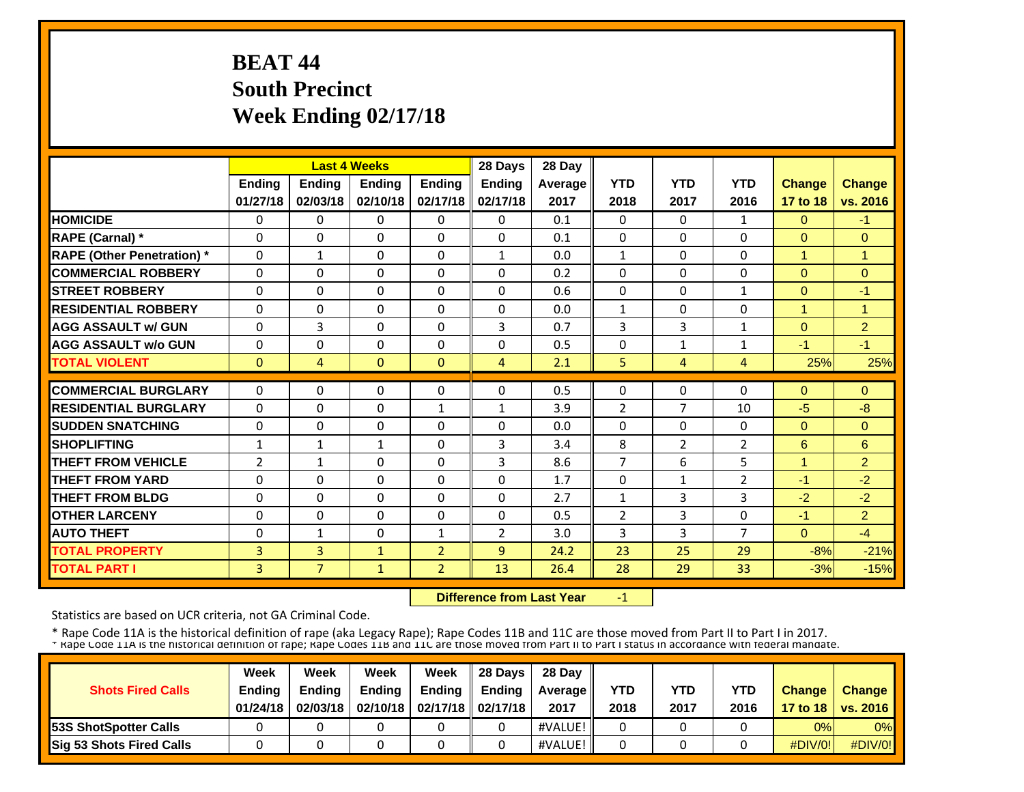## **BEAT 44 South Precinct Week Ending 02/17/18**

|                                   |                |                | <b>Last 4 Weeks</b> |                | 28 Days        | 28 Day  |                |                |                |                |                |
|-----------------------------------|----------------|----------------|---------------------|----------------|----------------|---------|----------------|----------------|----------------|----------------|----------------|
|                                   | <b>Ending</b>  | <b>Ending</b>  | <b>Ending</b>       | <b>Ending</b>  | <b>Ending</b>  | Average | <b>YTD</b>     | <b>YTD</b>     | <b>YTD</b>     | Change         | <b>Change</b>  |
|                                   | 01/27/18       | 02/03/18       | 02/10/18            | 02/17/18       | 02/17/18       | 2017    | 2018           | 2017           | 2016           | 17 to 18       | vs. 2016       |
| <b>HOMICIDE</b>                   | $\Omega$       | $\Omega$       | $\Omega$            | $\Omega$       | 0              | 0.1     | $\Omega$       | $\Omega$       | 1              | $\Omega$       | $-1$           |
| <b>RAPE (Carnal)</b> *            | $\Omega$       | 0              | $\Omega$            | $\mathbf{0}$   | $\Omega$       | 0.1     | $\Omega$       | $\Omega$       | 0              | $\Omega$       | $\Omega$       |
| <b>RAPE (Other Penetration)</b> * | $\Omega$       | $\mathbf{1}$   | $\Omega$            | $\Omega$       | $\mathbf{1}$   | 0.0     | $\mathbf{1}$   | 0              | 0              | $\overline{1}$ | $\overline{1}$ |
| <b>COMMERCIAL ROBBERY</b>         | 0              | $\Omega$       | $\Omega$            | $\mathbf{0}$   | $\Omega$       | 0.2     | 0              | 0              | 0              | $\mathbf{0}$   | $\Omega$       |
| <b>ISTREET ROBBERY</b>            | $\Omega$       | 0              | $\Omega$            | $\Omega$       | $\Omega$       | 0.6     | 0              | 0              | 1              | $\mathbf{0}$   | $-1$           |
| <b>RESIDENTIAL ROBBERY</b>        | $\Omega$       | $\Omega$       | $\Omega$            | $\mathbf{0}$   | $\Omega$       | 0.0     | $\mathbf{1}$   | 0              | 0              | $\mathbf{1}$   | $\overline{1}$ |
| <b>AGG ASSAULT w/ GUN</b>         | $\Omega$       | 3              | $\Omega$            | $\Omega$       | 3              | 0.7     | 3              | 3              | $\mathbf{1}$   | $\Omega$       | $\overline{2}$ |
| <b>AGG ASSAULT w/o GUN</b>        | $\Omega$       | $\Omega$       | $\Omega$            | $\Omega$       | $\Omega$       | 0.5     | $\Omega$       | $\mathbf{1}$   | $\mathbf{1}$   | $-1$           | $-1$           |
| <b>TOTAL VIOLENT</b>              | $\mathbf{0}$   | 4              | $\Omega$            | $\mathbf{0}$   | 4              | 2.1     | 5              | 4              | 4              | 25%            | 25%            |
| <b>COMMERCIAL BURGLARY</b>        | $\Omega$       | $\Omega$       | $\Omega$            | $\mathbf{0}$   | $\Omega$       | 0.5     | $\Omega$       | 0              | 0              | $\Omega$       | $\Omega$       |
| <b>RESIDENTIAL BURGLARY</b>       | $\Omega$       | 0              | $\Omega$            | $\mathbf{1}$   | $\mathbf{1}$   | 3.9     | 2              | 7              | 10             | $-5$           | $-8$           |
| <b>SUDDEN SNATCHING</b>           | 0              | $\Omega$       | $\Omega$            | $\mathbf{0}$   | $\Omega$       | 0.0     | 0              | 0              | 0              | $\mathbf{0}$   | $\Omega$       |
| <b>SHOPLIFTING</b>                | 1              | $\mathbf{1}$   | $\mathbf{1}$        | $\mathbf{0}$   | 3              | 3.4     | 8              | $\overline{2}$ | 2              | 6              | 6              |
| <b>THEFT FROM VEHICLE</b>         | $\overline{2}$ | $\mathbf{1}$   | $\Omega$            | $\Omega$       | 3              | 8.6     | $\overline{7}$ | 6              | 5              | $\mathbf{1}$   | $\overline{2}$ |
| <b>THEFT FROM YARD</b>            | $\Omega$       | $\Omega$       | $\Omega$            | $\Omega$       | $\Omega$       | 1.7     | 0              | $\mathbf{1}$   | 2              | $-1$           | $-2$           |
| <b>THEFT FROM BLDG</b>            | 0              | $\Omega$       | $\Omega$            | $\Omega$       | 0              | 2.7     | 1              | 3              | 3              | $-2$           | $-2$           |
| <b>OTHER LARCENY</b>              | $\Omega$       | $\Omega$       | $\Omega$            | $\mathbf{0}$   | 0              | 0.5     | 2              | 3              | 0              | $-1$           | 2              |
| <b>AUTO THEFT</b>                 | $\Omega$       | $\mathbf{1}$   | $\Omega$            | $\mathbf{1}$   | $\overline{2}$ | 3.0     | 3              | 3              | $\overline{7}$ | $\Omega$       | $-4$           |
| <b>TOTAL PROPERTY</b>             | 3              | 3              | $\mathbf{1}$        | $\overline{2}$ | 9              | 24.2    | 23             | 25             | 29             | $-8%$          | $-21%$         |
| <b>TOTAL PART I</b>               | 3              | 7 <sup>2</sup> | $\mathbf{1}$        | $\overline{2}$ | 13             | 26.4    | 28             | 29             | 33             | $-3%$          | $-15%$         |

 **Difference from Last Year**‐1

Statistics are based on UCR criteria, not GA Criminal Code.

| <b>Shots Fired Calls</b>        | Week<br><b>Ending</b><br>01/24/18 | Week<br><b>Endina</b><br>02/03/18 | Week<br><b>Ending</b> | Week<br>Endina<br>02/10/18   02/17/18   02/17/18 | 28 Davs<br><b>Endina</b> | 28 Day<br>Average II<br>2017 | YTD<br>2018 | YTD<br>2017 | <b>YTD</b><br>2016 | <b>Change</b> | <b>Change</b><br>17 to 18   vs. 2016 |
|---------------------------------|-----------------------------------|-----------------------------------|-----------------------|--------------------------------------------------|--------------------------|------------------------------|-------------|-------------|--------------------|---------------|--------------------------------------|
| <b>153S ShotSpotter Calls</b>   |                                   |                                   |                       |                                                  |                          | #VALUE!                      |             |             |                    | 0%            | $0\%$                                |
| <b>Sig 53 Shots Fired Calls</b> |                                   |                                   |                       |                                                  |                          | #VALUE!                      |             |             |                    | $\#$ DIV/0!   | $\#$ DIV/0!                          |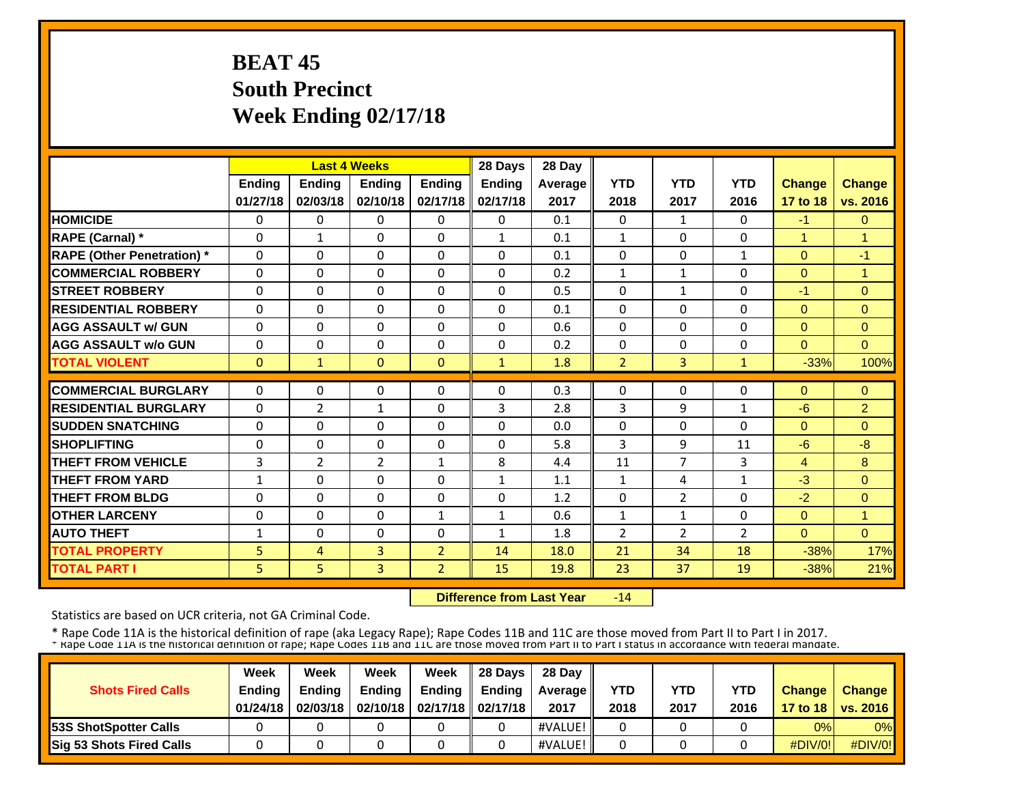# **BEAT 45 South Precinct Week Ending 02/17/18**

|                                   |               |                            | <b>Last 4 Weeks</b>      |                | 28 Days       | 28 Day     |                   |                |                |              |                            |
|-----------------------------------|---------------|----------------------------|--------------------------|----------------|---------------|------------|-------------------|----------------|----------------|--------------|----------------------------|
|                                   | <b>Ending</b> | <b>Ending</b>              | <b>Ending</b>            | <b>Ending</b>  | <b>Ending</b> | Average    | <b>YTD</b>        | <b>YTD</b>     | <b>YTD</b>     | Change       | <b>Change</b>              |
|                                   | 01/27/18      | 02/03/18                   | 02/10/18                 | 02/17/18       | 02/17/18      | 2017       | 2018              | 2017           | 2016           | 17 to 18     | vs. 2016                   |
| <b>HOMICIDE</b>                   | $\Omega$      | 0                          | $\Omega$                 | $\Omega$       | $\Omega$      | 0.1        | $\Omega$          | $\mathbf{1}$   | 0              | $-1$         | $\Omega$                   |
| <b>RAPE (Carnal)</b> *            | $\Omega$      | $\mathbf{1}$               | $\Omega$                 | $\mathbf{0}$   | $\mathbf{1}$  | 0.1        | $\mathbf{1}$      | 0              | $\Omega$       | $\mathbf{1}$ | $\overline{1}$             |
| <b>RAPE (Other Penetration)</b> * | $\Omega$      | $\Omega$                   | $\Omega$                 | $\Omega$       | $\Omega$      | 0.1        | 0                 | 0              | $\mathbf{1}$   | $\Omega$     | $-1$                       |
| <b>COMMERCIAL ROBBERY</b>         | $\Omega$      | 0                          | $\Omega$                 | $\Omega$       | $\Omega$      | 0.2        | $\mathbf{1}$      | $\mathbf{1}$   | 0              | $\Omega$     | 1                          |
| <b>ISTREET ROBBERY</b>            | $\Omega$      | $\Omega$                   | $\Omega$                 | $\Omega$       | 0             | 0.5        | $\Omega$          | $\mathbf{1}$   | $\Omega$       | $-1$         | $\Omega$                   |
| <b>IRESIDENTIAL ROBBERY</b>       | $\Omega$      | $\Omega$                   | $\Omega$                 | $\Omega$       | $\Omega$      | 0.1        | $\Omega$          | $\Omega$       | 0              | $\Omega$     | $\Omega$                   |
| <b>AGG ASSAULT w/ GUN</b>         | $\Omega$      | $\Omega$                   | $\Omega$                 | $\mathbf{0}$   | 0             | 0.6        | $\Omega$          | 0              | 0              | $\Omega$     | $\Omega$                   |
| <b>AGG ASSAULT w/o GUN</b>        | $\Omega$      | $\Omega$                   | $\Omega$                 | $\mathbf{0}$   | 0             | 0.2        | $\Omega$          | 0              | 0              | $\Omega$     | $\Omega$                   |
| <b>TOTAL VIOLENT</b>              | $\mathbf{0}$  | $\mathbf{1}$               | $\mathbf{0}$             | $\mathbf{0}$   | $\mathbf{1}$  | 1.8        | $\overline{2}$    | 3              | $\mathbf{1}$   | $-33%$       | 100%                       |
| <b>COMMERCIAL BURGLARY</b>        | $\Omega$      | $\Omega$                   | 0                        | $\mathbf{0}$   | $\Omega$      | 0.3        | $\mathbf{0}$      | 0              | 0              | $\Omega$     | $\Omega$                   |
| <b>RESIDENTIAL BURGLARY</b>       | $\Omega$      |                            |                          | $\mathbf{0}$   | 3             |            |                   | 9              |                |              |                            |
| <b>SUDDEN SNATCHING</b>           |               | $\overline{2}$<br>$\Omega$ | $\mathbf{1}$<br>$\Omega$ | $\Omega$       | $\Omega$      | 2.8<br>0.0 | 3<br>$\mathbf{0}$ | $\Omega$       | 1<br>$\Omega$  | $-6$         | $\overline{2}$<br>$\Omega$ |
| <b>SHOPLIFTING</b>                | 0             |                            |                          |                | $\Omega$      |            |                   | 9              |                | $\Omega$     |                            |
|                                   | $\Omega$      | $\Omega$                   | $\Omega$                 | $\Omega$       |               | 5.8        | 3                 |                | 11             | $-6$         | $-8$                       |
| <b>THEFT FROM VEHICLE</b>         | 3             | $\overline{2}$             | $\overline{2}$           | $\mathbf{1}$   | 8             | 4.4        | 11                | 7              | 3              | 4            | 8                          |
| <b>THEFT FROM YARD</b>            | 1             | $\Omega$                   | $\Omega$                 | $\Omega$       | 1             | 1.1        | 1                 | 4              | 1              | $-3$         | $\Omega$                   |
| <b>THEFT FROM BLDG</b>            | 0             | $\Omega$                   | $\Omega$                 | $\Omega$       | $\Omega$      | 1.2        | 0                 | $\overline{2}$ | $\Omega$       | $-2$         | $\Omega$                   |
| <b>OTHER LARCENY</b>              | $\Omega$      | $\Omega$                   | $\Omega$                 | $\mathbf{1}$   | $\mathbf{1}$  | 0.6        | $\mathbf{1}$      | 1              | $\Omega$       | $\Omega$     | 1                          |
| <b>AUTO THEFT</b>                 | 1             | $\Omega$                   | $\Omega$                 | $\Omega$       | $\mathbf{1}$  | 1.8        | $\overline{2}$    | $\overline{2}$ | $\overline{2}$ | $\Omega$     | $\Omega$                   |
| <b>TOTAL PROPERTY</b>             | 5             | 4                          | 3                        | $\overline{2}$ | 14            | 18.0       | 21                | 34             | 18             | $-38%$       | 17%                        |
| <b>TOTAL PART I</b>               | 5             | 5                          | 3                        | $\overline{2}$ | 15            | 19.8       | 23                | 37             | 19             | $-38%$       | 21%                        |

 **Difference from Last Year** $-14$ 

Statistics are based on UCR criteria, not GA Criminal Code.

| <b>Shots Fired Calls</b>        | Week<br><b>Ending</b><br>01/24/18 | Week<br><b>Endina</b><br>02/03/18 | Week<br><b>Ending</b> | Week<br>Ending<br>02/10/18   02/17/18   02/17/18 | 28 Davs<br><b>Endina</b> | 28 Day<br><b>Average</b> II<br>2017 | <b>YTD</b><br>2018 | YTD<br>2017 | <b>YTD</b><br>2016 | <b>Change</b> | <b>Change</b><br>17 to 18   vs. 2016 |
|---------------------------------|-----------------------------------|-----------------------------------|-----------------------|--------------------------------------------------|--------------------------|-------------------------------------|--------------------|-------------|--------------------|---------------|--------------------------------------|
| <b>153S ShotSpotter Calls</b>   |                                   |                                   |                       |                                                  |                          | #VALUE!                             |                    |             |                    | 0%            | 0%                                   |
| <b>Sig 53 Shots Fired Calls</b> |                                   |                                   |                       |                                                  |                          | #VALUE!                             |                    |             |                    | $\#$ DIV/0!   | $\#$ DIV/0!                          |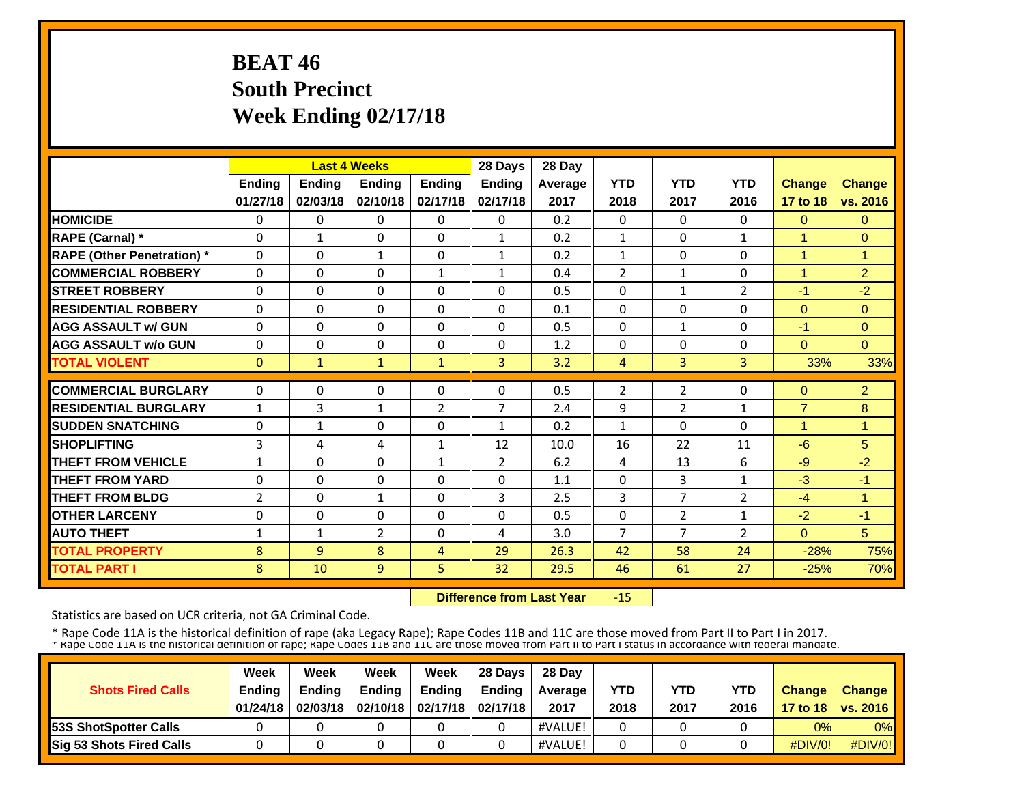# **BEAT 46 South Precinct Week Ending 02/17/18**

|                                   |               |                | <b>Last 4 Weeks</b> |                | 28 Days        | 28 Day  |                |                |                |                      |                      |
|-----------------------------------|---------------|----------------|---------------------|----------------|----------------|---------|----------------|----------------|----------------|----------------------|----------------------|
|                                   | <b>Ending</b> | <b>Ending</b>  | <b>Ending</b>       | <b>Ending</b>  | <b>Ending</b>  | Average | <b>YTD</b>     | <b>YTD</b>     | <b>YTD</b>     | Change               | <b>Change</b>        |
|                                   | 01/27/18      | 02/03/18       | 02/10/18            | 02/17/18       | 02/17/18       | 2017    | 2018           | 2017           | 2016           | 17 to 18             | vs. 2016             |
| <b>HOMICIDE</b>                   | $\Omega$      | 0              | $\Omega$            | $\Omega$       | $\Omega$       | 0.2     | $\Omega$       | $\Omega$       | 0              | $\Omega$             | $\Omega$             |
| <b>RAPE (Carnal)</b> *            | $\Omega$      | $\mathbf{1}$   | $\Omega$            | $\mathbf{0}$   | $\mathbf{1}$   | 0.2     | $\mathbf{1}$   | $\Omega$       | $\mathbf{1}$   | $\mathbf{1}$         | $\Omega$             |
| <b>RAPE (Other Penetration)</b> * | $\Omega$      | $\Omega$       | $\mathbf{1}$        | $\Omega$       | $\mathbf{1}$   | 0.2     | 1              | 0              | $\Omega$       | $\blacktriangleleft$ | $\blacktriangleleft$ |
| <b>COMMERCIAL ROBBERY</b>         | $\Omega$      | 0              | $\Omega$            | $\mathbf{1}$   | $\mathbf{1}$   | 0.4     | $\overline{2}$ | $\mathbf{1}$   | 0              | $\overline{1}$       | $\overline{2}$       |
| <b>ISTREET ROBBERY</b>            | $\Omega$      | $\Omega$       | $\Omega$            | $\Omega$       | 0              | 0.5     | $\Omega$       | $\mathbf{1}$   | 2              | $-1$                 | $-2$                 |
| <b>IRESIDENTIAL ROBBERY</b>       | $\Omega$      | $\Omega$       | $\Omega$            | $\Omega$       | $\Omega$       | 0.1     | $\Omega$       | $\Omega$       | 0              | $\Omega$             | $\Omega$             |
| <b>AGG ASSAULT w/ GUN</b>         | $\Omega$      | $\Omega$       | $\Omega$            | $\Omega$       | 0              | 0.5     | $\Omega$       | $\mathbf{1}$   | 0              | $-1$                 | $\Omega$             |
| <b>AGG ASSAULT w/o GUN</b>        | $\Omega$      | $\Omega$       | $\Omega$            | $\mathbf{0}$   | 0              | 1.2     | $\Omega$       | 0              | 0              | $\Omega$             | $\Omega$             |
| <b>TOTAL VIOLENT</b>              | $\mathbf{0}$  | $\mathbf{1}$   | $\mathbf{1}$        | 1              | $\overline{3}$ | 3.2     | 4              | 3              | 3              | 33%                  | 33%                  |
| <b>COMMERCIAL BURGLARY</b>        | $\Omega$      | $\Omega$       | 0                   | $\Omega$       | $\Omega$       | 0.5     | $\overline{2}$ | 2              | 0              | $\Omega$             | $\overline{2}$       |
| <b>RESIDENTIAL BURGLARY</b>       |               |                |                     |                | 7              |         |                |                |                |                      |                      |
|                                   | $\mathbf{1}$  | 3              | $\mathbf{1}$        | 2              |                | 2.4     | 9              | 2              | 1              | $\overline{7}$       | 8<br>1               |
| <b>SUDDEN SNATCHING</b>           | 0             | $\mathbf{1}$   | $\Omega$            | $\Omega$       | 1              | 0.2     | $\mathbf{1}$   | 0              | $\Omega$       | $\mathbf{1}$         |                      |
| <b>SHOPLIFTING</b>                | 3             | 4              | 4                   | $\mathbf{1}$   | 12             | 10.0    | 16             | 22             | 11             | $-6$                 | 5                    |
| <b>THEFT FROM VEHICLE</b>         | 1             | $\Omega$       | $\Omega$            | $\mathbf{1}$   | $\overline{2}$ | 6.2     | 4              | 13             | 6              | $-9$                 | $-2$                 |
| <b>THEFT FROM YARD</b>            | 0             | $\Omega$       | $\Omega$            | $\Omega$       | 0              | 1.1     | $\Omega$       | 3              | 1              | $-3$                 | $-1$                 |
| <b>THEFT FROM BLDG</b>            | 2             | $\Omega$       | $\mathbf{1}$        | $\Omega$       | 3              | 2.5     | 3              | $\overline{7}$ | $\overline{2}$ | $-4$                 | 1                    |
| <b>OTHER LARCENY</b>              | $\Omega$      | $\Omega$       | $\Omega$            | $\Omega$       | $\Omega$       | 0.5     | $\Omega$       | $\overline{2}$ | 1              | $-2$                 | $-1$                 |
| <b>AUTO THEFT</b>                 | $\mathbf{1}$  | $\mathbf{1}$   | $\overline{2}$      | $\Omega$       | 4              | 3.0     | 7              | $\overline{7}$ | $\overline{2}$ | $\Omega$             | 5                    |
| <b>TOTAL PROPERTY</b>             | 8             | $\overline{9}$ | 8                   | $\overline{4}$ | 29             | 26.3    | 42             | 58             | 24             | $-28%$               | 75%                  |
| <b>TOTAL PART I</b>               | 8             | 10             | 9                   | 5              | 32             | 29.5    | 46             | 61             | 27             | $-25%$               | 70%                  |

 **Difference from Last Year**‐15

Statistics are based on UCR criteria, not GA Criminal Code.

|                              | Week                      | Week                      | Week          | Week                                     | 28 Davs       | 28 Day             | <b>YTD</b> |             |                    |               |                                      |
|------------------------------|---------------------------|---------------------------|---------------|------------------------------------------|---------------|--------------------|------------|-------------|--------------------|---------------|--------------------------------------|
| <b>Shots Fired Calls</b>     | <b>Ending</b><br>01/24/18 | <b>Ending</b><br>02/03/18 | <b>Ending</b> | Ending<br>02/10/18   02/17/18   02/17/18 | <b>Endina</b> | Average II<br>2017 | 2018       | YTD<br>2017 | <b>YTD</b><br>2016 | <b>Change</b> | <b>Change</b><br>17 to 18   vs. 2016 |
| <b>53S ShotSpotter Calls</b> |                           |                           |               |                                          |               | #VALUE!            |            |             |                    | 0%            | 0%                                   |
| Sig 53 Shots Fired Calls     |                           |                           |               |                                          |               | #VALUE!            |            |             |                    | $\#$ DIV/0!   | #DIV/0!                              |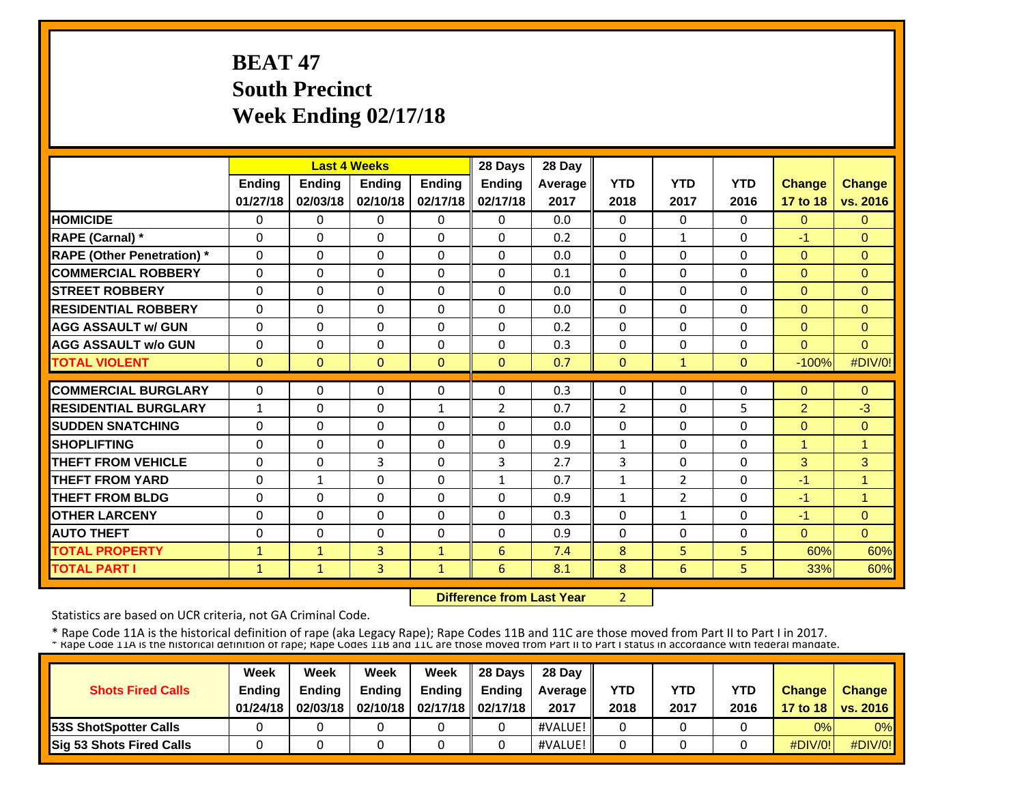# **BEAT 47 South Precinct Week Ending 02/17/18**

|                                   |               |               | <b>Last 4 Weeks</b> |               | 28 Days       | 28 Day         |                |                |             |                |                |
|-----------------------------------|---------------|---------------|---------------------|---------------|---------------|----------------|----------------|----------------|-------------|----------------|----------------|
|                                   | <b>Ending</b> | <b>Ending</b> | <b>Ending</b>       | <b>Ending</b> | <b>Ending</b> | <b>Average</b> | <b>YTD</b>     | <b>YTD</b>     | <b>YTD</b>  | Change         | <b>Change</b>  |
|                                   | 01/27/18      | 02/03/18      | 02/10/18            | 02/17/18      | 02/17/18      | 2017           | 2018           | 2017           | 2016        | 17 to 18       | vs. 2016       |
| <b>HOMICIDE</b>                   | $\Omega$      | $\Omega$      | $\Omega$            | 0             | $\Omega$      | 0.0            | 0              | $\Omega$       | $\Omega$    | $\Omega$       | $\Omega$       |
| RAPE (Carnal) *                   | $\Omega$      | 0             | $\Omega$            | $\Omega$      | $\Omega$      | 0.2            | $\Omega$       | $\mathbf{1}$   | $\Omega$    | $-1$           | $\Omega$       |
| <b>RAPE (Other Penetration)</b> * | $\Omega$      | $\Omega$      | $\Omega$            | $\Omega$      | $\Omega$      | 0.0            | 0              | 0              | $\Omega$    | $\overline{0}$ | $\Omega$       |
| <b>COMMERCIAL ROBBERY</b>         | $\Omega$      | $\Omega$      | $\Omega$            | $\Omega$      | $\Omega$      | 0.1            | $\Omega$       | 0              | $\Omega$    | $\Omega$       | $\Omega$       |
| <b>STREET ROBBERY</b>             | 0             | $\Omega$      | $\Omega$            | $\Omega$      | $\Omega$      | 0.0            | 0              | 0              | $\Omega$    | $\Omega$       | $\Omega$       |
| <b>RESIDENTIAL ROBBERY</b>        | $\Omega$      | $\Omega$      | $\Omega$            | $\Omega$      | $\Omega$      | 0.0            | $\Omega$       | $\Omega$       | $\Omega$    | $\Omega$       | $\Omega$       |
| <b>AGG ASSAULT w/ GUN</b>         | $\mathbf 0$   | $\Omega$      | $\mathbf 0$         | $\mathbf 0$   | $\Omega$      | 0.2            | 0              | $\Omega$       | $\mathbf 0$ | $\Omega$       | $\Omega$       |
| <b>AGG ASSAULT w/o GUN</b>        | $\Omega$      | 0             | $\Omega$            | $\Omega$      | $\Omega$      | 0.3            | $\Omega$       | $\Omega$       | $\Omega$    | $\Omega$       | $\Omega$       |
| <b>TOTAL VIOLENT</b>              | $\Omega$      | $\Omega$      | $\Omega$            | $\Omega$      | $\Omega$      | 0.7            | $\Omega$       | $\mathbf{1}$   | $\Omega$    | $-100%$        | #DIV/0!        |
| <b>COMMERCIAL BURGLARY</b>        | $\Omega$      | $\Omega$      | $\mathbf{0}$        | $\Omega$      | $\Omega$      | 0.3            | $\Omega$       | 0              | $\Omega$    | $\Omega$       | $\Omega$       |
| <b>RESIDENTIAL BURGLARY</b>       | $\mathbf{1}$  | $\Omega$      | $\mathbf{0}$        | $\mathbf{1}$  | 2             | 0.7            | $\overline{2}$ | 0              | 5           | $\overline{2}$ | $-3$           |
| <b>SUDDEN SNATCHING</b>           | 0             | $\Omega$      | $\mathbf{0}$        | $\Omega$      | $\Omega$      | 0.0            | 0              | 0              | $\Omega$    | $\overline{0}$ | $\Omega$       |
| <b>SHOPLIFTING</b>                | $\Omega$      | $\Omega$      | $\Omega$            | $\Omega$      | $\Omega$      | 0.9            | $\mathbf{1}$   | $\Omega$       | $\Omega$    | $\mathbf{1}$   | $\overline{1}$ |
| <b>THEFT FROM VEHICLE</b>         | 0             | 0             | 3                   | $\Omega$      | 3             | 2.7            | 3              | $\Omega$       | $\Omega$    | 3              | 3              |
| <b>THEFT FROM YARD</b>            | $\Omega$      | $\mathbf{1}$  | $\Omega$            | $\mathbf{0}$  | $\mathbf{1}$  | 0.7            | $\mathbf 1$    | $\overline{2}$ | $\Omega$    | $-1$           | 4              |
| <b>THEFT FROM BLDG</b>            | 0             | 0             | $\Omega$            | 0             | $\Omega$      | 0.9            | 1              | $\overline{2}$ | $\Omega$    | $-1$           | 4              |
| <b>OTHER LARCENY</b>              | 0             | $\Omega$      | $\mathbf{0}$        | 0             | $\Omega$      | 0.3            | $\Omega$       | $\mathbf{1}$   | $\Omega$    | $-1$           | $\Omega$       |
| <b>AUTO THEFT</b>                 | $\Omega$      | 0             | $\Omega$            | $\Omega$      | $\Omega$      | 0.9            | $\Omega$       | 0              | $\Omega$    | $\Omega$       | $\Omega$       |
| <b>TOTAL PROPERTY</b>             | $\mathbf{1}$  | $\mathbf{1}$  | 3                   | $\mathbf{1}$  | 6             | 7.4            | 8              | 5              | 5.          | 60%            | 60%            |
| <b>TOTAL PART I</b>               | $\mathbf{1}$  | $\mathbf{1}$  | $\overline{3}$      | 1             | 6             | 8.1            | 8              | 6              | 5           | 33%            | 60%            |

 **Difference from Last Year**

2

Statistics are based on UCR criteria, not GA Criminal Code.

|                              | Week                      | Week                      | Week          | Week                                     | 28 Davs       | 28 Day             | <b>YTD</b> |             |                    |               |                                      |
|------------------------------|---------------------------|---------------------------|---------------|------------------------------------------|---------------|--------------------|------------|-------------|--------------------|---------------|--------------------------------------|
| <b>Shots Fired Calls</b>     | <b>Ending</b><br>01/24/18 | <b>Ending</b><br>02/03/18 | <b>Ending</b> | Ending<br>02/10/18   02/17/18   02/17/18 | <b>Endina</b> | Average II<br>2017 | 2018       | YTD<br>2017 | <b>YTD</b><br>2016 | <b>Change</b> | <b>Change</b><br>17 to 18   vs. 2016 |
| <b>53S ShotSpotter Calls</b> |                           |                           |               |                                          |               | #VALUE!            |            |             |                    | 0%            | 0%                                   |
| Sig 53 Shots Fired Calls     |                           |                           |               |                                          |               | #VALUE!            |            |             |                    | $\#$ DIV/0!   | #DIV/0!                              |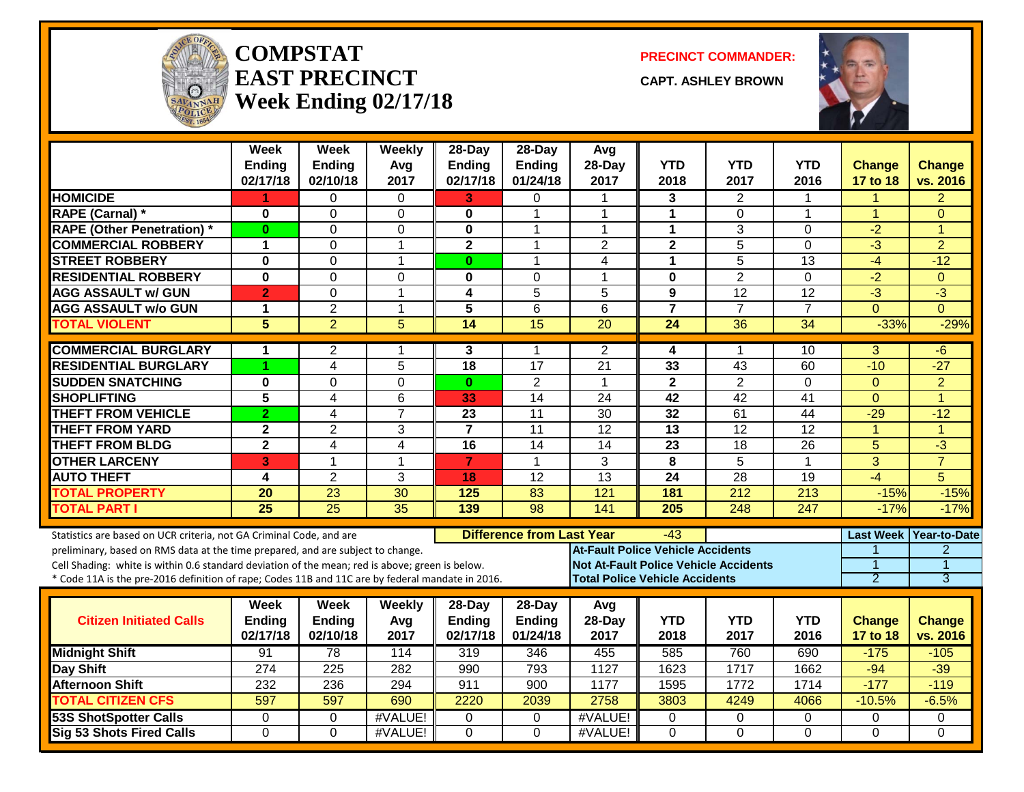

#### **COMPSTATEAST PRECINCTWeek Ending 02/17/18**

**PRECINCT COMMANDER:**

**CAPT. ASHLEY BROWN**



|                                                                                                                                                                                                     | <b>Week</b><br><b>Ending</b><br>02/17/18 | <b>Week</b><br><b>Ending</b><br>02/10/18 | Weekly<br>Avg<br>2017 | $28$ -Day<br><b>Ending</b><br>02/17/18 | $28-Day$<br><b>Ending</b><br>01/24/18 | Avg<br>28-Day<br>2017                                                                 | <b>YTD</b><br>2018 | <b>YTD</b><br>2017 | <b>YTD</b><br>2016 | <b>Change</b><br>17 to 18 | <b>Change</b><br>vs. 2016      |
|-----------------------------------------------------------------------------------------------------------------------------------------------------------------------------------------------------|------------------------------------------|------------------------------------------|-----------------------|----------------------------------------|---------------------------------------|---------------------------------------------------------------------------------------|--------------------|--------------------|--------------------|---------------------------|--------------------------------|
| <b>HOMICIDE</b>                                                                                                                                                                                     | 1.                                       | 0                                        | 0                     | 3                                      | 0                                     | -1                                                                                    | 3                  | 2                  | 1                  | 1                         | $\overline{2}$                 |
| <b>RAPE (Carnal) *</b>                                                                                                                                                                              | 0                                        | $\mathbf 0$                              | $\Omega$              | $\bf{0}$                               | 1                                     | $\overline{1}$                                                                        | $\mathbf{1}$       | $\Omega$           | 1                  | $\mathbf{1}$              | $\Omega$                       |
| <b>RAPE (Other Penetration) *</b>                                                                                                                                                                   | $\bf{0}$                                 | $\mathbf 0$                              | 0                     | 0                                      | 1                                     | $\overline{1}$                                                                        | $\mathbf{1}$       | 3                  | $\Omega$           | $-2$                      | 1                              |
| <b>COMMERCIAL ROBBERY</b>                                                                                                                                                                           | 1                                        | $\Omega$                                 | 1                     | $\mathbf{2}$                           | 1                                     | 2                                                                                     | $\mathbf{2}$       | 5                  | 0                  | $-3$                      | $\overline{2}$                 |
| <b>STREET ROBBERY</b>                                                                                                                                                                               | $\bf{0}$                                 | $\mathbf 0$                              | $\mathbf 1$           | $\mathbf{0}$                           | 1                                     | 4                                                                                     | $\mathbf{1}$       | 5                  | 13                 | $-4$                      | $-12$                          |
| <b>RESIDENTIAL ROBBERY</b>                                                                                                                                                                          | $\bf{0}$                                 | $\Omega$                                 | $\Omega$              | $\bf{0}$                               | $\Omega$                              | -1                                                                                    | $\mathbf 0$        | $\overline{2}$     | $\Omega$           | $-2$                      | $\Omega$                       |
| <b>AGG ASSAULT w/ GUN</b>                                                                                                                                                                           | $\overline{2}$                           | $\Omega$                                 | $\mathbf{1}$          | $\overline{\mathbf{4}}$                | $\overline{5}$                        | 5                                                                                     | 9                  | 12                 | $\overline{12}$    | $\overline{3}$            | $\overline{3}$                 |
| <b>AGG ASSAULT w/o GUN</b>                                                                                                                                                                          | 1                                        | $\overline{2}$                           | $\mathbf{1}$          | 5                                      | 6                                     | 6                                                                                     | $\overline{7}$     | $\overline{7}$     | $\overline{7}$     | $\Omega$                  | $\Omega$                       |
| <b>TOTAL VIOLENT</b>                                                                                                                                                                                | 5                                        | $\overline{2}$                           | $\overline{5}$        | 14                                     | $\overline{15}$                       | 20                                                                                    | 24                 | 36                 | 34                 | $-33%$                    | $-29%$                         |
| <b>COMMERCIAL BURGLARY</b>                                                                                                                                                                          | 1                                        | $\overline{2}$                           | 1                     | 3                                      | 1                                     | $\overline{2}$                                                                        | 4                  | 1                  | 10                 | 3                         | -6                             |
| <b>RESIDENTIAL BURGLARY</b>                                                                                                                                                                         | 1                                        | $\overline{4}$                           | $\overline{5}$        | 18                                     | $\overline{17}$                       | $\overline{21}$                                                                       | 33                 | $\overline{43}$    | 60                 | $-10$                     | $-27$                          |
| <b>SUDDEN SNATCHING</b>                                                                                                                                                                             | 0                                        | $\Omega$                                 | 0                     | $\bf{0}$                               | $\overline{2}$                        | $\overline{1}$                                                                        | $\mathbf{2}$       | $\overline{2}$     | 0                  | $\mathbf{0}$              | $\overline{2}$                 |
| <b>SHOPLIFTING</b>                                                                                                                                                                                  | 5                                        | $\overline{\mathbf{4}}$                  | 6                     | 33                                     | $\overline{14}$                       | 24                                                                                    | 42                 | $\overline{42}$    | 41                 | $\Omega$                  | $\overline{1}$                 |
| <b>THEFT FROM VEHICLE</b>                                                                                                                                                                           | $\overline{2}$                           | 4                                        | $\overline{7}$        | $\overline{23}$                        | 11                                    | $\overline{30}$                                                                       | $\overline{32}$    | 61                 | 44                 | $-29$                     | $-12$                          |
| <b>THEFT FROM YARD</b>                                                                                                                                                                              | $\mathbf 2$                              | $\overline{2}$                           | 3                     | $\overline{7}$                         | $\overline{11}$                       | 12                                                                                    | $\overline{13}$    | 12                 | $\overline{12}$    | $\overline{1}$            | $\overline{1}$                 |
| <b>THEFT FROM BLDG</b>                                                                                                                                                                              | $\overline{\mathbf{2}}$                  | 4                                        | $\overline{4}$        | $\overline{16}$                        | 14                                    | 14                                                                                    | 23                 | $\overline{18}$    | 26                 | $\overline{5}$            | $\overline{3}$                 |
| <b>OTHER LARCENY</b>                                                                                                                                                                                | 3                                        | $\overline{1}$                           | $\mathbf{1}$          | $\overline{7}$                         | $\mathbf{1}$                          | 3                                                                                     | 8                  | $\overline{5}$     | $\mathbf{1}$       | $\overline{3}$            | $\overline{7}$                 |
| <b>AUTO THEFT</b>                                                                                                                                                                                   | 4                                        | $\overline{2}$                           | 3                     | 18                                     | 12                                    | 13                                                                                    | 24                 | 28                 | 19                 | $-4$                      | 5                              |
| <b>TOTAL PROPERTY</b>                                                                                                                                                                               | 20                                       | 23                                       | 30                    | 125                                    | 83                                    | 121                                                                                   | 181                | 212                | 213                | $-15%$                    | $-15%$                         |
| <b>TOTAL PART I</b>                                                                                                                                                                                 | $\overline{25}$                          | $\overline{25}$                          | 35                    | 139                                    | 98                                    | 141                                                                                   | 205                | 248                | 247                | $-17%$                    | $-17%$                         |
| Statistics are based on UCR criteria, not GA Criminal Code, and are                                                                                                                                 |                                          |                                          |                       |                                        | <b>Difference from Last Year</b>      |                                                                                       | -43                |                    |                    |                           | Last Week Year-to-Date         |
| preliminary, based on RMS data at the time prepared, and are subject to change.                                                                                                                     |                                          |                                          |                       |                                        |                                       | <b>At-Fault Police Vehicle Accidents</b>                                              |                    |                    |                    | 1                         | $\overline{2}$                 |
| Cell Shading: white is within 0.6 standard deviation of the mean; red is above; green is below.<br>* Code 11A is the pre-2016 definition of rape; Codes 11B and 11C are by federal mandate in 2016. |                                          |                                          |                       |                                        |                                       | <b>Not At-Fault Police Vehicle Accidents</b><br><b>Total Police Vehicle Accidents</b> |                    |                    |                    | $\overline{2}$            | $\mathbf{1}$<br>$\overline{3}$ |
|                                                                                                                                                                                                     |                                          |                                          |                       |                                        |                                       |                                                                                       |                    |                    |                    |                           |                                |
|                                                                                                                                                                                                     | Week                                     | Week                                     | Weekly                | 28-Day                                 | 28-Day                                | Avg                                                                                   |                    |                    |                    |                           |                                |
| <b>Citizen Initiated Calls</b>                                                                                                                                                                      | Ending                                   | Ending                                   | Avg                   | <b>Ending</b>                          | <b>Ending</b>                         | 28-Day                                                                                | <b>YTD</b>         | <b>YTD</b>         | <b>YTD</b>         | <b>Change</b>             | <b>Change</b>                  |
|                                                                                                                                                                                                     | 02/17/18                                 | 02/10/18                                 | 2017                  | 02/17/18                               | 01/24/18                              | 2017                                                                                  | 2018               | 2017               | 2016               | 17 to 18                  | vs. 2016                       |
| <b>Midnight Shift</b>                                                                                                                                                                               | 91                                       | 78                                       | 114                   | 319                                    | 346                                   | 455                                                                                   | 585                | 760                | 690                | $-175$                    | $-105$                         |
| <b>Day Shift</b>                                                                                                                                                                                    | 274                                      | 225                                      | 282                   | 990                                    | 793                                   | 1127                                                                                  | 1623               | 1717               | 1662               | $-94$                     | $-39$                          |
| <b>Afternoon Shift</b>                                                                                                                                                                              | 232                                      | 236                                      | 294                   | 911                                    | 900                                   | 1177                                                                                  | 1595               | 1772               | 1714               | $-177$                    | $-119$                         |
| <b>TOTAL CITIZEN CFS</b>                                                                                                                                                                            | 597                                      | 597                                      | 690                   | 2220                                   | 2039                                  | 2758                                                                                  | 3803               | 4249               | 4066               | $-10.5%$                  | $-6.5%$                        |
| <b>53S ShotSpotter Calls</b>                                                                                                                                                                        | 0                                        | 0                                        | #VALUE!               | $\mathbf{0}$                           | $\mathbf{0}$                          | #VALUE!                                                                               | $\mathbf 0$        | 0                  | 0                  | $\mathbf 0$               | 0                              |
| <b>Sig 53 Shots Fired Calls</b>                                                                                                                                                                     | $\Omega$                                 | $\Omega$                                 | #VALUE!               | $\Omega$                               | $\Omega$                              | #VALUE!                                                                               | $\Omega$           | $\Omega$           | $\Omega$           | $\Omega$                  | $\Omega$                       |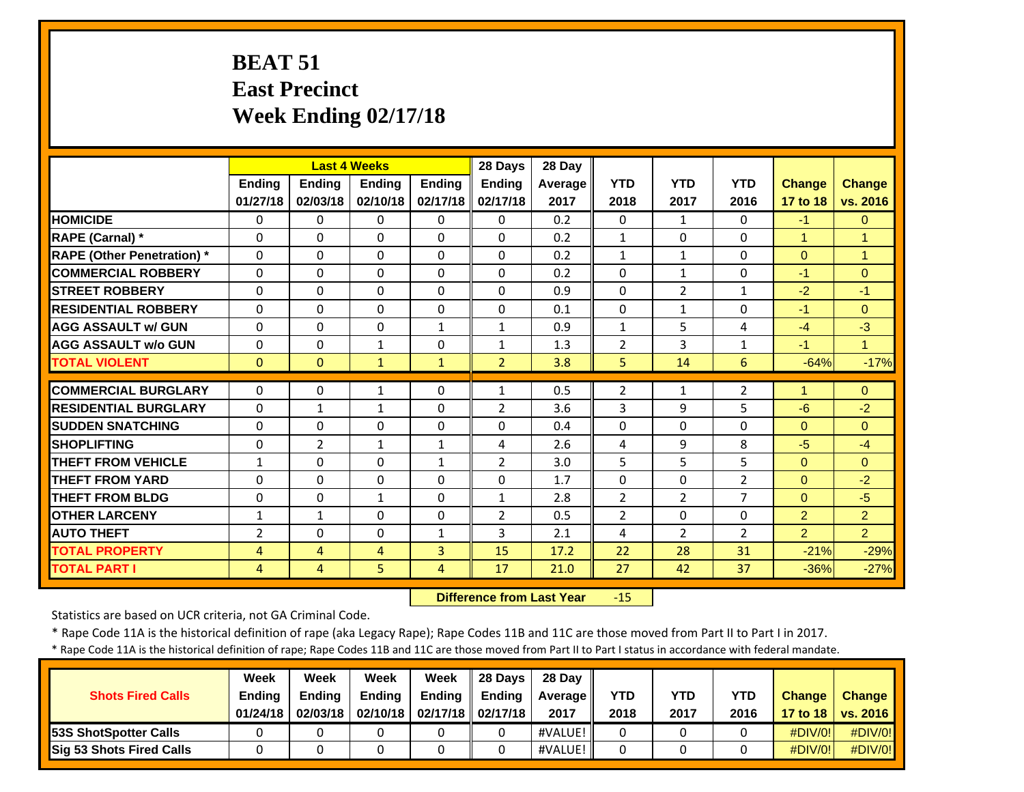# **BEAT 51 East Precinct Week Ending 02/17/18**

|                                   |              |                | <b>Last 4 Weeks</b> |               | 28 Days        | 28 Day  |                |                |                |                      |                |
|-----------------------------------|--------------|----------------|---------------------|---------------|----------------|---------|----------------|----------------|----------------|----------------------|----------------|
|                                   | Ending       | <b>Ending</b>  | Ending              | <b>Ending</b> | Ending         | Average | <b>YTD</b>     | <b>YTD</b>     | <b>YTD</b>     | Change               | <b>Change</b>  |
|                                   | 01/27/18     | 02/03/18       | 02/10/18            | 02/17/18      | 02/17/18       | 2017    | 2018           | 2017           | 2016           | 17 to 18             | vs. 2016       |
| <b>HOMICIDE</b>                   | $\Omega$     | $\Omega$       | $\Omega$            | 0             | $\Omega$       | 0.2     | $\Omega$       | $\mathbf{1}$   | $\Omega$       | $-1$                 | $\mathbf{0}$   |
| RAPE (Carnal) *                   | $\Omega$     | $\Omega$       | $\Omega$            | $\Omega$      | $\Omega$       | 0.2     | $\mathbf{1}$   | $\Omega$       | $\Omega$       | $\mathbf{1}$         | 1              |
| <b>RAPE (Other Penetration) *</b> | $\Omega$     | $\Omega$       | $\Omega$            | $\Omega$      | $\Omega$       | 0.2     | $\mathbf{1}$   | $\mathbf{1}$   | $\Omega$       | $\Omega$             | $\mathbf{1}$   |
| <b>COMMERCIAL ROBBERY</b>         | $\Omega$     | $\Omega$       | $\Omega$            | $\Omega$      | $\Omega$       | 0.2     | $\Omega$       | $\mathbf{1}$   | $\Omega$       | $-1$                 | $\Omega$       |
| <b>STREET ROBBERY</b>             | 0            | 0              | $\mathbf{0}$        | $\Omega$      | $\Omega$       | 0.9     | $\Omega$       | $\overline{2}$ | 1              | $-2$                 | $-1$           |
| <b>RESIDENTIAL ROBBERY</b>        | $\Omega$     | $\Omega$       | $\Omega$            | $\Omega$      | $\Omega$       | 0.1     | $\Omega$       | $\mathbf{1}$   | $\Omega$       | $-1$                 | $\Omega$       |
| <b>AGG ASSAULT w/ GUN</b>         | $\Omega$     | $\Omega$       | $\Omega$            | $\mathbf{1}$  | $\mathbf{1}$   | 0.9     | $\mathbf 1$    | 5              | 4              | $-4$                 | $-3$           |
| <b>AGG ASSAULT w/o GUN</b>        | 0            | 0              | $\mathbf{1}$        | $\mathbf{0}$  | $\mathbf{1}$   | 1.3     | $\overline{2}$ | 3              | 1              | $-1$                 | 4              |
| <b>TOTAL VIOLENT</b>              | $\mathbf{0}$ | $\Omega$       | $\mathbf{1}$        | $\mathbf{1}$  | $\overline{2}$ | 3.8     | 5              | 14             | 6              | $-64%$               | $-17%$         |
| <b>COMMERCIAL BURGLARY</b>        | $\Omega$     | 0              | 1                   | 0             | 1              | 0.5     | $\overline{2}$ | $\mathbf{1}$   | $\overline{2}$ | $\blacktriangleleft$ | $\Omega$       |
| <b>RESIDENTIAL BURGLARY</b>       | $\Omega$     | $\mathbf{1}$   | $\mathbf{1}$        | $\Omega$      | $\overline{2}$ | 3.6     | 3              | 9              | 5              | $-6$                 | $-2$           |
| <b>SUDDEN SNATCHING</b>           | $\Omega$     | $\Omega$       | $\Omega$            | $\Omega$      | $\Omega$       | 0.4     | $\Omega$       | $\Omega$       | $\Omega$       | $\Omega$             | $\Omega$       |
| <b>SHOPLIFTING</b>                | $\Omega$     | $\overline{2}$ | $\mathbf{1}$        | $\mathbf{1}$  | 4              | 2.6     | 4              | 9              | 8              | $-5$                 | $-4$           |
| <b>THEFT FROM VEHICLE</b>         | $\mathbf{1}$ | 0              | $\Omega$            | 1             | $\overline{2}$ | 3.0     | 5              | 5              | 5              | $\Omega$             | $\Omega$       |
| <b>THEFT FROM YARD</b>            | 0            | $\Omega$       | $\Omega$            | $\Omega$      | $\Omega$       | 1.7     | $\Omega$       | $\Omega$       | $\overline{2}$ | $\Omega$             | $-2$           |
| <b>THEFT FROM BLDG</b>            | $\Omega$     | $\Omega$       | $\mathbf{1}$        | $\Omega$      | $\mathbf{1}$   | 2.8     | $\overline{2}$ | 2              | $\overline{7}$ | $\Omega$             | $-5$           |
| <b>OTHER LARCENY</b>              | $\mathbf{1}$ | 1              | $\Omega$            | $\Omega$      | $\overline{2}$ | 0.5     | $\overline{2}$ | $\Omega$       | $\Omega$       | 2                    | 2              |
| <b>AUTO THEFT</b>                 | 2            | 0              | $\Omega$            | $\mathbf{1}$  | 3              | 2.1     | 4              | $\overline{2}$ | $\overline{2}$ | $\overline{2}$       | $\overline{2}$ |
| <b>TOTAL PROPERTY</b>             | 4            | 4              | 4                   | 3             | 15             | 17.2    | 22             | 28             | 31             | $-21%$               | $-29%$         |
| <b>TOTAL PART I</b>               | 4            | 4              | 5                   | 4             | 17             | 21.0    | 27             | 42             | 37             | $-36%$               | $-27%$         |

 **Difference from Last Year**‐15

Statistics are based on UCR criteria, not GA Criminal Code.

\* Rape Code 11A is the historical definition of rape (aka Legacy Rape); Rape Codes 11B and 11C are those moved from Part II to Part I in 2017.

\* Rape Code 11A is the historical definition of rape; Rape Codes 11B and 11C are those moved from Part II to Part I status in accordance with federal mandate.

| <b>Shots Fired Calls</b>        | Week<br><b>Ending</b><br>01/24/18 | Week<br><b>Ending</b><br>02/03/18 | Week<br><b>Ending</b> | Week<br>Ending<br>02/10/18   02/17/18   02/17/18 | 28 Days<br><b>Endina</b> | 28 Day<br><b>Average</b> II<br>2017 | <b>YTD</b><br>2018 | YTD<br>2017 | YTD<br>2016 | <b>Change</b><br>17 to 18 | <b>Change</b><br>$\sqrt{vs. 2016}$ |
|---------------------------------|-----------------------------------|-----------------------------------|-----------------------|--------------------------------------------------|--------------------------|-------------------------------------|--------------------|-------------|-------------|---------------------------|------------------------------------|
| 53S ShotSpotter Calls           |                                   |                                   |                       |                                                  |                          | #VALUE!                             | $\Omega$           |             |             | #DIV/0!                   | #DIV/0!                            |
| <b>Sig 53 Shots Fired Calls</b> |                                   |                                   |                       |                                                  |                          | #VALUE!                             | 0                  |             |             | #DIV/0!                   | #DIV/0!                            |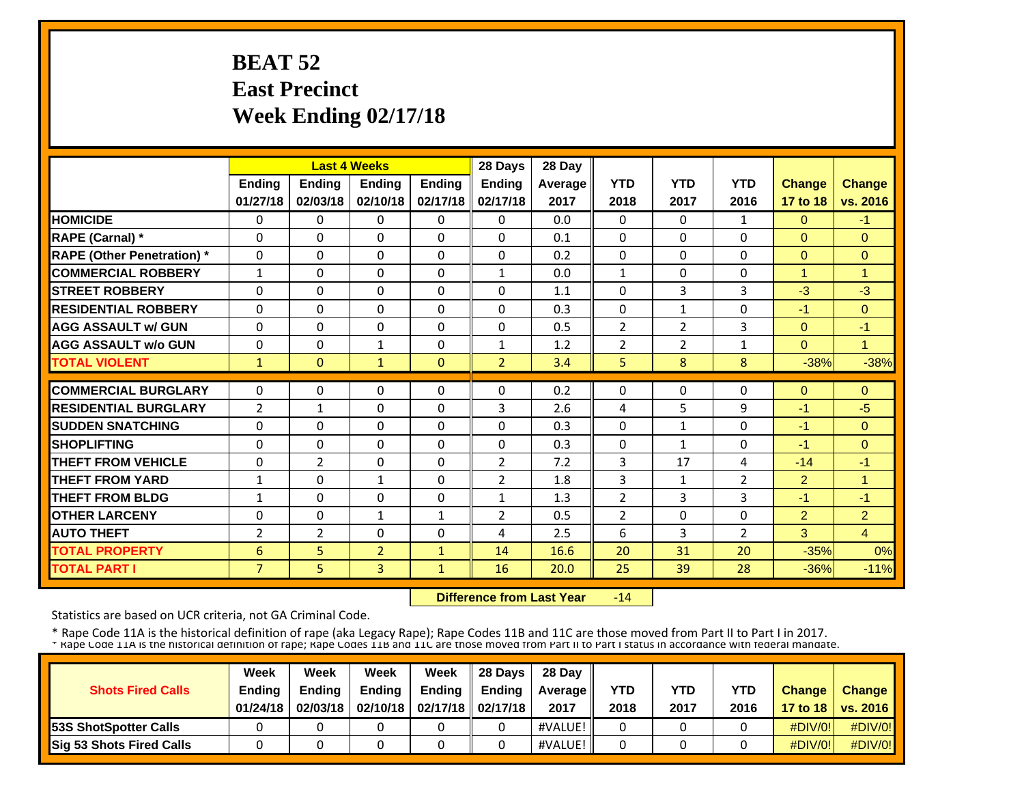# **BEAT 52 East Precinct Week Ending 02/17/18**

|                                  |                |                | <b>Last 4 Weeks</b> |               | 28 Days        | 28 Day  |                |                |                |                |                |
|----------------------------------|----------------|----------------|---------------------|---------------|----------------|---------|----------------|----------------|----------------|----------------|----------------|
|                                  | <b>Ending</b>  | <b>Ending</b>  | <b>Ending</b>       | <b>Ending</b> | <b>Ending</b>  | Average | <b>YTD</b>     | <b>YTD</b>     | <b>YTD</b>     | Change         | <b>Change</b>  |
|                                  | 01/27/18       | 02/03/18       | 02/10/18            | 02/17/18      | 02/17/18       | 2017    | 2018           | 2017           | 2016           | 17 to 18       | vs. 2016       |
| <b>HOMICIDE</b>                  | $\Omega$       | $\Omega$       | $\Omega$            | 0             | $\Omega$       | 0.0     | 0              | $\Omega$       | 1              | $\Omega$       | $-1$           |
| RAPE (Carnal) *                  | $\Omega$       | 0              | $\Omega$            | $\Omega$      | $\Omega$       | 0.1     | $\Omega$       | $\Omega$       | $\Omega$       | $\Omega$       | $\Omega$       |
| <b>RAPE (Other Penetration)*</b> | $\Omega$       | $\Omega$       | $\Omega$            | $\Omega$      | $\Omega$       | 0.2     | $\Omega$       | $\Omega$       | $\Omega$       | $\Omega$       | $\Omega$       |
| <b>COMMERCIAL ROBBERY</b>        | $\mathbf{1}$   | 0              | $\Omega$            | $\Omega$      | $\mathbf{1}$   | 0.0     | $\mathbf{1}$   | 0              | $\Omega$       | $\overline{1}$ | $\overline{1}$ |
| <b>STREET ROBBERY</b>            | $\Omega$       | $\Omega$       | $\Omega$            | $\Omega$      | $\Omega$       | 1.1     | $\Omega$       | 3              | 3              | $-3$           | $-3$           |
| <b>RESIDENTIAL ROBBERY</b>       | $\Omega$       | $\Omega$       | $\mathbf{0}$        | $\Omega$      | $\Omega$       | 0.3     | $\Omega$       | $\mathbf{1}$   | $\Omega$       | $-1$           | $\Omega$       |
| <b>AGG ASSAULT w/ GUN</b>        | $\Omega$       | 0              | $\mathbf{0}$        | $\Omega$      | $\Omega$       | 0.5     | $\overline{2}$ | $\overline{2}$ | 3              | $\Omega$       | $-1$           |
| <b>AGG ASSAULT w/o GUN</b>       | $\Omega$       | 0              | $\mathbf{1}$        | $\Omega$      | $\mathbf{1}$   | 1.2     | $\overline{2}$ | 2              | $\mathbf{1}$   | $\Omega$       | $\overline{1}$ |
| <b>TOTAL VIOLENT</b>             | $\mathbf{1}$   | $\Omega$       | $\mathbf{1}$        | $\mathbf{0}$  | $\overline{2}$ | 3.4     | 5              | 8              | 8              | $-38%$         | $-38%$         |
| <b>COMMERCIAL BURGLARY</b>       | $\Omega$       | $\Omega$       | $\mathbf{0}$        | $\Omega$      | $\Omega$       | 0.2     | $\Omega$       | 0              | $\Omega$       | $\Omega$       | $\Omega$       |
| <b>RESIDENTIAL BURGLARY</b>      | $\overline{2}$ | $\mathbf{1}$   | $\mathbf{0}$        | $\Omega$      | 3              | 2.6     | 4              | 5              | 9              | $-1$           | $-5$           |
| <b>SUDDEN SNATCHING</b>          | 0              | $\Omega$       | $\Omega$            | $\Omega$      | $\Omega$       | 0.3     | $\Omega$       | $\mathbf{1}$   | $\Omega$       | $-1$           | $\Omega$       |
| <b>SHOPLIFTING</b>               | $\Omega$       | $\Omega$       | $\Omega$            | $\Omega$      | $\Omega$       | 0.3     | $\Omega$       | $\mathbf{1}$   | $\Omega$       | $-1$           | $\Omega$       |
| <b>THEFT FROM VEHICLE</b>        | $\Omega$       | $\overline{2}$ | $\Omega$            | $\Omega$      | $\overline{2}$ | 7.2     | 3              | 17             | 4              | $-14$          | $-1$           |
| <b>THEFT FROM YARD</b>           | $\mathbf{1}$   | $\Omega$       | $\mathbf{1}$        | 0             | $\overline{2}$ | 1.8     | 3              | $\mathbf{1}$   | $\overline{2}$ | $\overline{2}$ | 1              |
| <b>THEFT FROM BLDG</b>           | $\mathbf{1}$   | 0              | $\Omega$            | 0             | $\mathbf{1}$   | 1.3     | $\overline{2}$ | 3              | 3              | $-1$           | $-1$           |
| <b>OTHER LARCENY</b>             | $\Omega$       | $\Omega$       | $\mathbf{1}$        | $\mathbf{1}$  | $\overline{2}$ | 0.5     | $\overline{2}$ | $\Omega$       | $\Omega$       | 2              | $\overline{2}$ |
| <b>AUTO THEFT</b>                | $\overline{2}$ | $\overline{2}$ | $\Omega$            | $\Omega$      | 4              | 2.5     | 6              | 3              | $\overline{2}$ | 3              | $\overline{4}$ |
| <b>TOTAL PROPERTY</b>            | 6              | 5              | $\overline{2}$      | $\mathbf{1}$  | 14             | 16.6    | 20             | 31             | 20             | $-35%$         | 0%             |
| <b>TOTAL PART I</b>              | $\overline{7}$ | 5.             | 3                   | 1             | 16             | 20.0    | 25             | 39             | 28             | $-36%$         | $-11%$         |

 **Difference from Last Year** $-14$ 

Statistics are based on UCR criteria, not GA Criminal Code.

|                               | Week     | Week          | Week          | Week                           | 28 Davs       | 28 Day         |            |            |            |               |                     |
|-------------------------------|----------|---------------|---------------|--------------------------------|---------------|----------------|------------|------------|------------|---------------|---------------------|
| <b>Shots Fired Calls</b>      | Ending   | <b>Ending</b> | <b>Ending</b> | <b>Ending</b>                  | <b>Endina</b> | <b>Average</b> | <b>YTD</b> | <b>YTD</b> | <b>YTD</b> | <b>Change</b> | <b>Change</b>       |
|                               | 01/24/18 | 02/03/18      |               | 02/10/18   02/17/18   02/17/18 |               | 2017           | 2018       | 2017       | 2016       |               | 17 to 18   vs. 2016 |
| <b>153S ShotSpotter Calls</b> |          |               |               |                                |               | #VALUE!        |            |            |            | $\#$ DIV/0!   | $\#$ DIV/0!         |
| Sig 53 Shots Fired Calls      |          |               |               |                                |               | #VALUE!        |            |            |            | $\#$ DIV/0!   | #DIV/0!             |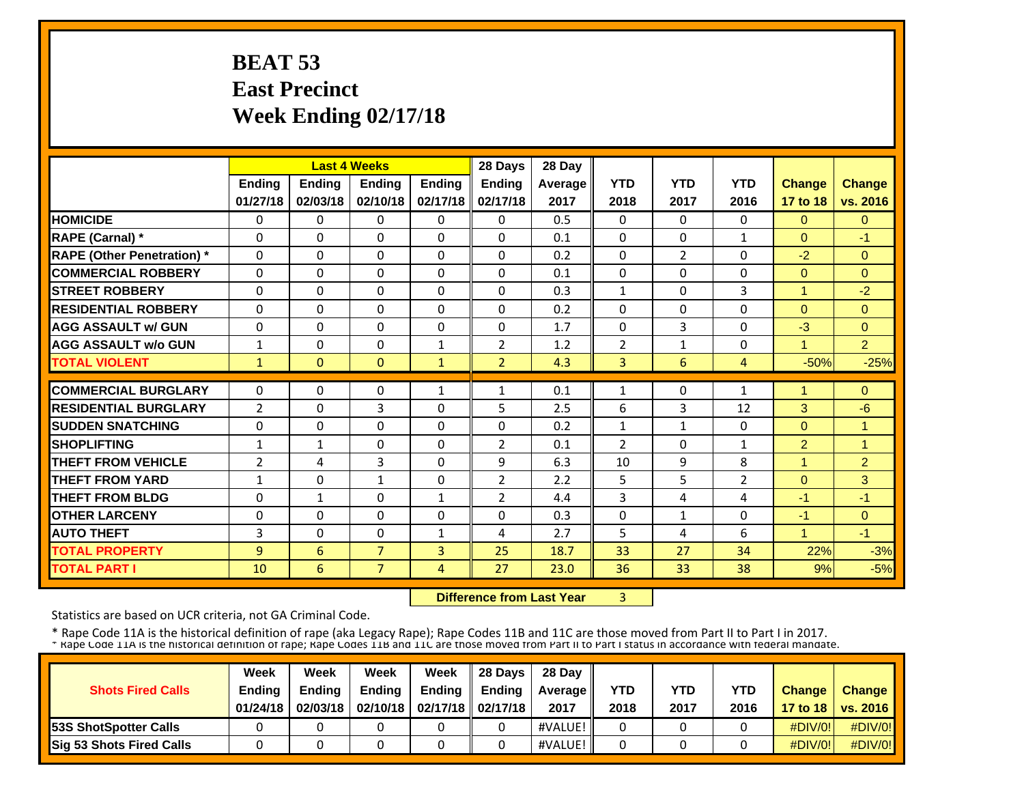# **BEAT 53 East Precinct Week Ending 02/17/18**

|                                   |                |               | <b>Last 4 Weeks</b> |               | 28 Days        | 28 Day         |                |                |                |                |                |
|-----------------------------------|----------------|---------------|---------------------|---------------|----------------|----------------|----------------|----------------|----------------|----------------|----------------|
|                                   | <b>Ending</b>  | <b>Ending</b> | <b>Ending</b>       | <b>Ending</b> | <b>Ending</b>  | <b>Average</b> | <b>YTD</b>     | <b>YTD</b>     | <b>YTD</b>     | Change         | <b>Change</b>  |
|                                   | 01/27/18       | 02/03/18      | 02/10/18            | 02/17/18      | 02/17/18       | 2017           | 2018           | 2017           | 2016           | 17 to 18       | vs. 2016       |
| <b>HOMICIDE</b>                   | $\Omega$       | $\Omega$      | $\Omega$            | 0             | $\Omega$       | 0.5            | 0              | $\Omega$       | $\Omega$       | $\Omega$       | $\Omega$       |
| RAPE (Carnal) *                   | $\Omega$       | 0             | $\mathbf{0}$        | $\Omega$      | $\Omega$       | 0.1            | $\Omega$       | $\Omega$       | $\mathbf{1}$   | $\Omega$       | $-1$           |
| <b>RAPE (Other Penetration)</b> * | $\Omega$       | $\Omega$      | $\Omega$            | $\Omega$      | $\Omega$       | 0.2            | 0              | $\overline{2}$ | $\Omega$       | $-2$           | $\Omega$       |
| <b>COMMERCIAL ROBBERY</b>         | $\Omega$       | $\Omega$      | $\mathbf{0}$        | $\Omega$      | $\Omega$       | 0.1            | $\Omega$       | 0              | $\Omega$       | $\mathbf{0}$   | $\Omega$       |
| <b>STREET ROBBERY</b>             | 0              | $\Omega$      | $\Omega$            | $\Omega$      | $\Omega$       | 0.3            | $\mathbf{1}$   | 0              | 3              | $\mathbf{1}$   | $-2$           |
| <b>RESIDENTIAL ROBBERY</b>        | $\Omega$       | $\Omega$      | $\Omega$            | $\Omega$      | $\Omega$       | 0.2            | $\Omega$       | $\Omega$       | $\Omega$       | $\Omega$       | $\Omega$       |
| <b>AGG ASSAULT w/ GUN</b>         | $\mathbf 0$    | $\Omega$      | $\mathbf 0$         | $\mathbf 0$   | $\Omega$       | 1.7            | 0              | 3              | $\mathbf 0$    | $-3$           | $\Omega$       |
| <b>AGG ASSAULT w/o GUN</b>        | $\mathbf{1}$   | 0             | $\Omega$            | $\mathbf{1}$  | $\overline{2}$ | 1.2            | $\overline{2}$ | $\mathbf{1}$   | $\Omega$       | $\mathbf{1}$   | $\overline{2}$ |
| <b>TOTAL VIOLENT</b>              | $\mathbf{1}$   | $\Omega$      | $\Omega$            | $\mathbf{1}$  | $\overline{2}$ | 4.3            | 3              | 6              | $\overline{4}$ | $-50%$         | $-25%$         |
| <b>COMMERCIAL BURGLARY</b>        | $\Omega$       | $\Omega$      | $\mathbf{0}$        | $\mathbf{1}$  | 1              | 0.1            | $\mathbf{1}$   | 0              | $\mathbf{1}$   | $\mathbf{1}$   | $\Omega$       |
| <b>RESIDENTIAL BURGLARY</b>       | $\overline{2}$ | $\Omega$      | $\overline{3}$      | $\Omega$      | 5              | 2.5            | 6              | 3              | 12             | 3              | $-6$           |
| <b>SUDDEN SNATCHING</b>           | 0              | $\Omega$      | $\Omega$            | $\Omega$      | $\Omega$       | 0.2            | $\mathbf{1}$   | $\mathbf{1}$   | $\Omega$       | $\Omega$       | 1              |
| <b>SHOPLIFTING</b>                | $\mathbf{1}$   | $\mathbf{1}$  | $\Omega$            | $\Omega$      | $\overline{2}$ | 0.1            | $\overline{2}$ | $\Omega$       | 1              | $\overline{2}$ | $\overline{1}$ |
| <b>THEFT FROM VEHICLE</b>         | $\overline{2}$ | 4             | 3                   | $\Omega$      | 9              | 6.3            | 10             | 9              | 8              | $\mathbf{1}$   | $\overline{2}$ |
| <b>THEFT FROM YARD</b>            | $\mathbf{1}$   | 0             | $\mathbf{1}$        | $\mathbf{0}$  | $\overline{2}$ | 2.2            | 5              | 5              | $\overline{2}$ | $\Omega$       | 3              |
| <b>THEFT FROM BLDG</b>            | 0              | 1             | $\Omega$            | 1             | $\overline{2}$ | 4.4            | 3              | 4              | 4              | $-1$           | $-1$           |
| <b>OTHER LARCENY</b>              | 0              | $\Omega$      | $\mathbf{0}$        | $\Omega$      | $\Omega$       | 0.3            | $\Omega$       | $\mathbf{1}$   | $\Omega$       | $-1$           | $\Omega$       |
| <b>AUTO THEFT</b>                 | 3              | 0             | $\Omega$            | $\mathbf{1}$  | 4              | 2.7            | 5              | 4              | 6              | $\mathbf{1}$   | $-1$           |
| <b>TOTAL PROPERTY</b>             | 9              | 6             | $\overline{7}$      | 3             | 25             | 18.7           | 33             | 27             | 34             | 22%            | $-3%$          |
| <b>TOTAL PART I</b>               | 10             | 6             | $\overline{7}$      | 4             | 27             | 23.0           | 36             | 33             | 38             | 9%             | $-5%$          |

 **Difference from Last Year**3

Statistics are based on UCR criteria, not GA Criminal Code.

|                              | Week          | Week          | Week          | Week                           | 28 Davs       | 28 Day     |            |      |            |               |                     |
|------------------------------|---------------|---------------|---------------|--------------------------------|---------------|------------|------------|------|------------|---------------|---------------------|
| <b>Shots Fired Calls</b>     | <b>Ending</b> | <b>Ending</b> | <b>Ending</b> | Ending                         | <b>Endina</b> | Average II | <b>YTD</b> | YTD  | <b>YTD</b> | <b>Change</b> | <b>Change</b>       |
|                              | 01/24/18      | 02/03/18      |               | 02/10/18   02/17/18   02/17/18 |               | 2017       | 2018       | 2017 | 2016       |               | 17 to 18   vs. 2016 |
| <b>53S ShotSpotter Calls</b> |               |               |               |                                |               | #VALUE!    |            |      |            | $\#$ DIV/0!   | $\#$ DIV/0!         |
| Sig 53 Shots Fired Calls     |               |               |               |                                |               | #VALUE!    |            |      |            | $\#$ DIV/0!   | #DIV/0!             |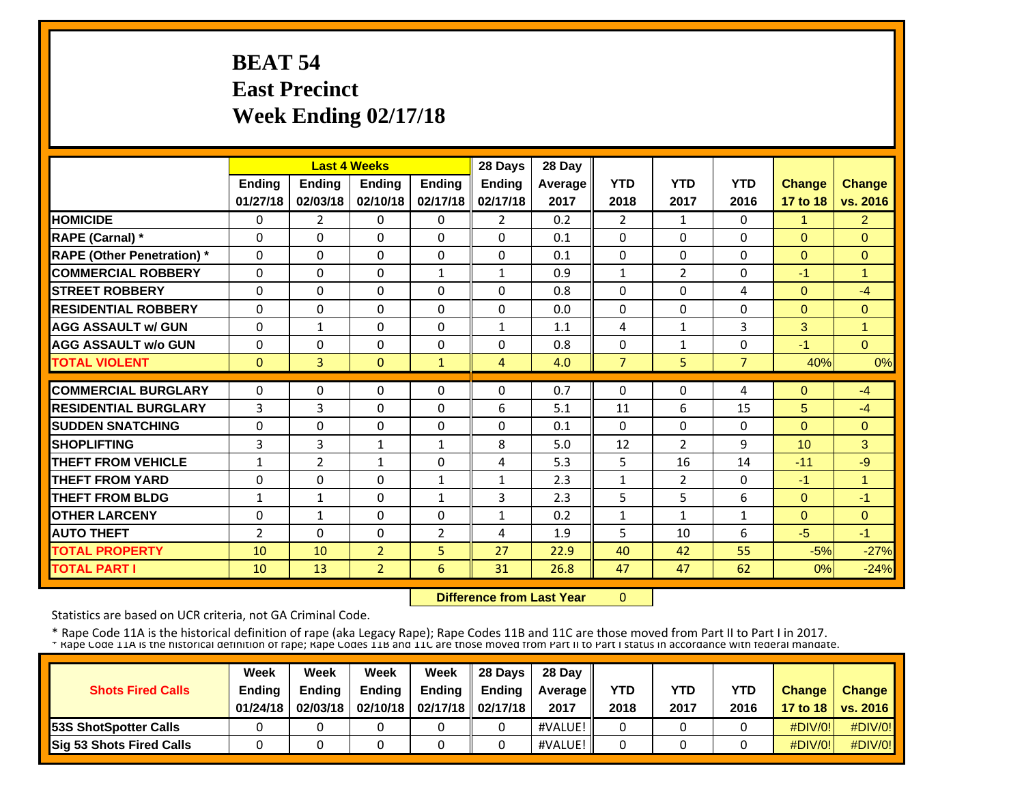# **BEAT 54 East Precinct Week Ending 02/17/18**

|                                   |               |                | <b>Last 4 Weeks</b> |               | 28 Days        | 28 Day         |                |                |                |                |                |
|-----------------------------------|---------------|----------------|---------------------|---------------|----------------|----------------|----------------|----------------|----------------|----------------|----------------|
|                                   | <b>Ending</b> | <b>Ending</b>  | <b>Ending</b>       | <b>Ending</b> | <b>Ending</b>  | <b>Average</b> | <b>YTD</b>     | <b>YTD</b>     | <b>YTD</b>     | Change         | <b>Change</b>  |
|                                   | 01/27/18      | 02/03/18       | 02/10/18            | 02/17/18      | 02/17/18       | 2017           | 2018           | 2017           | 2016           | 17 to 18       | vs. 2016       |
| <b>HOMICIDE</b>                   | $\Omega$      | $\overline{2}$ | $\Omega$            | 0             | $\overline{2}$ | 0.2            | $\overline{2}$ | $\mathbf{1}$   | $\Omega$       | $\mathbf{1}$   | $\overline{2}$ |
| RAPE (Carnal) *                   | $\Omega$      | 0              | $\mathbf{0}$        | $\Omega$      | $\Omega$       | 0.1            | $\Omega$       | 0              | $\Omega$       | $\Omega$       | $\Omega$       |
| <b>RAPE (Other Penetration)</b> * | $\Omega$      | $\Omega$       | $\Omega$            | $\Omega$      | $\Omega$       | 0.1            | 0              | $\Omega$       | $\Omega$       | $\overline{0}$ | $\Omega$       |
| <b>COMMERCIAL ROBBERY</b>         | $\Omega$      | $\Omega$       | $\mathbf{0}$        | $\mathbf{1}$  | $\mathbf{1}$   | 0.9            | $\mathbf{1}$   | $\overline{2}$ | $\Omega$       | $-1$           | 1              |
| <b>STREET ROBBERY</b>             | 0             | $\Omega$       | $\Omega$            | $\Omega$      | $\Omega$       | 0.8            | 0              | 0              | 4              | $\Omega$       | $-4$           |
| <b>RESIDENTIAL ROBBERY</b>        | $\Omega$      | $\Omega$       | $\Omega$            | $\Omega$      | $\Omega$       | 0.0            | $\Omega$       | $\Omega$       | $\Omega$       | $\Omega$       | $\Omega$       |
| <b>AGG ASSAULT w/ GUN</b>         | $\mathbf 0$   | $\mathbf{1}$   | $\Omega$            | $\mathbf 0$   | $\mathbf{1}$   | 1.1            | 4              | $\mathbf{1}$   | 3              | 3              | $\overline{1}$ |
| <b>AGG ASSAULT w/o GUN</b>        | $\Omega$      | $\Omega$       | $\Omega$            | $\Omega$      | $\Omega$       | 0.8            | $\Omega$       | $\mathbf{1}$   | $\Omega$       | $-1$           | $\Omega$       |
| <b>TOTAL VIOLENT</b>              | $\Omega$      | $\overline{3}$ | $\Omega$            | $\mathbf{1}$  | 4              | 4.0            | $\overline{7}$ | 5              | $\overline{7}$ | 40%            | 0%             |
| <b>COMMERCIAL BURGLARY</b>        | $\Omega$      | $\Omega$       | $\mathbf{0}$        | $\Omega$      | $\Omega$       | 0.7            | $\Omega$       | 0              | 4              | $\Omega$       | $-4$           |
| <b>RESIDENTIAL BURGLARY</b>       | 3             | 3              | $\mathbf{0}$        | $\Omega$      | 6              | 5.1            | 11             | 6              | 15             | 5              | $-4$           |
| <b>SUDDEN SNATCHING</b>           | 0             | $\Omega$       | $\mathbf{0}$        | 0             | $\Omega$       | 0.1            | $\Omega$       | 0              | $\Omega$       | $\Omega$       | $\Omega$       |
| <b>SHOPLIFTING</b>                | 3             | 3              | $\mathbf{1}$        | $\mathbf{1}$  | 8              | 5.0            | 12             | $\overline{2}$ | 9              | 10             | 3              |
| <b>THEFT FROM VEHICLE</b>         | $\mathbf 1$   | $\overline{2}$ | $\mathbf{1}$        | $\Omega$      | 4              | 5.3            | 5              | 16             | 14             | $-11$          | $-9$           |
| <b>THEFT FROM YARD</b>            | $\Omega$      | 0              | $\Omega$            | $\mathbf{1}$  | 1              | 2.3            | $\mathbf 1$    | $\overline{2}$ | $\Omega$       | $-1$           | 1              |
| <b>THEFT FROM BLDG</b>            | $\mathbf{1}$  | 1              | $\Omega$            | $\mathbf{1}$  | 3              | 2.3            | 5              | 5              | 6              | $\Omega$       | -1             |
| <b>OTHER LARCENY</b>              | 0             | $\mathbf{1}$   | $\mathbf{0}$        | 0             | $\mathbf{1}$   | 0.2            | $\mathbf{1}$   | $\mathbf{1}$   | $\mathbf{1}$   | $\Omega$       | $\Omega$       |
| <b>AUTO THEFT</b>                 | 2             | 0              | $\Omega$            | 2             | 4              | 1.9            | 5              | 10             | 6              | $-5$           | $-1$           |
| <b>TOTAL PROPERTY</b>             | 10            | 10             | $\overline{2}$      | 5             | 27             | 22.9           | 40             | 42             | 55             | $-5%$          | $-27%$         |
| <b>TOTAL PART I</b>               | 10            | 13             | $\overline{2}$      | 6             | 31             | 26.8           | 47             | 47             | 62             | 0%             | $-24%$         |

 **Difference from Last Year** $\overline{0}$ 

Statistics are based on UCR criteria, not GA Criminal Code.

|                              | Week          | Week          | Week          | Week                           | 28 Davs       | 28 Day     |            |      |            |               |                     |
|------------------------------|---------------|---------------|---------------|--------------------------------|---------------|------------|------------|------|------------|---------------|---------------------|
| <b>Shots Fired Calls</b>     | <b>Ending</b> | <b>Ending</b> | <b>Ending</b> | Ending                         | <b>Endina</b> | Average II | <b>YTD</b> | YTD  | <b>YTD</b> | <b>Change</b> | <b>Change</b>       |
|                              | 01/24/18      | 02/03/18      |               | 02/10/18   02/17/18   02/17/18 |               | 2017       | 2018       | 2017 | 2016       |               | 17 to 18   vs. 2016 |
| <b>53S ShotSpotter Calls</b> |               |               |               |                                |               | #VALUE!    |            |      |            | $\#$ DIV/0!   | $\#$ DIV/0!         |
| Sig 53 Shots Fired Calls     |               |               |               |                                |               | #VALUE!    |            |      |            | $\#$ DIV/0!   | #DIV/0!             |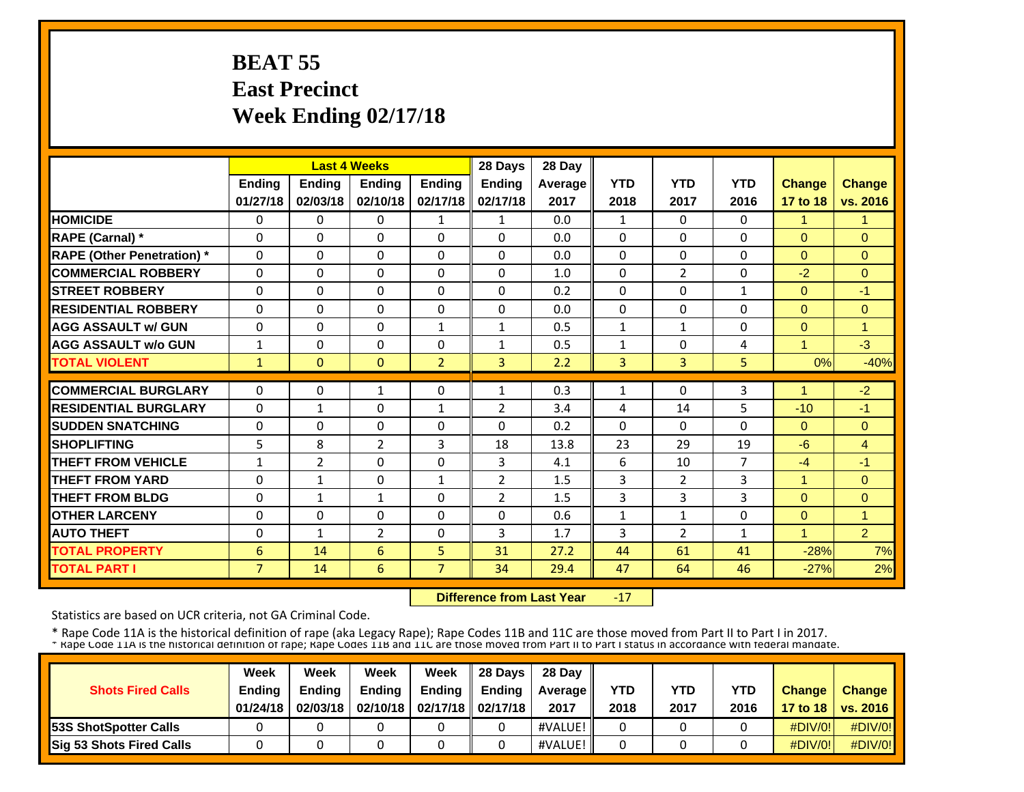# **BEAT 55 East Precinct Week Ending 02/17/18**

|                                   |                |               | <b>Last 4 Weeks</b> |                | 28 Days        | 28 Day  |              |                |                |                         |                |
|-----------------------------------|----------------|---------------|---------------------|----------------|----------------|---------|--------------|----------------|----------------|-------------------------|----------------|
|                                   | Ending         | <b>Ending</b> | <b>Ending</b>       | <b>Ending</b>  | Ending         | Average | <b>YTD</b>   | <b>YTD</b>     | <b>YTD</b>     | <b>Change</b>           | <b>Change</b>  |
|                                   | 01/27/18       | 02/03/18      | 02/10/18            | 02/17/18       | 02/17/18       | 2017    | 2018         | 2017           | 2016           | 17 to 18                | vs. 2016       |
| <b>HOMICIDE</b>                   | $\Omega$       | 0             | $\Omega$            | $\mathbf{1}$   | $\mathbf{1}$   | 0.0     | $\mathbf{1}$ | $\Omega$       | $\Omega$       | $\mathbf{1}$            | 1.             |
| RAPE (Carnal) *                   | $\Omega$       | $\Omega$      | $\Omega$            | $\Omega$       | $\Omega$       | 0.0     | $\Omega$     | $\Omega$       | $\Omega$       | $\Omega$                | $\Omega$       |
| <b>RAPE (Other Penetration)</b> * | $\Omega$       | $\Omega$      | $\Omega$            | $\Omega$       | $\Omega$       | 0.0     | $\Omega$     | $\Omega$       | $\Omega$       | $\Omega$                | $\Omega$       |
| <b>COMMERCIAL ROBBERY</b>         | $\Omega$       | $\Omega$      | $\Omega$            | $\Omega$       | $\Omega$       | 1.0     | $\Omega$     | $\overline{2}$ | $\Omega$       | $-2$                    | $\Omega$       |
| <b>STREET ROBBERY</b>             | 0              | $\Omega$      | $\Omega$            | $\Omega$       | $\Omega$       | 0.2     | 0            | $\Omega$       | $\mathbf{1}$   | $\Omega$                | $-1$           |
| <b>RESIDENTIAL ROBBERY</b>        | $\Omega$       | $\Omega$      | $\Omega$            | $\Omega$       | $\Omega$       | 0.0     | $\Omega$     | $\Omega$       | $\Omega$       | $\Omega$                | $\Omega$       |
| <b>AGG ASSAULT w/ GUN</b>         | $\Omega$       | $\Omega$      | $\Omega$            | $\mathbf{1}$   | 1              | 0.5     | $\mathbf{1}$ | $\mathbf{1}$   | $\Omega$       | $\overline{0}$          | $\mathbf{1}$   |
| <b>AGG ASSAULT w/o GUN</b>        | $\mathbf{1}$   | $\Omega$      | $\Omega$            | $\mathbf{0}$   | 1              | 0.5     | $\mathbf{1}$ | $\Omega$       | 4              | $\overline{\mathbf{A}}$ | $-3$           |
| <b>TOTAL VIOLENT</b>              | $\mathbf{1}$   | $\Omega$      | $\mathbf{0}$        | $\overline{2}$ | $\overline{3}$ | 2.2     | 3            | 3              | 5              | 0%                      | $-40%$         |
| <b>COMMERCIAL BURGLARY</b>        | $\Omega$       | $\Omega$      | 1                   | $\Omega$       | $\mathbf{1}$   | 0.3     | 1            | $\Omega$       | 3              | 4                       | $-2$           |
| <b>RESIDENTIAL BURGLARY</b>       | $\Omega$       | $\mathbf{1}$  | $\Omega$            | $\mathbf{1}$   | $\overline{2}$ | 3.4     | 4            | 14             | 5              | $-10$                   | $-1$           |
| <b>SUDDEN SNATCHING</b>           | 0              | $\Omega$      | $\Omega$            | $\Omega$       | $\Omega$       | 0.2     | $\Omega$     | $\Omega$       | $\Omega$       | $\Omega$                | $\Omega$       |
| <b>SHOPLIFTING</b>                | 5              | 8             | 2                   | 3              | 18             | 13.8    | 23           | 29             | 19             | $-6$                    | $\overline{4}$ |
| <b>THEFT FROM VEHICLE</b>         | $\mathbf{1}$   | 2             | $\Omega$            | $\mathbf{0}$   | $\overline{3}$ | 4.1     | 6            | 10             | $\overline{7}$ | $-4$                    | $-1$           |
| <b>THEFT FROM YARD</b>            | $\Omega$       | $\mathbf{1}$  | $\Omega$            | 1              | 2              | 1.5     | 3            | $\overline{2}$ | 3              | $\blacktriangleleft$    | $\Omega$       |
| <b>THEFT FROM BLDG</b>            | 0              | $\mathbf{1}$  | $\mathbf{1}$        | $\Omega$       | $\overline{2}$ | 1.5     | 3            | 3              | 3              | $\Omega$                | $\Omega$       |
| <b>OTHER LARCENY</b>              | $\Omega$       | $\Omega$      | $\Omega$            | $\Omega$       | $\Omega$       | 0.6     | $\mathbf{1}$ | 1              | $\Omega$       | $\Omega$                | 1              |
| <b>AUTO THEFT</b>                 | 0              | $\mathbf{1}$  | $\overline{2}$      | $\Omega$       | 3              | 1.7     | 3            | $\overline{2}$ | $\mathbf{1}$   | $\blacktriangleleft$    | $\overline{2}$ |
| <b>TOTAL PROPERTY</b>             | 6              | 14            | 6                   | 5              | 31             | 27.2    | 44           | 61             | 41             | $-28%$                  | 7%             |
| <b>TOTAL PART I</b>               | $\overline{7}$ | 14            | 6                   | $\overline{7}$ | 34             | 29.4    | 47           | 64             | 46             | $-27%$                  | 2%             |

 **Difference from Last Year**‐17

Statistics are based on UCR criteria, not GA Criminal Code.

| <b>Shots Fired Calls</b>        | Week<br><b>Ending</b><br>01/24/18 | Week<br><b>Endina</b><br>02/03/18 | Week<br><b>Ending</b> | Week<br>Ending<br>02/10/18   02/17/18   02/17/18 | 28 Davs<br><b>Endina</b> | 28 Day<br><b>Average</b> II<br>2017 | YTD<br>2018 | YTD<br>2017 | <b>YTD</b><br>2016 | <b>Change</b> | <b>Change</b><br>17 to 18   vs. 2016 |
|---------------------------------|-----------------------------------|-----------------------------------|-----------------------|--------------------------------------------------|--------------------------|-------------------------------------|-------------|-------------|--------------------|---------------|--------------------------------------|
| <b>153S ShotSpotter Calls</b>   |                                   |                                   |                       |                                                  |                          | #VALUE!                             |             |             |                    | $\#$ DIV/0!   | $\#$ DIV/0!                          |
| <b>Sig 53 Shots Fired Calls</b> |                                   |                                   |                       |                                                  |                          | #VALUE!                             |             |             |                    | $\#$ DIV/0!   | $\#$ DIV/0!                          |